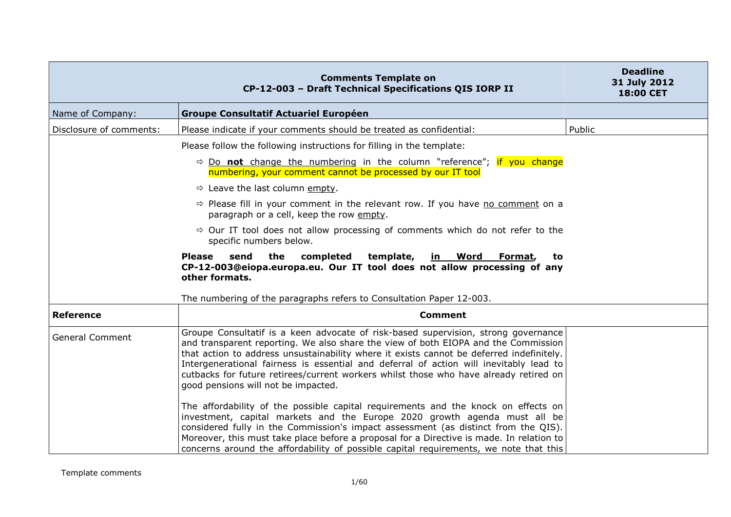|                         | <b>Comments Template on</b><br>CP-12-003 - Draft Technical Specifications QIS IORP II                                                                                                                                                                                                                                                                                                                                                                                                          | <b>Deadline</b><br>31 July 2012<br>18:00 CET |
|-------------------------|------------------------------------------------------------------------------------------------------------------------------------------------------------------------------------------------------------------------------------------------------------------------------------------------------------------------------------------------------------------------------------------------------------------------------------------------------------------------------------------------|----------------------------------------------|
| Name of Company:        | <b>Groupe Consultatif Actuariel Européen</b>                                                                                                                                                                                                                                                                                                                                                                                                                                                   |                                              |
| Disclosure of comments: | Please indicate if your comments should be treated as confidential:                                                                                                                                                                                                                                                                                                                                                                                                                            | Public                                       |
|                         | Please follow the following instructions for filling in the template:                                                                                                                                                                                                                                                                                                                                                                                                                          |                                              |
|                         | $\Rightarrow$ Do not change the numbering in the column "reference"; if you change<br>numbering, your comment cannot be processed by our IT tool                                                                                                                                                                                                                                                                                                                                               |                                              |
|                         | $\Rightarrow$ Leave the last column empty.                                                                                                                                                                                                                                                                                                                                                                                                                                                     |                                              |
|                         | $\Rightarrow$ Please fill in your comment in the relevant row. If you have no comment on a<br>paragraph or a cell, keep the row empty.                                                                                                                                                                                                                                                                                                                                                         |                                              |
|                         | $\Rightarrow$ Our IT tool does not allow processing of comments which do not refer to the<br>specific numbers below.                                                                                                                                                                                                                                                                                                                                                                           |                                              |
|                         | the<br>completed<br>template,<br><b>Please</b><br>send<br><u>in Word</u><br>Format,<br>to<br>CP-12-003@eiopa.europa.eu. Our IT tool does not allow processing of any<br>other formats.                                                                                                                                                                                                                                                                                                         |                                              |
|                         | The numbering of the paragraphs refers to Consultation Paper 12-003.                                                                                                                                                                                                                                                                                                                                                                                                                           |                                              |
| <b>Reference</b>        | <b>Comment</b>                                                                                                                                                                                                                                                                                                                                                                                                                                                                                 |                                              |
| <b>General Comment</b>  | Groupe Consultatif is a keen advocate of risk-based supervision, strong governance<br>and transparent reporting. We also share the view of both EIOPA and the Commission<br>that action to address unsustainability where it exists cannot be deferred indefinitely.<br>Intergenerational fairness is essential and deferral of action will inevitably lead to<br>cutbacks for future retirees/current workers whilst those who have already retired on<br>good pensions will not be impacted. |                                              |
|                         | The affordability of the possible capital requirements and the knock on effects on<br>investment, capital markets and the Europe 2020 growth agenda must all be<br>considered fully in the Commission's impact assessment (as distinct from the QIS).<br>Moreover, this must take place before a proposal for a Directive is made. In relation to<br>concerns around the affordability of possible capital requirements, we note that this                                                     |                                              |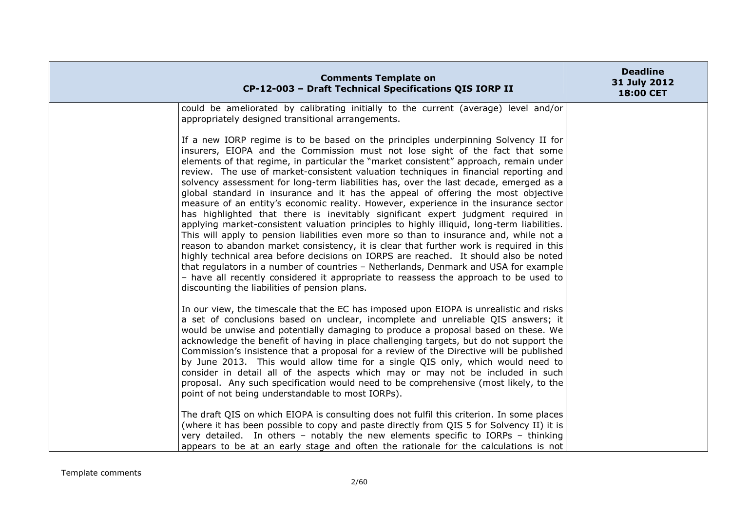| <b>Comments Template on</b><br>CP-12-003 - Draft Technical Specifications QIS IORP II                                                                                                                                                                                                                                                                                                                                                                                                                                                                                                                                                                                                                                                                                                                                                                                                                                                                                                                                                                                                                                                                                                                                                                                                                                    | <b>Deadline</b><br>31 July 2012<br><b>18:00 CET</b> |
|--------------------------------------------------------------------------------------------------------------------------------------------------------------------------------------------------------------------------------------------------------------------------------------------------------------------------------------------------------------------------------------------------------------------------------------------------------------------------------------------------------------------------------------------------------------------------------------------------------------------------------------------------------------------------------------------------------------------------------------------------------------------------------------------------------------------------------------------------------------------------------------------------------------------------------------------------------------------------------------------------------------------------------------------------------------------------------------------------------------------------------------------------------------------------------------------------------------------------------------------------------------------------------------------------------------------------|-----------------------------------------------------|
| could be ameliorated by calibrating initially to the current (average) level and/or<br>appropriately designed transitional arrangements.                                                                                                                                                                                                                                                                                                                                                                                                                                                                                                                                                                                                                                                                                                                                                                                                                                                                                                                                                                                                                                                                                                                                                                                 |                                                     |
| If a new IORP regime is to be based on the principles underpinning Solvency II for<br>insurers, EIOPA and the Commission must not lose sight of the fact that some<br>elements of that regime, in particular the "market consistent" approach, remain under<br>review. The use of market-consistent valuation techniques in financial reporting and<br>solvency assessment for long-term liabilities has, over the last decade, emerged as a<br>global standard in insurance and it has the appeal of offering the most objective<br>measure of an entity's economic reality. However, experience in the insurance sector<br>has highlighted that there is inevitably significant expert judgment required in<br>applying market-consistent valuation principles to highly illiquid, long-term liabilities.<br>This will apply to pension liabilities even more so than to insurance and, while not a<br>reason to abandon market consistency, it is clear that further work is required in this<br>highly technical area before decisions on IORPS are reached. It should also be noted<br>that regulators in a number of countries - Netherlands, Denmark and USA for example<br>- have all recently considered it appropriate to reassess the approach to be used to<br>discounting the liabilities of pension plans. |                                                     |
| In our view, the timescale that the EC has imposed upon EIOPA is unrealistic and risks<br>a set of conclusions based on unclear, incomplete and unreliable QIS answers; it<br>would be unwise and potentially damaging to produce a proposal based on these. We<br>acknowledge the benefit of having in place challenging targets, but do not support the<br>Commission's insistence that a proposal for a review of the Directive will be published<br>by June 2013. This would allow time for a single QIS only, which would need to<br>consider in detail all of the aspects which may or may not be included in such<br>proposal. Any such specification would need to be comprehensive (most likely, to the<br>point of not being understandable to most IORPs).<br>The draft QIS on which EIOPA is consulting does not fulfil this criterion. In some places<br>(where it has been possible to copy and paste directly from QIS 5 for Solvency II) it is                                                                                                                                                                                                                                                                                                                                                           |                                                     |
| very detailed. In others - notably the new elements specific to IORPs - thinking<br>appears to be at an early stage and often the rationale for the calculations is not                                                                                                                                                                                                                                                                                                                                                                                                                                                                                                                                                                                                                                                                                                                                                                                                                                                                                                                                                                                                                                                                                                                                                  |                                                     |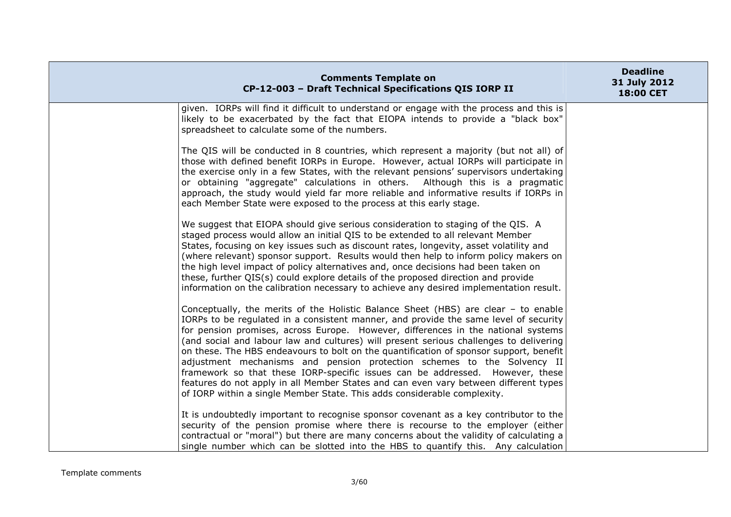| <b>Comments Template on</b><br>CP-12-003 - Draft Technical Specifications QIS IORP II                                                                                                                                                                                                                                                                                                                                                                                                                                                                                                                                                                                                                                                                                               | <b>Deadline</b><br>31 July 2012<br>18:00 CET |
|-------------------------------------------------------------------------------------------------------------------------------------------------------------------------------------------------------------------------------------------------------------------------------------------------------------------------------------------------------------------------------------------------------------------------------------------------------------------------------------------------------------------------------------------------------------------------------------------------------------------------------------------------------------------------------------------------------------------------------------------------------------------------------------|----------------------------------------------|
| given. IORPs will find it difficult to understand or engage with the process and this is<br>likely to be exacerbated by the fact that EIOPA intends to provide a "black box"<br>spreadsheet to calculate some of the numbers.                                                                                                                                                                                                                                                                                                                                                                                                                                                                                                                                                       |                                              |
| The QIS will be conducted in 8 countries, which represent a majority (but not all) of<br>those with defined benefit IORPs in Europe. However, actual IORPs will participate in<br>the exercise only in a few States, with the relevant pensions' supervisors undertaking<br>or obtaining "aggregate" calculations in others. Although this is a pragmatic<br>approach, the study would yield far more reliable and informative results if IORPs in<br>each Member State were exposed to the process at this early stage.                                                                                                                                                                                                                                                            |                                              |
| We suggest that EIOPA should give serious consideration to staging of the QIS. A<br>staged process would allow an initial QIS to be extended to all relevant Member<br>States, focusing on key issues such as discount rates, longevity, asset volatility and<br>(where relevant) sponsor support. Results would then help to inform policy makers on<br>the high level impact of policy alternatives and, once decisions had been taken on<br>these, further QIS(s) could explore details of the proposed direction and provide<br>information on the calibration necessary to achieve any desired implementation result.                                                                                                                                                          |                                              |
| Conceptually, the merits of the Holistic Balance Sheet (HBS) are clear - to enable<br>IORPs to be regulated in a consistent manner, and provide the same level of security<br>for pension promises, across Europe. However, differences in the national systems<br>(and social and labour law and cultures) will present serious challenges to delivering<br>on these. The HBS endeavours to bolt on the quantification of sponsor support, benefit<br>adjustment mechanisms and pension protection schemes to the Solvency II<br>framework so that these IORP-specific issues can be addressed. However, these<br>features do not apply in all Member States and can even vary between different types<br>of IORP within a single Member State. This adds considerable complexity. |                                              |
| It is undoubtedly important to recognise sponsor covenant as a key contributor to the<br>security of the pension promise where there is recourse to the employer (either<br>contractual or "moral") but there are many concerns about the validity of calculating a<br>single number which can be slotted into the HBS to quantify this. Any calculation                                                                                                                                                                                                                                                                                                                                                                                                                            |                                              |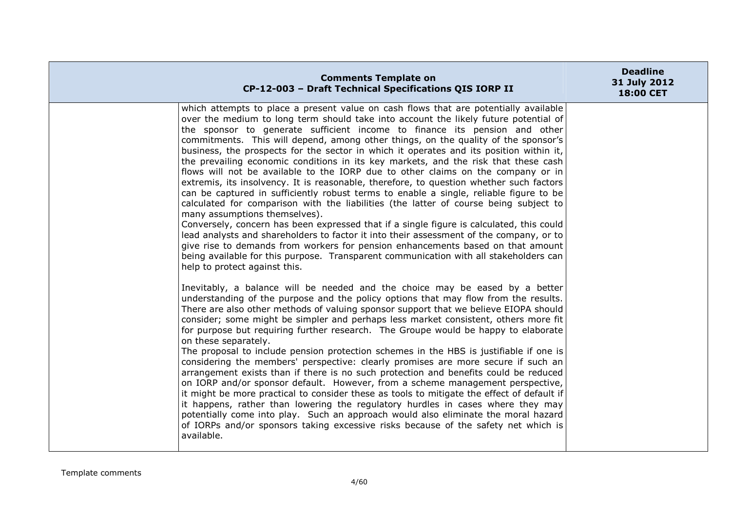| <b>Comments Template on</b><br>CP-12-003 - Draft Technical Specifications QIS IORP II                                                                                                                                                                                                                                                                                                                                                                                                                                                                                                                                                                                                                                                                                                                                                                                                                                                                                                                                                                                                                                                                                                                                                                                                                                                     | <b>Deadline</b><br>31 July 2012<br>18:00 CET |
|-------------------------------------------------------------------------------------------------------------------------------------------------------------------------------------------------------------------------------------------------------------------------------------------------------------------------------------------------------------------------------------------------------------------------------------------------------------------------------------------------------------------------------------------------------------------------------------------------------------------------------------------------------------------------------------------------------------------------------------------------------------------------------------------------------------------------------------------------------------------------------------------------------------------------------------------------------------------------------------------------------------------------------------------------------------------------------------------------------------------------------------------------------------------------------------------------------------------------------------------------------------------------------------------------------------------------------------------|----------------------------------------------|
| which attempts to place a present value on cash flows that are potentially available<br>over the medium to long term should take into account the likely future potential of<br>the sponsor to generate sufficient income to finance its pension and other<br>commitments. This will depend, among other things, on the quality of the sponsor's<br>business, the prospects for the sector in which it operates and its position within it,<br>the prevailing economic conditions in its key markets, and the risk that these cash<br>flows will not be available to the IORP due to other claims on the company or in<br>extremis, its insolvency. It is reasonable, therefore, to question whether such factors<br>can be captured in sufficiently robust terms to enable a single, reliable figure to be<br>calculated for comparison with the liabilities (the latter of course being subject to<br>many assumptions themselves).<br>Conversely, concern has been expressed that if a single figure is calculated, this could<br>lead analysts and shareholders to factor it into their assessment of the company, or to<br>give rise to demands from workers for pension enhancements based on that amount<br>being available for this purpose. Transparent communication with all stakeholders can<br>help to protect against this. |                                              |
| Inevitably, a balance will be needed and the choice may be eased by a better<br>understanding of the purpose and the policy options that may flow from the results.<br>There are also other methods of valuing sponsor support that we believe EIOPA should<br>consider; some might be simpler and perhaps less market consistent, others more fit<br>for purpose but requiring further research. The Groupe would be happy to elaborate<br>on these separately.<br>The proposal to include pension protection schemes in the HBS is justifiable if one is<br>considering the members' perspective: clearly promises are more secure if such an<br>arrangement exists than if there is no such protection and benefits could be reduced<br>on IORP and/or sponsor default. However, from a scheme management perspective,<br>it might be more practical to consider these as tools to mitigate the effect of default if<br>it happens, rather than lowering the regulatory hurdles in cases where they may<br>potentially come into play. Such an approach would also eliminate the moral hazard<br>of IORPs and/or sponsors taking excessive risks because of the safety net which is<br>available.                                                                                                                                      |                                              |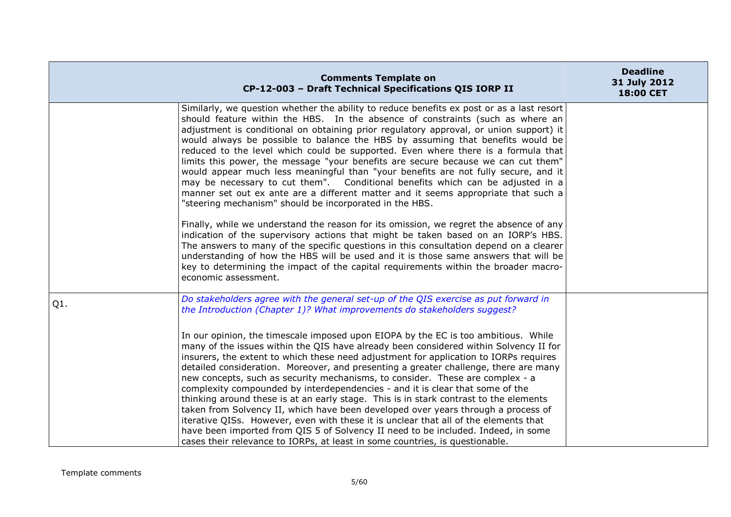| <b>Comments Template on</b><br>CP-12-003 - Draft Technical Specifications QIS IORP II                                                                                                                                                                                                                                                                                                                                                                                                                                                                                                                                                                                                                                                                                                                                                                                                     | <b>Deadline</b><br>31 July 2012<br>18:00 CET                                 |
|-------------------------------------------------------------------------------------------------------------------------------------------------------------------------------------------------------------------------------------------------------------------------------------------------------------------------------------------------------------------------------------------------------------------------------------------------------------------------------------------------------------------------------------------------------------------------------------------------------------------------------------------------------------------------------------------------------------------------------------------------------------------------------------------------------------------------------------------------------------------------------------------|------------------------------------------------------------------------------|
| Similarly, we question whether the ability to reduce benefits ex post or as a last resort<br>should feature within the HBS. In the absence of constraints (such as where an<br>adjustment is conditional on obtaining prior regulatory approval, or union support) it<br>would always be possible to balance the HBS by assuming that benefits would be<br>reduced to the level which could be supported. Even where there is a formula that<br>limits this power, the message "your benefits are secure because we can cut them"<br>would appear much less meaningful than "your benefits are not fully secure, and it<br>may be necessary to cut them". Conditional benefits which can be adjusted in a<br>manner set out ex ante are a different matter and it seems appropriate that such a<br>"steering mechanism" should be incorporated in the HBS.                                |                                                                              |
| Finally, while we understand the reason for its omission, we regret the absence of any<br>indication of the supervisory actions that might be taken based on an IORP's HBS.<br>The answers to many of the specific questions in this consultation depend on a clearer<br>understanding of how the HBS will be used and it is those same answers that will be<br>key to determining the impact of the capital requirements within the broader macro-<br>economic assessment.                                                                                                                                                                                                                                                                                                                                                                                                               |                                                                              |
| Do stakeholders agree with the general set-up of the QIS exercise as put forward in<br>the Introduction (Chapter 1)? What improvements do stakeholders suggest?                                                                                                                                                                                                                                                                                                                                                                                                                                                                                                                                                                                                                                                                                                                           |                                                                              |
| In our opinion, the timescale imposed upon EIOPA by the EC is too ambitious. While<br>many of the issues within the QIS have already been considered within Solvency II for<br>insurers, the extent to which these need adjustment for application to IORPs requires<br>detailed consideration. Moreover, and presenting a greater challenge, there are many<br>new concepts, such as security mechanisms, to consider. These are complex - a<br>complexity compounded by interdependencies - and it is clear that some of the<br>thinking around these is at an early stage. This is in stark contrast to the elements<br>taken from Solvency II, which have been developed over years through a process of<br>iterative QISs. However, even with these it is unclear that all of the elements that<br>have been imported from QIS 5 of Solvency II need to be included. Indeed, in some |                                                                              |
|                                                                                                                                                                                                                                                                                                                                                                                                                                                                                                                                                                                                                                                                                                                                                                                                                                                                                           | cases their relevance to IORPs, at least in some countries, is questionable. |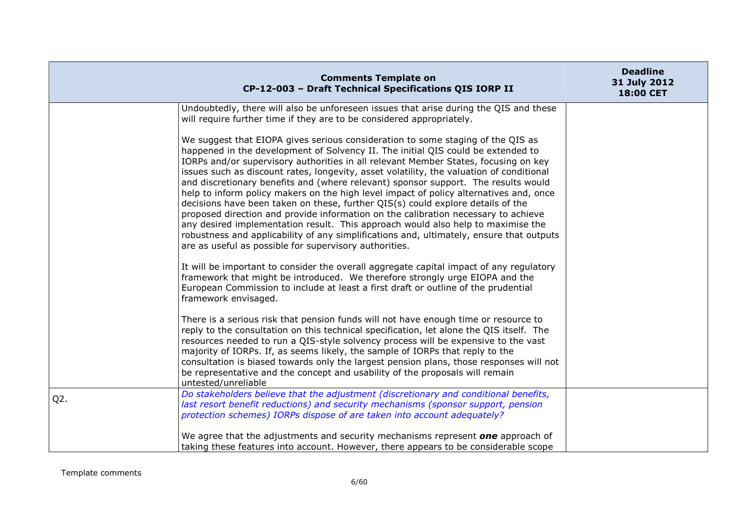|        | <b>Comments Template on</b><br>CP-12-003 - Draft Technical Specifications QIS IORP II                                                                                                                                                                                                                                                                                                                                                                                                                                                                                                                                                                                                                                                                                                                                                                                                                                                                     | <b>Deadline</b><br>31 July 2012<br>18:00 CET |
|--------|-----------------------------------------------------------------------------------------------------------------------------------------------------------------------------------------------------------------------------------------------------------------------------------------------------------------------------------------------------------------------------------------------------------------------------------------------------------------------------------------------------------------------------------------------------------------------------------------------------------------------------------------------------------------------------------------------------------------------------------------------------------------------------------------------------------------------------------------------------------------------------------------------------------------------------------------------------------|----------------------------------------------|
|        | Undoubtedly, there will also be unforeseen issues that arise during the QIS and these<br>will require further time if they are to be considered appropriately.                                                                                                                                                                                                                                                                                                                                                                                                                                                                                                                                                                                                                                                                                                                                                                                            |                                              |
|        | We suggest that EIOPA gives serious consideration to some staging of the QIS as<br>happened in the development of Solvency II. The initial QIS could be extended to<br>IORPs and/or supervisory authorities in all relevant Member States, focusing on key<br>issues such as discount rates, longevity, asset volatility, the valuation of conditional<br>and discretionary benefits and (where relevant) sponsor support. The results would<br>help to inform policy makers on the high level impact of policy alternatives and, once<br>decisions have been taken on these, further QIS(s) could explore details of the<br>proposed direction and provide information on the calibration necessary to achieve<br>any desired implementation result. This approach would also help to maximise the<br>robustness and applicability of any simplifications and, ultimately, ensure that outputs<br>are as useful as possible for supervisory authorities. |                                              |
|        | It will be important to consider the overall aggregate capital impact of any regulatory<br>framework that might be introduced. We therefore strongly urge EIOPA and the<br>European Commission to include at least a first draft or outline of the prudential<br>framework envisaged.                                                                                                                                                                                                                                                                                                                                                                                                                                                                                                                                                                                                                                                                     |                                              |
|        | There is a serious risk that pension funds will not have enough time or resource to<br>reply to the consultation on this technical specification, let alone the QIS itself. The<br>resources needed to run a QIS-style solvency process will be expensive to the vast<br>majority of IORPs. If, as seems likely, the sample of IORPs that reply to the<br>consultation is biased towards only the largest pension plans, those responses will not<br>be representative and the concept and usability of the proposals will remain<br>untested/unreliable                                                                                                                                                                                                                                                                                                                                                                                                  |                                              |
| $Q2$ . | Do stakeholders believe that the adjustment (discretionary and conditional benefits,<br>last resort benefit reductions) and security mechanisms (sponsor support, pension<br>protection schemes) IORPs dispose of are taken into account adequately?                                                                                                                                                                                                                                                                                                                                                                                                                                                                                                                                                                                                                                                                                                      |                                              |
|        | We agree that the adjustments and security mechanisms represent one approach of<br>taking these features into account. However, there appears to be considerable scope                                                                                                                                                                                                                                                                                                                                                                                                                                                                                                                                                                                                                                                                                                                                                                                    |                                              |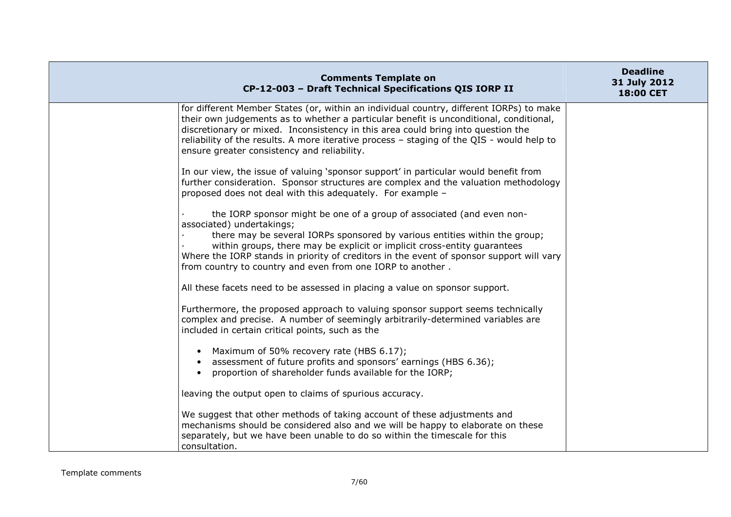| <b>Comments Template on</b><br>CP-12-003 - Draft Technical Specifications QIS IORP II                                                                                                                                                                                                                                                                                                                                  | <b>Deadline</b><br>31 July 2012<br>18:00 CET |
|------------------------------------------------------------------------------------------------------------------------------------------------------------------------------------------------------------------------------------------------------------------------------------------------------------------------------------------------------------------------------------------------------------------------|----------------------------------------------|
| for different Member States (or, within an individual country, different IORPs) to make<br>their own judgements as to whether a particular benefit is unconditional, conditional,<br>discretionary or mixed. Inconsistency in this area could bring into question the<br>reliability of the results. A more iterative process - staging of the QIS - would help to<br>ensure greater consistency and reliability.      |                                              |
| In our view, the issue of valuing 'sponsor support' in particular would benefit from<br>further consideration. Sponsor structures are complex and the valuation methodology<br>proposed does not deal with this adequately. For example -                                                                                                                                                                              |                                              |
| the IORP sponsor might be one of a group of associated (and even non-<br>associated) undertakings;<br>there may be several IORPs sponsored by various entities within the group;<br>within groups, there may be explicit or implicit cross-entity guarantees<br>Where the IORP stands in priority of creditors in the event of sponsor support will vary<br>from country to country and even from one IORP to another. |                                              |
| All these facets need to be assessed in placing a value on sponsor support.                                                                                                                                                                                                                                                                                                                                            |                                              |
| Furthermore, the proposed approach to valuing sponsor support seems technically<br>complex and precise. A number of seemingly arbitrarily-determined variables are<br>included in certain critical points, such as the                                                                                                                                                                                                 |                                              |
| • Maximum of 50% recovery rate (HBS 6.17);<br>assessment of future profits and sponsors' earnings (HBS 6.36);<br>proportion of shareholder funds available for the IORP;<br>$\bullet$                                                                                                                                                                                                                                  |                                              |
| leaving the output open to claims of spurious accuracy.                                                                                                                                                                                                                                                                                                                                                                |                                              |
| We suggest that other methods of taking account of these adjustments and<br>mechanisms should be considered also and we will be happy to elaborate on these<br>separately, but we have been unable to do so within the timescale for this<br>consultation.                                                                                                                                                             |                                              |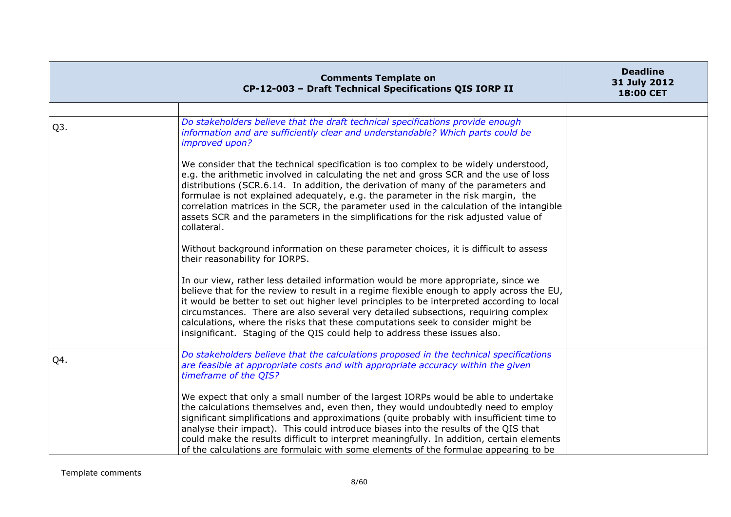|                  | <b>Comments Template on</b><br>CP-12-003 - Draft Technical Specifications QIS IORP II                                                                                                                                                                                                                                                                                                                                                                                                                                                                     | <b>Deadline</b><br>31 July 2012<br>18:00 CET |
|------------------|-----------------------------------------------------------------------------------------------------------------------------------------------------------------------------------------------------------------------------------------------------------------------------------------------------------------------------------------------------------------------------------------------------------------------------------------------------------------------------------------------------------------------------------------------------------|----------------------------------------------|
|                  |                                                                                                                                                                                                                                                                                                                                                                                                                                                                                                                                                           |                                              |
| Q <sub>3</sub> . | Do stakeholders believe that the draft technical specifications provide enough<br>information and are sufficiently clear and understandable? Which parts could be<br>improved upon?                                                                                                                                                                                                                                                                                                                                                                       |                                              |
|                  | We consider that the technical specification is too complex to be widely understood,<br>e.g. the arithmetic involved in calculating the net and gross SCR and the use of loss<br>distributions (SCR.6.14. In addition, the derivation of many of the parameters and<br>formulae is not explained adequately, e.g. the parameter in the risk margin, the<br>correlation matrices in the SCR, the parameter used in the calculation of the intangible<br>assets SCR and the parameters in the simplifications for the risk adjusted value of<br>collateral. |                                              |
|                  | Without background information on these parameter choices, it is difficult to assess<br>their reasonability for IORPS.                                                                                                                                                                                                                                                                                                                                                                                                                                    |                                              |
|                  | In our view, rather less detailed information would be more appropriate, since we<br>believe that for the review to result in a regime flexible enough to apply across the EU,<br>it would be better to set out higher level principles to be interpreted according to local<br>circumstances. There are also several very detailed subsections, requiring complex<br>calculations, where the risks that these computations seek to consider might be<br>insignificant. Staging of the QIS could help to address these issues also.                       |                                              |
| Q4.              | Do stakeholders believe that the calculations proposed in the technical specifications<br>are feasible at appropriate costs and with appropriate accuracy within the given<br>timeframe of the QIS?                                                                                                                                                                                                                                                                                                                                                       |                                              |
|                  | We expect that only a small number of the largest IORPs would be able to undertake<br>the calculations themselves and, even then, they would undoubtedly need to employ<br>significant simplifications and approximations (quite probably with insufficient time to<br>analyse their impact). This could introduce biases into the results of the QIS that<br>could make the results difficult to interpret meaningfully. In addition, certain elements<br>of the calculations are formulaic with some elements of the formulae appearing to be           |                                              |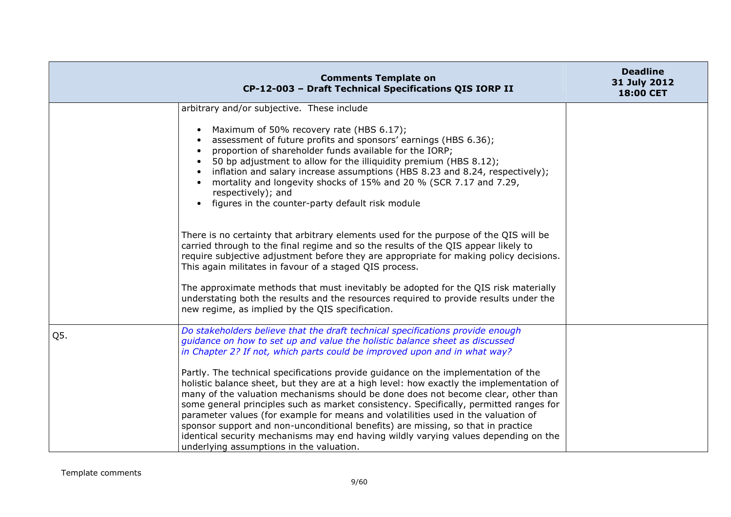|     | <b>Comments Template on</b><br>CP-12-003 - Draft Technical Specifications QIS IORP II                                                                                                                                                                                                                                                                                                                                                                                                                                                                                                                                                                                                                                                                                                                                                                                                                                  | <b>Deadline</b><br>31 July 2012<br>18:00 CET |
|-----|------------------------------------------------------------------------------------------------------------------------------------------------------------------------------------------------------------------------------------------------------------------------------------------------------------------------------------------------------------------------------------------------------------------------------------------------------------------------------------------------------------------------------------------------------------------------------------------------------------------------------------------------------------------------------------------------------------------------------------------------------------------------------------------------------------------------------------------------------------------------------------------------------------------------|----------------------------------------------|
|     | arbitrary and/or subjective. These include<br>Maximum of 50% recovery rate (HBS 6.17);<br>assessment of future profits and sponsors' earnings (HBS 6.36);<br>proportion of shareholder funds available for the IORP;<br>50 bp adjustment to allow for the illiquidity premium (HBS 8.12);<br>inflation and salary increase assumptions (HBS 8.23 and 8.24, respectively);<br>mortality and longevity shocks of 15% and 20 % (SCR 7.17 and 7.29,<br>respectively); and<br>figures in the counter-party default risk module<br>$\bullet$                                                                                                                                                                                                                                                                                                                                                                                 |                                              |
|     | There is no certainty that arbitrary elements used for the purpose of the QIS will be<br>carried through to the final regime and so the results of the QIS appear likely to<br>require subjective adjustment before they are appropriate for making policy decisions.<br>This again militates in favour of a staged QIS process.<br>The approximate methods that must inevitably be adopted for the QIS risk materially<br>understating both the results and the resources required to provide results under the<br>new regime, as implied by the QIS specification.                                                                                                                                                                                                                                                                                                                                                   |                                              |
| Q5. | Do stakeholders believe that the draft technical specifications provide enough<br>guidance on how to set up and value the holistic balance sheet as discussed<br>in Chapter 2? If not, which parts could be improved upon and in what way?<br>Partly. The technical specifications provide guidance on the implementation of the<br>holistic balance sheet, but they are at a high level: how exactly the implementation of<br>many of the valuation mechanisms should be done does not become clear, other than<br>some general principles such as market consistency. Specifically, permitted ranges for<br>parameter values (for example for means and volatilities used in the valuation of<br>sponsor support and non-unconditional benefits) are missing, so that in practice<br>identical security mechanisms may end having wildly varying values depending on the<br>underlying assumptions in the valuation. |                                              |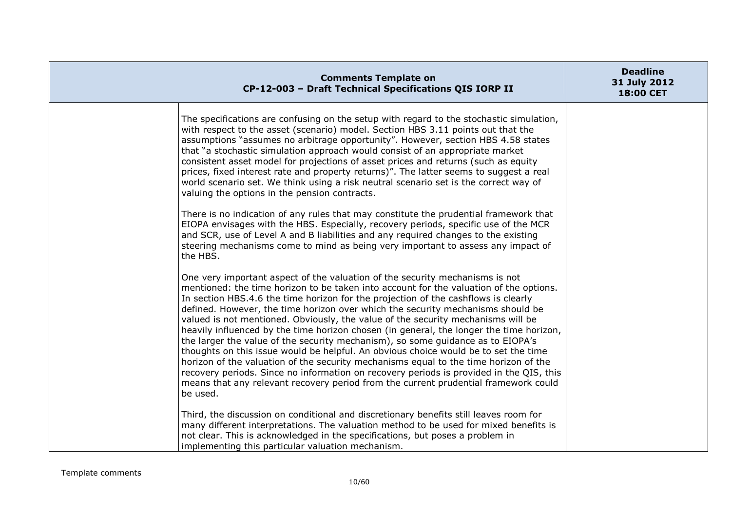| <b>Comments Template on</b><br>CP-12-003 - Draft Technical Specifications QIS IORP II                                                                                                                                                                                                                                                                                                                                                                                                                                                                                                                                                                                                                                                                                                                                                                                                                                                                                                          | <b>Deadline</b><br>31 July 2012<br>18:00 CET |
|------------------------------------------------------------------------------------------------------------------------------------------------------------------------------------------------------------------------------------------------------------------------------------------------------------------------------------------------------------------------------------------------------------------------------------------------------------------------------------------------------------------------------------------------------------------------------------------------------------------------------------------------------------------------------------------------------------------------------------------------------------------------------------------------------------------------------------------------------------------------------------------------------------------------------------------------------------------------------------------------|----------------------------------------------|
| The specifications are confusing on the setup with regard to the stochastic simulation,<br>with respect to the asset (scenario) model. Section HBS 3.11 points out that the<br>assumptions "assumes no arbitrage opportunity". However, section HBS 4.58 states<br>that "a stochastic simulation approach would consist of an appropriate market<br>consistent asset model for projections of asset prices and returns (such as equity<br>prices, fixed interest rate and property returns)". The latter seems to suggest a real<br>world scenario set. We think using a risk neutral scenario set is the correct way of<br>valuing the options in the pension contracts.                                                                                                                                                                                                                                                                                                                      |                                              |
| There is no indication of any rules that may constitute the prudential framework that<br>EIOPA envisages with the HBS. Especially, recovery periods, specific use of the MCR<br>and SCR, use of Level A and B liabilities and any required changes to the existing<br>steering mechanisms come to mind as being very important to assess any impact of<br>the HBS.                                                                                                                                                                                                                                                                                                                                                                                                                                                                                                                                                                                                                             |                                              |
| One very important aspect of the valuation of the security mechanisms is not<br>mentioned: the time horizon to be taken into account for the valuation of the options.<br>In section HBS.4.6 the time horizon for the projection of the cashflows is clearly<br>defined. However, the time horizon over which the security mechanisms should be<br>valued is not mentioned. Obviously, the value of the security mechanisms will be<br>heavily influenced by the time horizon chosen (in general, the longer the time horizon,<br>the larger the value of the security mechanism), so some guidance as to EIOPA's<br>thoughts on this issue would be helpful. An obvious choice would be to set the time<br>horizon of the valuation of the security mechanisms equal to the time horizon of the<br>recovery periods. Since no information on recovery periods is provided in the QIS, this<br>means that any relevant recovery period from the current prudential framework could<br>be used. |                                              |
| Third, the discussion on conditional and discretionary benefits still leaves room for<br>many different interpretations. The valuation method to be used for mixed benefits is<br>not clear. This is acknowledged in the specifications, but poses a problem in<br>implementing this particular valuation mechanism.                                                                                                                                                                                                                                                                                                                                                                                                                                                                                                                                                                                                                                                                           |                                              |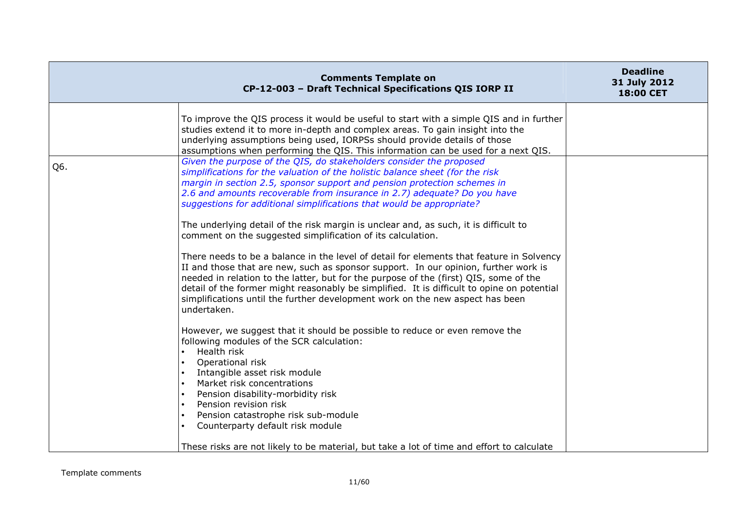|     | <b>Comments Template on</b><br>CP-12-003 - Draft Technical Specifications QIS IORP II                                                                                                                                                                                                                                                                                                                                                                                                                                                                                                                                                                                                                                                                                                                                                                                                                                                                                                                                                                                                                                                                                                                                                                                                                                                                                                                                                                                                                                                                                                                                                                                                                                                       | <b>Deadline</b><br>31 July 2012<br>18:00 CET |
|-----|---------------------------------------------------------------------------------------------------------------------------------------------------------------------------------------------------------------------------------------------------------------------------------------------------------------------------------------------------------------------------------------------------------------------------------------------------------------------------------------------------------------------------------------------------------------------------------------------------------------------------------------------------------------------------------------------------------------------------------------------------------------------------------------------------------------------------------------------------------------------------------------------------------------------------------------------------------------------------------------------------------------------------------------------------------------------------------------------------------------------------------------------------------------------------------------------------------------------------------------------------------------------------------------------------------------------------------------------------------------------------------------------------------------------------------------------------------------------------------------------------------------------------------------------------------------------------------------------------------------------------------------------------------------------------------------------------------------------------------------------|----------------------------------------------|
| Q6. | To improve the QIS process it would be useful to start with a simple QIS and in further<br>studies extend it to more in-depth and complex areas. To gain insight into the<br>underlying assumptions being used, IORPSs should provide details of those<br>assumptions when performing the QIS. This information can be used for a next QIS.<br>Given the purpose of the QIS, do stakeholders consider the proposed<br>simplifications for the valuation of the holistic balance sheet (for the risk<br>margin in section 2.5, sponsor support and pension protection schemes in<br>2.6 and amounts recoverable from insurance in 2.7) adequate? Do you have<br>suggestions for additional simplifications that would be appropriate?<br>The underlying detail of the risk margin is unclear and, as such, it is difficult to<br>comment on the suggested simplification of its calculation.<br>There needs to be a balance in the level of detail for elements that feature in Solvency<br>II and those that are new, such as sponsor support. In our opinion, further work is<br>needed in relation to the latter, but for the purpose of the (first) QIS, some of the<br>detail of the former might reasonably be simplified. It is difficult to opine on potential<br>simplifications until the further development work on the new aspect has been<br>undertaken.<br>However, we suggest that it should be possible to reduce or even remove the<br>following modules of the SCR calculation:<br>Health risk<br>Operational risk<br>Intangible asset risk module<br>Market risk concentrations<br>Pension disability-morbidity risk<br>Pension revision risk<br>Pension catastrophe risk sub-module<br>Counterparty default risk module |                                              |
|     | These risks are not likely to be material, but take a lot of time and effort to calculate                                                                                                                                                                                                                                                                                                                                                                                                                                                                                                                                                                                                                                                                                                                                                                                                                                                                                                                                                                                                                                                                                                                                                                                                                                                                                                                                                                                                                                                                                                                                                                                                                                                   |                                              |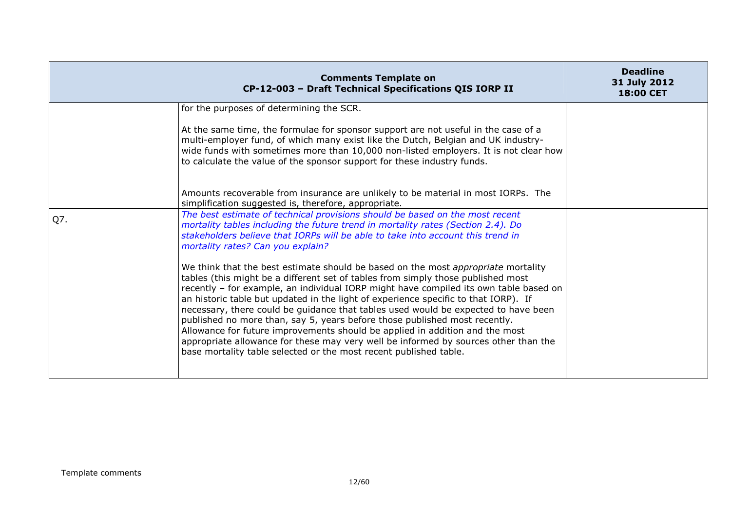|     | <b>Comments Template on</b><br>CP-12-003 - Draft Technical Specifications QIS IORP II                                                                                                                                                                                                                                                                                                                                                                                                                                                                                                                                                                                                                                                                                                                                                                                                                                                                                                                                                                             | <b>Deadline</b><br>31 July 2012<br>18:00 CET |
|-----|-------------------------------------------------------------------------------------------------------------------------------------------------------------------------------------------------------------------------------------------------------------------------------------------------------------------------------------------------------------------------------------------------------------------------------------------------------------------------------------------------------------------------------------------------------------------------------------------------------------------------------------------------------------------------------------------------------------------------------------------------------------------------------------------------------------------------------------------------------------------------------------------------------------------------------------------------------------------------------------------------------------------------------------------------------------------|----------------------------------------------|
|     | for the purposes of determining the SCR.<br>At the same time, the formulae for sponsor support are not useful in the case of a<br>multi-employer fund, of which many exist like the Dutch, Belgian and UK industry-<br>wide funds with sometimes more than 10,000 non-listed employers. It is not clear how<br>to calculate the value of the sponsor support for these industry funds.<br>Amounts recoverable from insurance are unlikely to be material in most IORPs. The<br>simplification suggested is, therefore, appropriate.                                                                                                                                                                                                                                                                                                                                                                                                                                                                                                                               |                                              |
| Q7. | The best estimate of technical provisions should be based on the most recent<br>mortality tables including the future trend in mortality rates (Section 2.4). Do<br>stakeholders believe that IORPs will be able to take into account this trend in<br>mortality rates? Can you explain?<br>We think that the best estimate should be based on the most appropriate mortality<br>tables (this might be a different set of tables from simply those published most<br>recently - for example, an individual IORP might have compiled its own table based on<br>an historic table but updated in the light of experience specific to that IORP). If<br>necessary, there could be guidance that tables used would be expected to have been<br>published no more than, say 5, years before those published most recently.<br>Allowance for future improvements should be applied in addition and the most<br>appropriate allowance for these may very well be informed by sources other than the<br>base mortality table selected or the most recent published table. |                                              |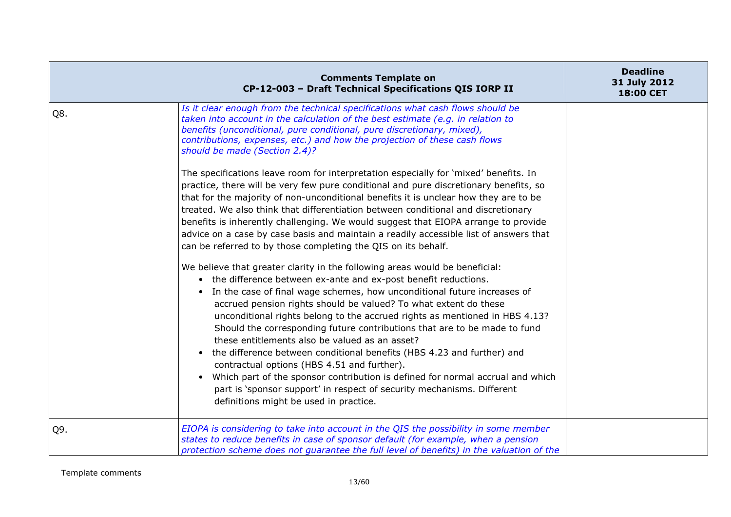|     | <b>Comments Template on</b><br>CP-12-003 - Draft Technical Specifications QIS IORP II                                                                                                                                                                                                                                                                                                                                                                                                                                                                                                                                                                                                                                                                                                                                                                                                                                                                                                                                                                                                                                                                                                                                                                                                                                                                                                                                                                                                                                                                                                                                                                                                                                                                                                                                                  | <b>Deadline</b><br>31 July 2012<br><b>18:00 CET</b> |
|-----|----------------------------------------------------------------------------------------------------------------------------------------------------------------------------------------------------------------------------------------------------------------------------------------------------------------------------------------------------------------------------------------------------------------------------------------------------------------------------------------------------------------------------------------------------------------------------------------------------------------------------------------------------------------------------------------------------------------------------------------------------------------------------------------------------------------------------------------------------------------------------------------------------------------------------------------------------------------------------------------------------------------------------------------------------------------------------------------------------------------------------------------------------------------------------------------------------------------------------------------------------------------------------------------------------------------------------------------------------------------------------------------------------------------------------------------------------------------------------------------------------------------------------------------------------------------------------------------------------------------------------------------------------------------------------------------------------------------------------------------------------------------------------------------------------------------------------------------|-----------------------------------------------------|
| Q8. | Is it clear enough from the technical specifications what cash flows should be<br>taken into account in the calculation of the best estimate (e.g. in relation to<br>benefits (unconditional, pure conditional, pure discretionary, mixed),<br>contributions, expenses, etc.) and how the projection of these cash flows<br>should be made (Section 2.4)?<br>The specifications leave room for interpretation especially for 'mixed' benefits. In<br>practice, there will be very few pure conditional and pure discretionary benefits, so<br>that for the majority of non-unconditional benefits it is unclear how they are to be<br>treated. We also think that differentiation between conditional and discretionary<br>benefits is inherently challenging. We would suggest that EIOPA arrange to provide<br>advice on a case by case basis and maintain a readily accessible list of answers that<br>can be referred to by those completing the QIS on its behalf.<br>We believe that greater clarity in the following areas would be beneficial:<br>• the difference between ex-ante and ex-post benefit reductions.<br>• In the case of final wage schemes, how unconditional future increases of<br>accrued pension rights should be valued? To what extent do these<br>unconditional rights belong to the accrued rights as mentioned in HBS 4.13?<br>Should the corresponding future contributions that are to be made to fund<br>these entitlements also be valued as an asset?<br>the difference between conditional benefits (HBS 4.23 and further) and<br>contractual options (HBS 4.51 and further).<br>Which part of the sponsor contribution is defined for normal accrual and which<br>$\bullet$<br>part is 'sponsor support' in respect of security mechanisms. Different<br>definitions might be used in practice. |                                                     |
| Q9. | EIOPA is considering to take into account in the QIS the possibility in some member<br>states to reduce benefits in case of sponsor default (for example, when a pension<br>protection scheme does not guarantee the full level of benefits) in the valuation of the                                                                                                                                                                                                                                                                                                                                                                                                                                                                                                                                                                                                                                                                                                                                                                                                                                                                                                                                                                                                                                                                                                                                                                                                                                                                                                                                                                                                                                                                                                                                                                   |                                                     |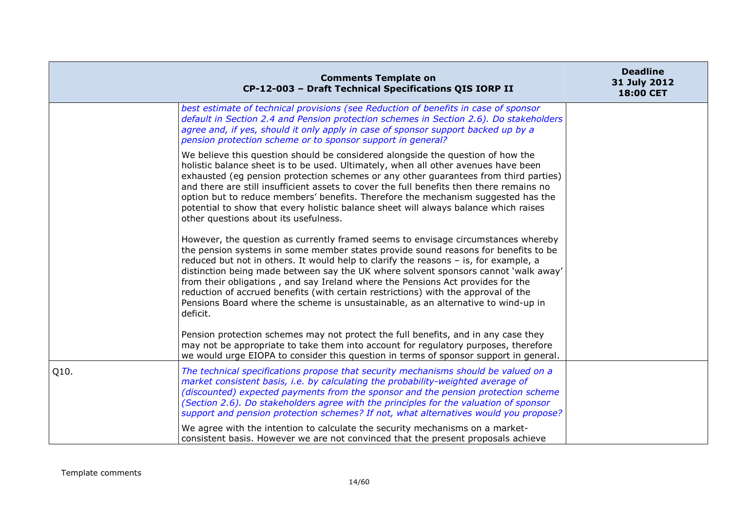|      | <b>Comments Template on</b><br>CP-12-003 - Draft Technical Specifications QIS IORP II                                                                                                                                                                                                                                                                                                                                                                                                                                                                                                                                            | <b>Deadline</b><br>31 July 2012<br>18:00 CET |
|------|----------------------------------------------------------------------------------------------------------------------------------------------------------------------------------------------------------------------------------------------------------------------------------------------------------------------------------------------------------------------------------------------------------------------------------------------------------------------------------------------------------------------------------------------------------------------------------------------------------------------------------|----------------------------------------------|
|      | best estimate of technical provisions (see Reduction of benefits in case of sponsor<br>default in Section 2.4 and Pension protection schemes in Section 2.6). Do stakeholders<br>agree and, if yes, should it only apply in case of sponsor support backed up by a<br>pension protection scheme or to sponsor support in general?                                                                                                                                                                                                                                                                                                |                                              |
|      | We believe this question should be considered alongside the question of how the<br>holistic balance sheet is to be used. Ultimately, when all other avenues have been<br>exhausted (eq pension protection schemes or any other guarantees from third parties)<br>and there are still insufficient assets to cover the full benefits then there remains no<br>option but to reduce members' benefits. Therefore the mechanism suggested has the<br>potential to show that every holistic balance sheet will always balance which raises<br>other questions about its usefulness.                                                  |                                              |
|      | However, the question as currently framed seems to envisage circumstances whereby<br>the pension systems in some member states provide sound reasons for benefits to be<br>reduced but not in others. It would help to clarify the reasons - is, for example, a<br>distinction being made between say the UK where solvent sponsors cannot 'walk away'<br>from their obligations, and say Ireland where the Pensions Act provides for the<br>reduction of accrued benefits (with certain restrictions) with the approval of the<br>Pensions Board where the scheme is unsustainable, as an alternative to wind-up in<br>deficit. |                                              |
|      | Pension protection schemes may not protect the full benefits, and in any case they<br>may not be appropriate to take them into account for regulatory purposes, therefore<br>we would urge EIOPA to consider this question in terms of sponsor support in general.                                                                                                                                                                                                                                                                                                                                                               |                                              |
| Q10. | The technical specifications propose that security mechanisms should be valued on a<br>market consistent basis, i.e. by calculating the probability-weighted average of<br>(discounted) expected payments from the sponsor and the pension protection scheme<br>(Section 2.6). Do stakeholders agree with the principles for the valuation of sponsor<br>support and pension protection schemes? If not, what alternatives would you propose?                                                                                                                                                                                    |                                              |
|      | We agree with the intention to calculate the security mechanisms on a market-<br>consistent basis. However we are not convinced that the present proposals achieve                                                                                                                                                                                                                                                                                                                                                                                                                                                               |                                              |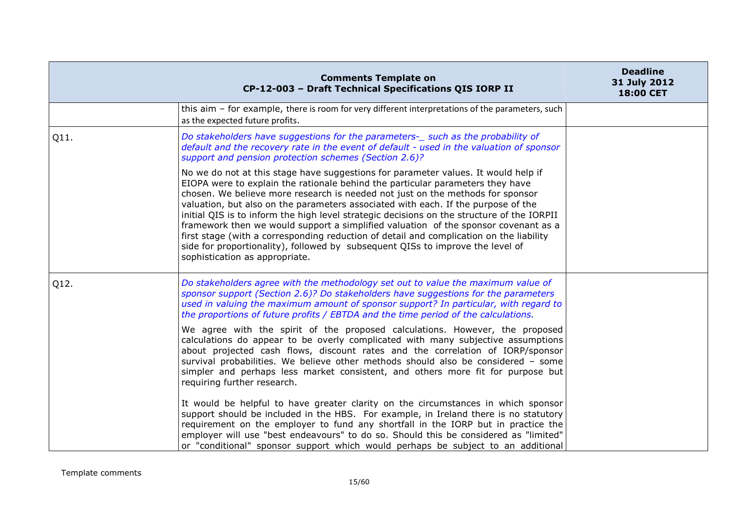|      | <b>Comments Template on</b><br>CP-12-003 - Draft Technical Specifications QIS IORP II                                                                                                                                                                                                                                                                                                                                                                                                                                                                                                                                                                                                                                                           | <b>Deadline</b><br>31 July 2012<br>18:00 CET |
|------|-------------------------------------------------------------------------------------------------------------------------------------------------------------------------------------------------------------------------------------------------------------------------------------------------------------------------------------------------------------------------------------------------------------------------------------------------------------------------------------------------------------------------------------------------------------------------------------------------------------------------------------------------------------------------------------------------------------------------------------------------|----------------------------------------------|
|      | this aim - for example, there is room for very different interpretations of the parameters, such<br>as the expected future profits.                                                                                                                                                                                                                                                                                                                                                                                                                                                                                                                                                                                                             |                                              |
| Q11. | Do stakeholders have suggestions for the parameters-_ such as the probability of<br>default and the recovery rate in the event of default - used in the valuation of sponsor<br>support and pension protection schemes (Section 2.6)?                                                                                                                                                                                                                                                                                                                                                                                                                                                                                                           |                                              |
|      | No we do not at this stage have suggestions for parameter values. It would help if<br>EIOPA were to explain the rationale behind the particular parameters they have<br>chosen. We believe more research is needed not just on the methods for sponsor<br>valuation, but also on the parameters associated with each. If the purpose of the<br>initial QIS is to inform the high level strategic decisions on the structure of the IORPII<br>framework then we would support a simplified valuation of the sponsor covenant as a<br>first stage (with a corresponding reduction of detail and complication on the liability<br>side for proportionality), followed by subsequent QISs to improve the level of<br>sophistication as appropriate. |                                              |
| Q12. | Do stakeholders agree with the methodology set out to value the maximum value of<br>sponsor support (Section 2.6)? Do stakeholders have suggestions for the parameters<br>used in valuing the maximum amount of sponsor support? In particular, with regard to<br>the proportions of future profits / EBTDA and the time period of the calculations.<br>We agree with the spirit of the proposed calculations. However, the proposed                                                                                                                                                                                                                                                                                                            |                                              |
|      | calculations do appear to be overly complicated with many subjective assumptions<br>about projected cash flows, discount rates and the correlation of IORP/sponsor<br>survival probabilities. We believe other methods should also be considered - some<br>simpler and perhaps less market consistent, and others more fit for purpose but<br>requiring further research.                                                                                                                                                                                                                                                                                                                                                                       |                                              |
|      | It would be helpful to have greater clarity on the circumstances in which sponsor<br>support should be included in the HBS. For example, in Ireland there is no statutory<br>requirement on the employer to fund any shortfall in the IORP but in practice the<br>employer will use "best endeavours" to do so. Should this be considered as "limited"<br>or "conditional" sponsor support which would perhaps be subject to an additional                                                                                                                                                                                                                                                                                                      |                                              |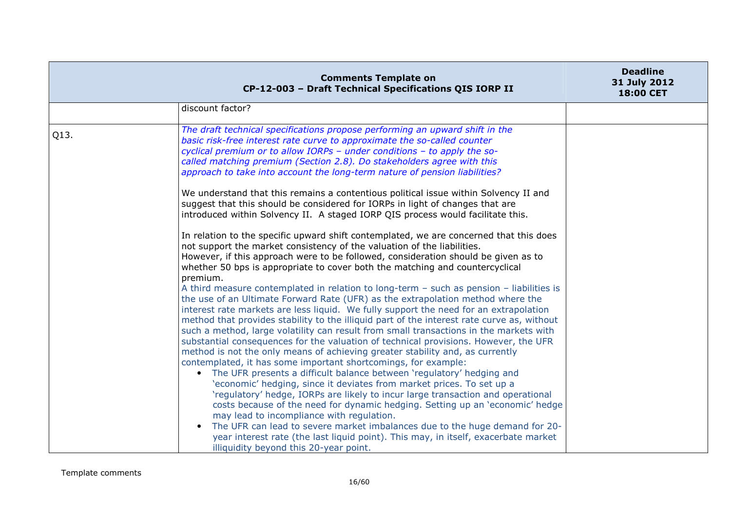|      | <b>Comments Template on</b><br>CP-12-003 - Draft Technical Specifications QIS IORP II                                                                                                                                                                                                                                                                                                                                                                                                                                                                                                                                                                                                                                                                                                                                                                                                                                                                                                                                                                                                                                                                                                                                                                                                                                                                                                                                                                                                                                                                                                                                                                                                                                                                                                                                                                                                                                                                                                                                                                                                                                                                                                                                                                                                                          | <b>Deadline</b><br>31 July 2012<br><b>18:00 CET</b> |
|------|----------------------------------------------------------------------------------------------------------------------------------------------------------------------------------------------------------------------------------------------------------------------------------------------------------------------------------------------------------------------------------------------------------------------------------------------------------------------------------------------------------------------------------------------------------------------------------------------------------------------------------------------------------------------------------------------------------------------------------------------------------------------------------------------------------------------------------------------------------------------------------------------------------------------------------------------------------------------------------------------------------------------------------------------------------------------------------------------------------------------------------------------------------------------------------------------------------------------------------------------------------------------------------------------------------------------------------------------------------------------------------------------------------------------------------------------------------------------------------------------------------------------------------------------------------------------------------------------------------------------------------------------------------------------------------------------------------------------------------------------------------------------------------------------------------------------------------------------------------------------------------------------------------------------------------------------------------------------------------------------------------------------------------------------------------------------------------------------------------------------------------------------------------------------------------------------------------------------------------------------------------------------------------------------------------------|-----------------------------------------------------|
|      | discount factor?                                                                                                                                                                                                                                                                                                                                                                                                                                                                                                                                                                                                                                                                                                                                                                                                                                                                                                                                                                                                                                                                                                                                                                                                                                                                                                                                                                                                                                                                                                                                                                                                                                                                                                                                                                                                                                                                                                                                                                                                                                                                                                                                                                                                                                                                                               |                                                     |
| Q13. | The draft technical specifications propose performing an upward shift in the<br>basic risk-free interest rate curve to approximate the so-called counter<br>cyclical premium or to allow IORPs - under conditions - to apply the so-<br>called matching premium (Section 2.8). Do stakeholders agree with this<br>approach to take into account the long-term nature of pension liabilities?<br>We understand that this remains a contentious political issue within Solvency II and<br>suggest that this should be considered for IORPs in light of changes that are<br>introduced within Solvency II. A staged IORP QIS process would facilitate this.<br>In relation to the specific upward shift contemplated, we are concerned that this does<br>not support the market consistency of the valuation of the liabilities.<br>However, if this approach were to be followed, consideration should be given as to<br>whether 50 bps is appropriate to cover both the matching and countercyclical<br>premium.<br>A third measure contemplated in relation to long-term - such as pension - liabilities is<br>the use of an Ultimate Forward Rate (UFR) as the extrapolation method where the<br>interest rate markets are less liquid. We fully support the need for an extrapolation<br>method that provides stability to the illiquid part of the interest rate curve as, without<br>such a method, large volatility can result from small transactions in the markets with<br>substantial consequences for the valuation of technical provisions. However, the UFR<br>method is not the only means of achieving greater stability and, as currently<br>contemplated, it has some important shortcomings, for example:<br>• The UFR presents a difficult balance between 'regulatory' hedging and<br>'economic' hedging, since it deviates from market prices. To set up a<br>'regulatory' hedge, IORPs are likely to incur large transaction and operational<br>costs because of the need for dynamic hedging. Setting up an 'economic' hedge<br>may lead to incompliance with regulation.<br>The UFR can lead to severe market imbalances due to the huge demand for 20-<br>year interest rate (the last liquid point). This may, in itself, exacerbate market<br>illiquidity beyond this 20-year point. |                                                     |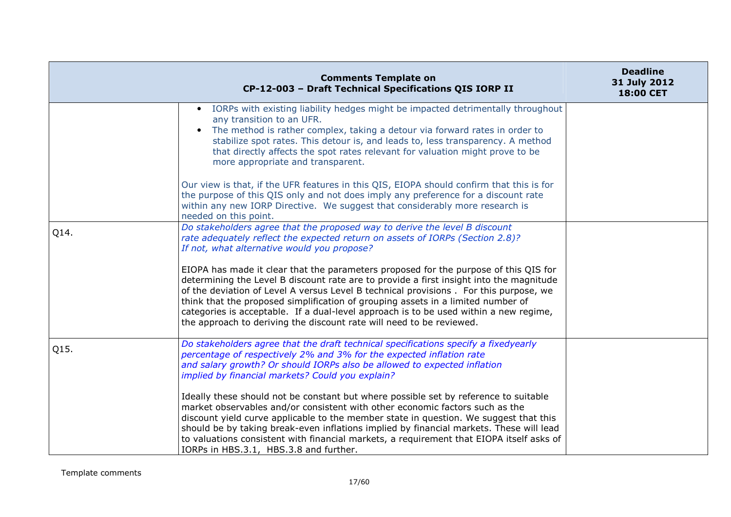|      | <b>Comments Template on</b><br>CP-12-003 - Draft Technical Specifications QIS IORP II                                                                                                                                                                                                                                                                                                                                                                                                                                          | <b>Deadline</b><br>31 July 2012<br>18:00 CET |
|------|--------------------------------------------------------------------------------------------------------------------------------------------------------------------------------------------------------------------------------------------------------------------------------------------------------------------------------------------------------------------------------------------------------------------------------------------------------------------------------------------------------------------------------|----------------------------------------------|
|      | IORPs with existing liability hedges might be impacted detrimentally throughout<br>$\bullet$<br>any transition to an UFR.<br>The method is rather complex, taking a detour via forward rates in order to<br>$\bullet$<br>stabilize spot rates. This detour is, and leads to, less transparency. A method<br>that directly affects the spot rates relevant for valuation might prove to be<br>more appropriate and transparent.                                                                                                 |                                              |
|      | Our view is that, if the UFR features in this QIS, EIOPA should confirm that this is for<br>the purpose of this QIS only and not does imply any preference for a discount rate<br>within any new IORP Directive. We suggest that considerably more research is<br>needed on this point.                                                                                                                                                                                                                                        |                                              |
| Q14. | Do stakeholders agree that the proposed way to derive the level B discount<br>rate adequately reflect the expected return on assets of IORPs (Section 2.8)?<br>If not, what alternative would you propose?                                                                                                                                                                                                                                                                                                                     |                                              |
|      | EIOPA has made it clear that the parameters proposed for the purpose of this QIS for<br>determining the Level B discount rate are to provide a first insight into the magnitude<br>of the deviation of Level A versus Level B technical provisions . For this purpose, we<br>think that the proposed simplification of grouping assets in a limited number of<br>categories is acceptable. If a dual-level approach is to be used within a new regime,<br>the approach to deriving the discount rate will need to be reviewed. |                                              |
| Q15. | Do stakeholders agree that the draft technical specifications specify a fixedyearly<br>percentage of respectively 2% and 3% for the expected inflation rate<br>and salary growth? Or should IORPs also be allowed to expected inflation<br>implied by financial markets? Could you explain?                                                                                                                                                                                                                                    |                                              |
|      | Ideally these should not be constant but where possible set by reference to suitable<br>market observables and/or consistent with other economic factors such as the<br>discount yield curve applicable to the member state in question. We suggest that this<br>should be by taking break-even inflations implied by financial markets. These will lead<br>to valuations consistent with financial markets, a requirement that EIOPA itself asks of<br>IORPs in HBS.3.1, HBS.3.8 and further.                                 |                                              |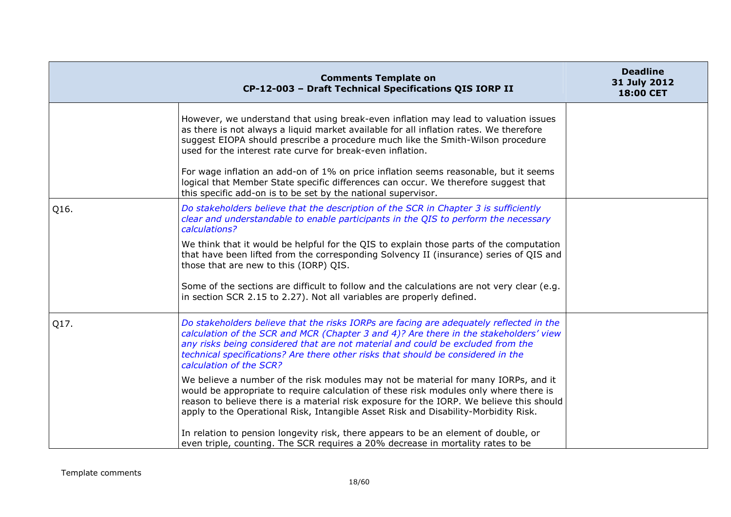|      | <b>Comments Template on</b><br>CP-12-003 - Draft Technical Specifications QIS IORP II                                                                                                                                                                                                                                                                                                                                                                                                                         | <b>Deadline</b><br>31 July 2012<br>18:00 CET |
|------|---------------------------------------------------------------------------------------------------------------------------------------------------------------------------------------------------------------------------------------------------------------------------------------------------------------------------------------------------------------------------------------------------------------------------------------------------------------------------------------------------------------|----------------------------------------------|
|      | However, we understand that using break-even inflation may lead to valuation issues<br>as there is not always a liquid market available for all inflation rates. We therefore<br>suggest EIOPA should prescribe a procedure much like the Smith-Wilson procedure<br>used for the interest rate curve for break-even inflation.<br>For wage inflation an add-on of 1% on price inflation seems reasonable, but it seems<br>logical that Member State specific differences can occur. We therefore suggest that |                                              |
| Q16. | this specific add-on is to be set by the national supervisor.<br>Do stakeholders believe that the description of the SCR in Chapter 3 is sufficiently<br>clear and understandable to enable participants in the QIS to perform the necessary<br>calculations?                                                                                                                                                                                                                                                 |                                              |
|      | We think that it would be helpful for the QIS to explain those parts of the computation<br>that have been lifted from the corresponding Solvency II (insurance) series of QIS and<br>those that are new to this (IORP) QIS.                                                                                                                                                                                                                                                                                   |                                              |
|      | Some of the sections are difficult to follow and the calculations are not very clear (e.g.<br>in section SCR 2.15 to 2.27). Not all variables are properly defined.                                                                                                                                                                                                                                                                                                                                           |                                              |
| Q17. | Do stakeholders believe that the risks IORPs are facing are adequately reflected in the<br>calculation of the SCR and MCR (Chapter 3 and 4)? Are there in the stakeholders' view<br>any risks being considered that are not material and could be excluded from the<br>technical specifications? Are there other risks that should be considered in the<br>calculation of the SCR?                                                                                                                            |                                              |
|      | We believe a number of the risk modules may not be material for many IORPs, and it<br>would be appropriate to require calculation of these risk modules only where there is<br>reason to believe there is a material risk exposure for the IORP. We believe this should<br>apply to the Operational Risk, Intangible Asset Risk and Disability-Morbidity Risk.                                                                                                                                                |                                              |
|      | In relation to pension longevity risk, there appears to be an element of double, or<br>even triple, counting. The SCR requires a 20% decrease in mortality rates to be                                                                                                                                                                                                                                                                                                                                        |                                              |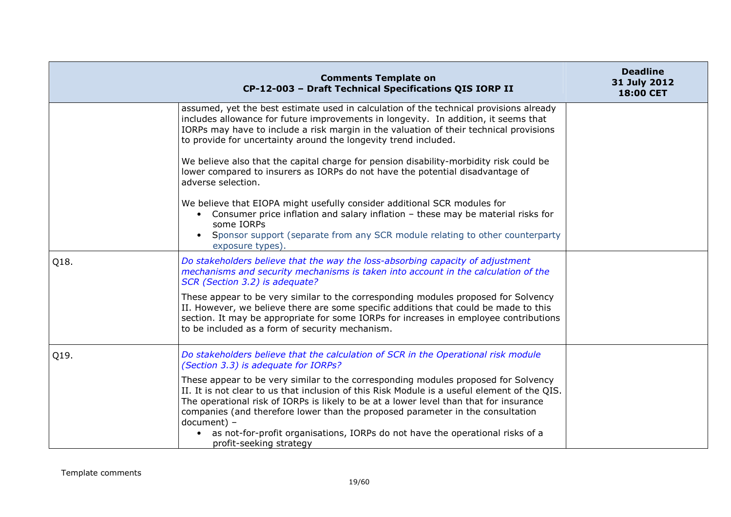|      | <b>Comments Template on</b><br>CP-12-003 - Draft Technical Specifications QIS IORP II                                                                                                                                                                                                                                                                                                                                                                                                                  | <b>Deadline</b><br>31 July 2012<br>18:00 CET |
|------|--------------------------------------------------------------------------------------------------------------------------------------------------------------------------------------------------------------------------------------------------------------------------------------------------------------------------------------------------------------------------------------------------------------------------------------------------------------------------------------------------------|----------------------------------------------|
|      | assumed, yet the best estimate used in calculation of the technical provisions already<br>includes allowance for future improvements in longevity. In addition, it seems that<br>IORPs may have to include a risk margin in the valuation of their technical provisions<br>to provide for uncertainty around the longevity trend included.                                                                                                                                                             |                                              |
|      | We believe also that the capital charge for pension disability-morbidity risk could be<br>lower compared to insurers as IORPs do not have the potential disadvantage of<br>adverse selection.                                                                                                                                                                                                                                                                                                          |                                              |
|      | We believe that EIOPA might usefully consider additional SCR modules for<br>• Consumer price inflation and salary inflation - these may be material risks for<br>some IORPs<br>Sponsor support (separate from any SCR module relating to other counterparty<br>$\bullet$<br>exposure types).                                                                                                                                                                                                           |                                              |
| Q18. | Do stakeholders believe that the way the loss-absorbing capacity of adjustment<br>mechanisms and security mechanisms is taken into account in the calculation of the<br>SCR (Section 3.2) is adequate?                                                                                                                                                                                                                                                                                                 |                                              |
|      | These appear to be very similar to the corresponding modules proposed for Solvency<br>II. However, we believe there are some specific additions that could be made to this<br>section. It may be appropriate for some IORPs for increases in employee contributions<br>to be included as a form of security mechanism.                                                                                                                                                                                 |                                              |
| Q19. | Do stakeholders believe that the calculation of SCR in the Operational risk module<br>(Section 3.3) is adequate for IORPs?                                                                                                                                                                                                                                                                                                                                                                             |                                              |
|      | These appear to be very similar to the corresponding modules proposed for Solvency<br>II. It is not clear to us that inclusion of this Risk Module is a useful element of the QIS.<br>The operational risk of IORPs is likely to be at a lower level than that for insurance<br>companies (and therefore lower than the proposed parameter in the consultation<br>document) -<br>as not-for-profit organisations, IORPs do not have the operational risks of a<br>$\bullet$<br>profit-seeking strategy |                                              |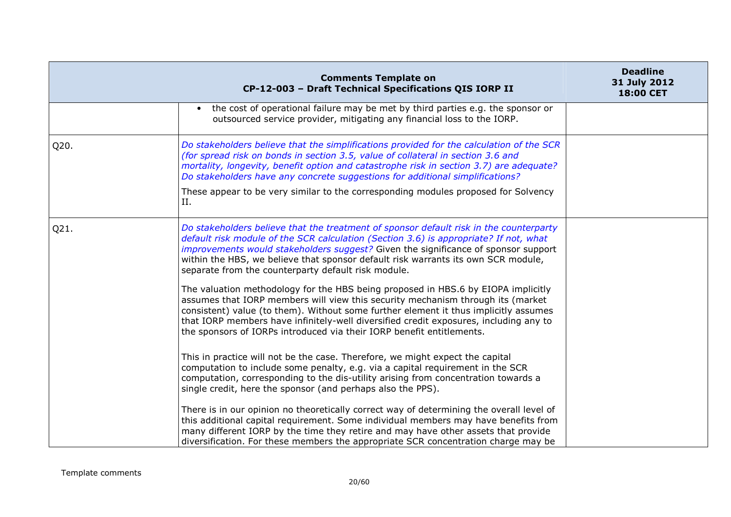|      | <b>Comments Template on</b><br>CP-12-003 - Draft Technical Specifications QIS IORP II                                                                                                                                                                                                                                                                                                                                                          | <b>Deadline</b><br>31 July 2012<br><b>18:00 CET</b> |
|------|------------------------------------------------------------------------------------------------------------------------------------------------------------------------------------------------------------------------------------------------------------------------------------------------------------------------------------------------------------------------------------------------------------------------------------------------|-----------------------------------------------------|
|      | the cost of operational failure may be met by third parties e.g. the sponsor or<br>outsourced service provider, mitigating any financial loss to the IORP.                                                                                                                                                                                                                                                                                     |                                                     |
| Q20. | Do stakeholders believe that the simplifications provided for the calculation of the SCR<br>(for spread risk on bonds in section 3.5, value of collateral in section 3.6 and<br>mortality, longevity, benefit option and catastrophe risk in section 3.7) are adequate?<br>Do stakeholders have any concrete suggestions for additional simplifications?<br>These appear to be very similar to the corresponding modules proposed for Solvency |                                                     |
|      | Η.                                                                                                                                                                                                                                                                                                                                                                                                                                             |                                                     |
| Q21. | Do stakeholders believe that the treatment of sponsor default risk in the counterparty<br>default risk module of the SCR calculation (Section 3.6) is appropriate? If not, what<br>improvements would stakeholders suggest? Given the significance of sponsor support<br>within the HBS, we believe that sponsor default risk warrants its own SCR module,<br>separate from the counterparty default risk module.                              |                                                     |
|      | The valuation methodology for the HBS being proposed in HBS.6 by EIOPA implicitly<br>assumes that IORP members will view this security mechanism through its (market<br>consistent) value (to them). Without some further element it thus implicitly assumes<br>that IORP members have infinitely-well diversified credit exposures, including any to<br>the sponsors of IORPs introduced via their IORP benefit entitlements.                 |                                                     |
|      | This in practice will not be the case. Therefore, we might expect the capital<br>computation to include some penalty, e.g. via a capital requirement in the SCR<br>computation, corresponding to the dis-utility arising from concentration towards a<br>single credit, here the sponsor (and perhaps also the PPS).                                                                                                                           |                                                     |
|      | There is in our opinion no theoretically correct way of determining the overall level of<br>this additional capital requirement. Some individual members may have benefits from<br>many different IORP by the time they retire and may have other assets that provide<br>diversification. For these members the appropriate SCR concentration charge may be                                                                                    |                                                     |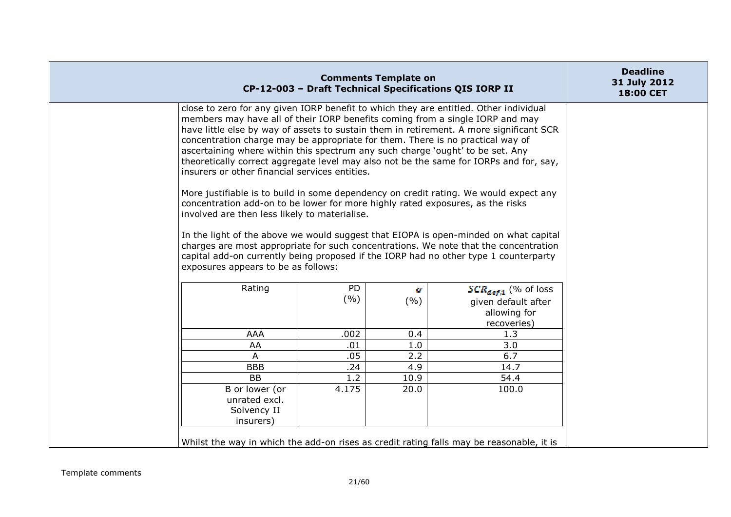| <b>Comments Template on</b><br>CP-12-003 - Draft Technical Specifications QIS IORP II                                                                                                                                                                                                                                                                                                                                                                                                                                                                                                                                                                                                                                                                                                                                                                                                                                                                                                                                                                                                                                        |                  |            |                                                                                | <b>Deadline</b><br>31 July 2012<br>18:00 CET |
|------------------------------------------------------------------------------------------------------------------------------------------------------------------------------------------------------------------------------------------------------------------------------------------------------------------------------------------------------------------------------------------------------------------------------------------------------------------------------------------------------------------------------------------------------------------------------------------------------------------------------------------------------------------------------------------------------------------------------------------------------------------------------------------------------------------------------------------------------------------------------------------------------------------------------------------------------------------------------------------------------------------------------------------------------------------------------------------------------------------------------|------------------|------------|--------------------------------------------------------------------------------|----------------------------------------------|
| close to zero for any given IORP benefit to which they are entitled. Other individual<br>members may have all of their IORP benefits coming from a single IORP and may<br>have little else by way of assets to sustain them in retirement. A more significant SCR<br>concentration charge may be appropriate for them. There is no practical way of<br>ascertaining where within this spectrum any such charge 'ought' to be set. Any<br>theoretically correct aggregate level may also not be the same for IORPs and for, say,<br>insurers or other financial services entities.<br>More justifiable is to build in some dependency on credit rating. We would expect any<br>concentration add-on to be lower for more highly rated exposures, as the risks<br>involved are then less likely to materialise.<br>In the light of the above we would suggest that EIOPA is open-minded on what capital<br>charges are most appropriate for such concentrations. We note that the concentration<br>capital add-on currently being proposed if the IORP had no other type 1 counterparty<br>exposures appears to be as follows: |                  |            |                                                                                |                                              |
| Rating                                                                                                                                                                                                                                                                                                                                                                                                                                                                                                                                                                                                                                                                                                                                                                                                                                                                                                                                                                                                                                                                                                                       | <b>PD</b><br>(%) | a.<br>(% ) | $SCR_{def,1}$ (% of loss<br>given default after<br>allowing for<br>recoveries) |                                              |
| <b>AAA</b>                                                                                                                                                                                                                                                                                                                                                                                                                                                                                                                                                                                                                                                                                                                                                                                                                                                                                                                                                                                                                                                                                                                   | .002             | 0.4        | 1.3                                                                            |                                              |
| AA                                                                                                                                                                                                                                                                                                                                                                                                                                                                                                                                                                                                                                                                                                                                                                                                                                                                                                                                                                                                                                                                                                                           | .01              | 1.0        | 3.0                                                                            |                                              |
| A                                                                                                                                                                                                                                                                                                                                                                                                                                                                                                                                                                                                                                                                                                                                                                                                                                                                                                                                                                                                                                                                                                                            | .05              | 2.2        | 6.7                                                                            |                                              |
| <b>BBB</b>                                                                                                                                                                                                                                                                                                                                                                                                                                                                                                                                                                                                                                                                                                                                                                                                                                                                                                                                                                                                                                                                                                                   | .24              | 4.9        | 14.7                                                                           |                                              |
| <b>BB</b>                                                                                                                                                                                                                                                                                                                                                                                                                                                                                                                                                                                                                                                                                                                                                                                                                                                                                                                                                                                                                                                                                                                    | 1.2              | 10.9       | 54.4                                                                           |                                              |
| B or lower (or<br>unrated excl.<br>Solvency II<br>insurers)                                                                                                                                                                                                                                                                                                                                                                                                                                                                                                                                                                                                                                                                                                                                                                                                                                                                                                                                                                                                                                                                  | 4.175            | 20.0       | 100.0                                                                          |                                              |
| Whilst the way in which the add-on rises as credit rating falls may be reasonable, it is                                                                                                                                                                                                                                                                                                                                                                                                                                                                                                                                                                                                                                                                                                                                                                                                                                                                                                                                                                                                                                     |                  |            |                                                                                |                                              |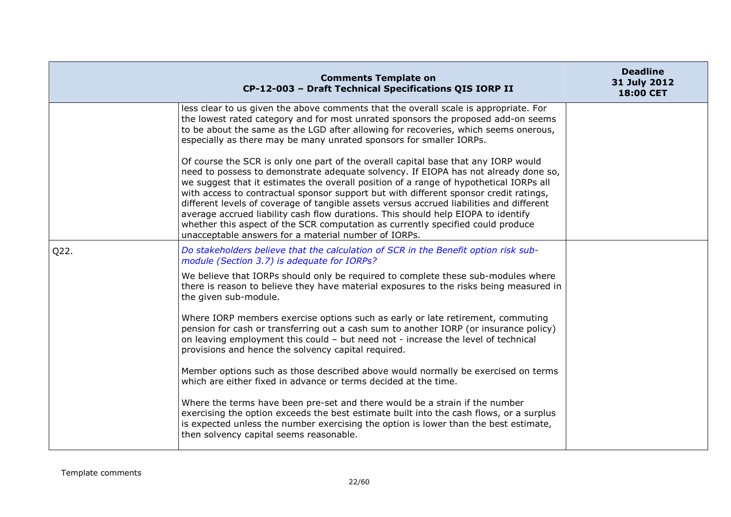|      | <b>Comments Template on</b><br>CP-12-003 - Draft Technical Specifications QIS IORP II                                                                                                                                                                                                                                                                                                                                                                                                                                                                                                                                                                                                    | <b>Deadline</b><br>31 July 2012<br><b>18:00 CET</b> |
|------|------------------------------------------------------------------------------------------------------------------------------------------------------------------------------------------------------------------------------------------------------------------------------------------------------------------------------------------------------------------------------------------------------------------------------------------------------------------------------------------------------------------------------------------------------------------------------------------------------------------------------------------------------------------------------------------|-----------------------------------------------------|
|      | less clear to us given the above comments that the overall scale is appropriate. For<br>the lowest rated category and for most unrated sponsors the proposed add-on seems<br>to be about the same as the LGD after allowing for recoveries, which seems onerous,<br>especially as there may be many unrated sponsors for smaller IORPs.                                                                                                                                                                                                                                                                                                                                                  |                                                     |
|      | Of course the SCR is only one part of the overall capital base that any IORP would<br>need to possess to demonstrate adequate solvency. If EIOPA has not already done so,<br>we suggest that it estimates the overall position of a range of hypothetical IORPs all<br>with access to contractual sponsor support but with different sponsor credit ratings,<br>different levels of coverage of tangible assets versus accrued liabilities and different<br>average accrued liability cash flow durations. This should help EIOPA to identify<br>whether this aspect of the SCR computation as currently specified could produce<br>unacceptable answers for a material number of IORPs. |                                                     |
| Q22. | Do stakeholders believe that the calculation of SCR in the Benefit option risk sub-<br>module (Section 3.7) is adequate for IORPs?                                                                                                                                                                                                                                                                                                                                                                                                                                                                                                                                                       |                                                     |
|      | We believe that IORPs should only be required to complete these sub-modules where<br>there is reason to believe they have material exposures to the risks being measured in<br>the given sub-module.                                                                                                                                                                                                                                                                                                                                                                                                                                                                                     |                                                     |
|      | Where IORP members exercise options such as early or late retirement, commuting<br>pension for cash or transferring out a cash sum to another IORP (or insurance policy)<br>on leaving employment this could - but need not - increase the level of technical<br>provisions and hence the solvency capital required.                                                                                                                                                                                                                                                                                                                                                                     |                                                     |
|      | Member options such as those described above would normally be exercised on terms<br>which are either fixed in advance or terms decided at the time.                                                                                                                                                                                                                                                                                                                                                                                                                                                                                                                                     |                                                     |
|      | Where the terms have been pre-set and there would be a strain if the number<br>exercising the option exceeds the best estimate built into the cash flows, or a surplus<br>is expected unless the number exercising the option is lower than the best estimate,<br>then solvency capital seems reasonable.                                                                                                                                                                                                                                                                                                                                                                                |                                                     |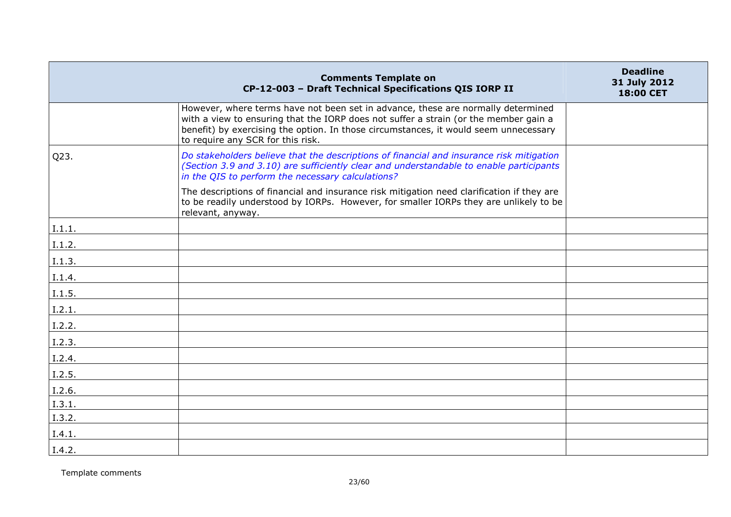|        | <b>Comments Template on</b><br>CP-12-003 - Draft Technical Specifications QIS IORP II                                                                                                                                                                                                                 | <b>Deadline</b><br>31 July 2012<br>18:00 CET |
|--------|-------------------------------------------------------------------------------------------------------------------------------------------------------------------------------------------------------------------------------------------------------------------------------------------------------|----------------------------------------------|
|        | However, where terms have not been set in advance, these are normally determined<br>with a view to ensuring that the IORP does not suffer a strain (or the member gain a<br>benefit) by exercising the option. In those circumstances, it would seem unnecessary<br>to require any SCR for this risk. |                                              |
| Q23.   | Do stakeholders believe that the descriptions of financial and insurance risk mitigation<br>(Section 3.9 and 3.10) are sufficiently clear and understandable to enable participants<br>in the QIS to perform the necessary calculations?                                                              |                                              |
|        | The descriptions of financial and insurance risk mitigation need clarification if they are<br>to be readily understood by IORPs. However, for smaller IORPs they are unlikely to be<br>relevant, anyway.                                                                                              |                                              |
| I.1.1. |                                                                                                                                                                                                                                                                                                       |                                              |
| I.1.2. |                                                                                                                                                                                                                                                                                                       |                                              |
| I.1.3. |                                                                                                                                                                                                                                                                                                       |                                              |
| I.1.4. |                                                                                                                                                                                                                                                                                                       |                                              |
| I.1.5. |                                                                                                                                                                                                                                                                                                       |                                              |
| I.2.1. |                                                                                                                                                                                                                                                                                                       |                                              |
| I.2.2. |                                                                                                                                                                                                                                                                                                       |                                              |
| I.2.3. |                                                                                                                                                                                                                                                                                                       |                                              |
| I.2.4. |                                                                                                                                                                                                                                                                                                       |                                              |
| I.2.5. |                                                                                                                                                                                                                                                                                                       |                                              |
| I.2.6. |                                                                                                                                                                                                                                                                                                       |                                              |
| I.3.1. |                                                                                                                                                                                                                                                                                                       |                                              |
| I.3.2. |                                                                                                                                                                                                                                                                                                       |                                              |
| I.4.1. |                                                                                                                                                                                                                                                                                                       |                                              |
| I.4.2. |                                                                                                                                                                                                                                                                                                       |                                              |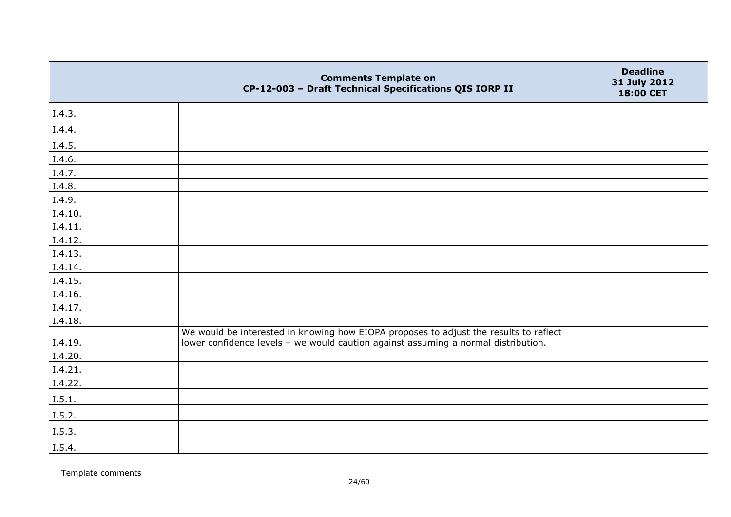|               | <b>Comments Template on</b><br>CP-12-003 - Draft Technical Specifications QIS IORP II | <b>Deadline</b><br>31 July 2012<br>18:00 CET |
|---------------|---------------------------------------------------------------------------------------|----------------------------------------------|
| I.4.3.        |                                                                                       |                                              |
| I.4.4.        |                                                                                       |                                              |
| I.4.5.        |                                                                                       |                                              |
| I.4.6.        |                                                                                       |                                              |
| I.4.7.        |                                                                                       |                                              |
| <u>I.4.8.</u> |                                                                                       |                                              |
| I.4.9.        |                                                                                       |                                              |
| I.4.10.       |                                                                                       |                                              |
| I.4.11.       |                                                                                       |                                              |
| I.4.12.       |                                                                                       |                                              |
| I.4.13.       |                                                                                       |                                              |
| I.4.14.       |                                                                                       |                                              |
| I.4.15.       |                                                                                       |                                              |
| I.4.16.       |                                                                                       |                                              |
| I.4.17.       |                                                                                       |                                              |
| I.4.18.       |                                                                                       |                                              |
|               | We would be interested in knowing how EIOPA proposes to adjust the results to reflect |                                              |
| I.4.19.       | lower confidence levels - we would caution against assuming a normal distribution.    |                                              |
| I.4.20.       |                                                                                       |                                              |
| I.4.21.       |                                                                                       |                                              |
| I.4.22.       |                                                                                       |                                              |
| I.5.1.        |                                                                                       |                                              |
| I.5.2.        |                                                                                       |                                              |
| I.5.3.        |                                                                                       |                                              |
| I.5.4.        |                                                                                       |                                              |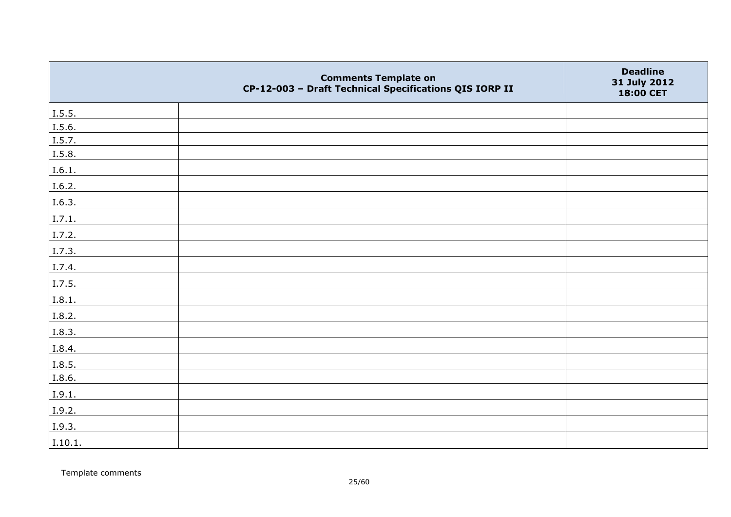|         | <b>Comments Template on</b><br>CP-12-003 - Draft Technical Specifications QIS IORP II | <b>Deadline</b><br>31 July 2012<br>18:00 CET |
|---------|---------------------------------------------------------------------------------------|----------------------------------------------|
| I.5.5.  |                                                                                       |                                              |
| I.5.6.  |                                                                                       |                                              |
| I.5.7.  |                                                                                       |                                              |
| I.5.8.  |                                                                                       |                                              |
| I.6.1.  |                                                                                       |                                              |
| I.6.2.  |                                                                                       |                                              |
| I.6.3.  |                                                                                       |                                              |
| I.7.1.  |                                                                                       |                                              |
| I.7.2.  |                                                                                       |                                              |
| I.7.3.  |                                                                                       |                                              |
| I.7.4.  |                                                                                       |                                              |
| I.7.5.  |                                                                                       |                                              |
| I.8.1.  |                                                                                       |                                              |
| I.8.2.  |                                                                                       |                                              |
| I.8.3.  |                                                                                       |                                              |
| I.8.4.  |                                                                                       |                                              |
| I.8.5.  |                                                                                       |                                              |
| I.8.6.  |                                                                                       |                                              |
| I.9.1.  |                                                                                       |                                              |
| I.9.2.  |                                                                                       |                                              |
| 1.9.3.  |                                                                                       |                                              |
| I.10.1. |                                                                                       |                                              |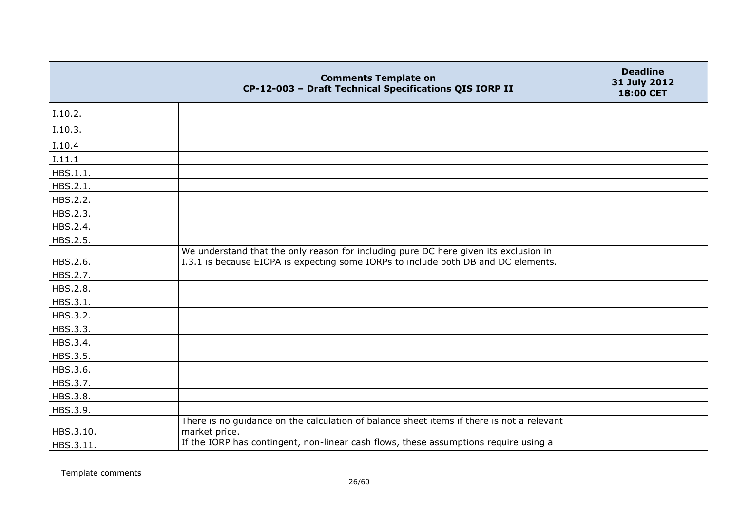|           | <b>Comments Template on</b><br>CP-12-003 - Draft Technical Specifications QIS IORP II                                                                                      | <b>Deadline</b><br>31 July 2012<br>18:00 CET |
|-----------|----------------------------------------------------------------------------------------------------------------------------------------------------------------------------|----------------------------------------------|
| I.10.2.   |                                                                                                                                                                            |                                              |
| I.10.3.   |                                                                                                                                                                            |                                              |
| I.10.4    |                                                                                                                                                                            |                                              |
| I.11.1    |                                                                                                                                                                            |                                              |
| HBS.1.1.  |                                                                                                                                                                            |                                              |
| HBS.2.1.  |                                                                                                                                                                            |                                              |
| HBS.2.2.  |                                                                                                                                                                            |                                              |
| HBS.2.3.  |                                                                                                                                                                            |                                              |
| HBS.2.4.  |                                                                                                                                                                            |                                              |
| HBS.2.5.  |                                                                                                                                                                            |                                              |
| HBS.2.6.  | We understand that the only reason for including pure DC here given its exclusion in<br>I.3.1 is because EIOPA is expecting some IORPs to include both DB and DC elements. |                                              |
| HBS.2.7.  |                                                                                                                                                                            |                                              |
| HBS.2.8.  |                                                                                                                                                                            |                                              |
| HBS.3.1.  |                                                                                                                                                                            |                                              |
| HBS.3.2.  |                                                                                                                                                                            |                                              |
| HBS.3.3.  |                                                                                                                                                                            |                                              |
| HBS.3.4.  |                                                                                                                                                                            |                                              |
| HBS.3.5.  |                                                                                                                                                                            |                                              |
| HBS.3.6.  |                                                                                                                                                                            |                                              |
| HBS.3.7.  |                                                                                                                                                                            |                                              |
| HBS.3.8.  |                                                                                                                                                                            |                                              |
| HBS.3.9.  |                                                                                                                                                                            |                                              |
| HBS.3.10. | There is no guidance on the calculation of balance sheet items if there is not a relevant<br>market price.                                                                 |                                              |
| HBS.3.11. | If the IORP has contingent, non-linear cash flows, these assumptions require using a                                                                                       |                                              |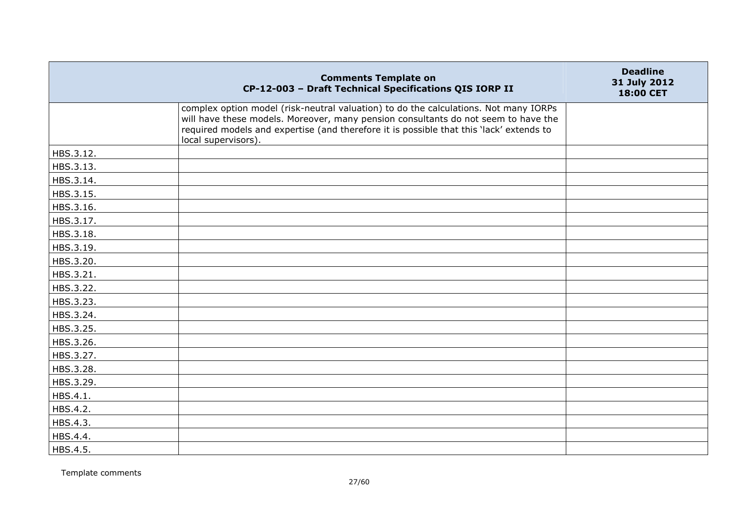|           | <b>Comments Template on</b><br>CP-12-003 - Draft Technical Specifications QIS IORP II                                                                                                                                                                                                        | <b>Deadline</b><br>31 July 2012<br>18:00 CET |
|-----------|----------------------------------------------------------------------------------------------------------------------------------------------------------------------------------------------------------------------------------------------------------------------------------------------|----------------------------------------------|
|           | complex option model (risk-neutral valuation) to do the calculations. Not many IORPs<br>will have these models. Moreover, many pension consultants do not seem to have the<br>required models and expertise (and therefore it is possible that this 'lack' extends to<br>local supervisors). |                                              |
| HBS.3.12. |                                                                                                                                                                                                                                                                                              |                                              |
| HBS.3.13. |                                                                                                                                                                                                                                                                                              |                                              |
| HBS.3.14. |                                                                                                                                                                                                                                                                                              |                                              |
| HBS.3.15. |                                                                                                                                                                                                                                                                                              |                                              |
| HBS.3.16. |                                                                                                                                                                                                                                                                                              |                                              |
| HBS.3.17. |                                                                                                                                                                                                                                                                                              |                                              |
| HBS.3.18. |                                                                                                                                                                                                                                                                                              |                                              |
| HBS.3.19. |                                                                                                                                                                                                                                                                                              |                                              |
| HBS.3.20. |                                                                                                                                                                                                                                                                                              |                                              |
| HBS.3.21. |                                                                                                                                                                                                                                                                                              |                                              |
| HBS.3.22. |                                                                                                                                                                                                                                                                                              |                                              |
| HBS.3.23. |                                                                                                                                                                                                                                                                                              |                                              |
| HBS.3.24. |                                                                                                                                                                                                                                                                                              |                                              |
| HBS.3.25. |                                                                                                                                                                                                                                                                                              |                                              |
| HBS.3.26. |                                                                                                                                                                                                                                                                                              |                                              |
| HBS.3.27. |                                                                                                                                                                                                                                                                                              |                                              |
| HBS.3.28. |                                                                                                                                                                                                                                                                                              |                                              |
| HBS.3.29. |                                                                                                                                                                                                                                                                                              |                                              |
| HBS.4.1.  |                                                                                                                                                                                                                                                                                              |                                              |
| HBS.4.2.  |                                                                                                                                                                                                                                                                                              |                                              |
| HBS.4.3.  |                                                                                                                                                                                                                                                                                              |                                              |
| HBS.4.4.  |                                                                                                                                                                                                                                                                                              |                                              |
| HBS.4.5.  |                                                                                                                                                                                                                                                                                              |                                              |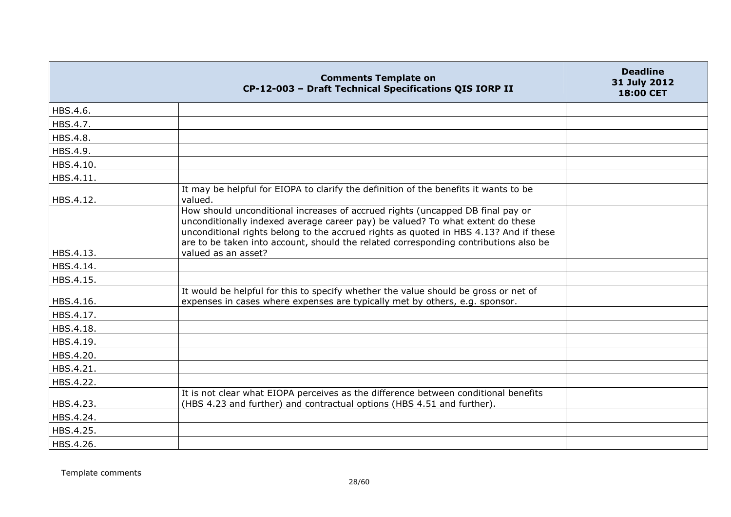|           | <b>Comments Template on</b><br>CP-12-003 - Draft Technical Specifications QIS IORP II                                                                                                                                                                                                                                                             | <b>Deadline</b><br>31 July 2012<br>18:00 CET |
|-----------|---------------------------------------------------------------------------------------------------------------------------------------------------------------------------------------------------------------------------------------------------------------------------------------------------------------------------------------------------|----------------------------------------------|
| HBS.4.6.  |                                                                                                                                                                                                                                                                                                                                                   |                                              |
| HBS.4.7.  |                                                                                                                                                                                                                                                                                                                                                   |                                              |
| HBS.4.8.  |                                                                                                                                                                                                                                                                                                                                                   |                                              |
| HBS.4.9.  |                                                                                                                                                                                                                                                                                                                                                   |                                              |
| HBS.4.10. |                                                                                                                                                                                                                                                                                                                                                   |                                              |
| HBS.4.11. |                                                                                                                                                                                                                                                                                                                                                   |                                              |
| HBS.4.12. | It may be helpful for EIOPA to clarify the definition of the benefits it wants to be<br>valued.                                                                                                                                                                                                                                                   |                                              |
|           | How should unconditional increases of accrued rights (uncapped DB final pay or<br>unconditionally indexed average career pay) be valued? To what extent do these<br>unconditional rights belong to the accrued rights as quoted in HBS 4.13? And if these<br>are to be taken into account, should the related corresponding contributions also be |                                              |
| HBS.4.13. | valued as an asset?                                                                                                                                                                                                                                                                                                                               |                                              |
| HBS.4.14. |                                                                                                                                                                                                                                                                                                                                                   |                                              |
| HBS.4.15. |                                                                                                                                                                                                                                                                                                                                                   |                                              |
| HBS.4.16. | It would be helpful for this to specify whether the value should be gross or net of<br>expenses in cases where expenses are typically met by others, e.g. sponsor.                                                                                                                                                                                |                                              |
| HBS.4.17. |                                                                                                                                                                                                                                                                                                                                                   |                                              |
| HBS.4.18. |                                                                                                                                                                                                                                                                                                                                                   |                                              |
| HBS.4.19. |                                                                                                                                                                                                                                                                                                                                                   |                                              |
| HBS.4.20. |                                                                                                                                                                                                                                                                                                                                                   |                                              |
| HBS.4.21. |                                                                                                                                                                                                                                                                                                                                                   |                                              |
| HBS.4.22. |                                                                                                                                                                                                                                                                                                                                                   |                                              |
| HBS.4.23. | It is not clear what EIOPA perceives as the difference between conditional benefits<br>(HBS 4.23 and further) and contractual options (HBS 4.51 and further).                                                                                                                                                                                     |                                              |
| HBS.4.24. |                                                                                                                                                                                                                                                                                                                                                   |                                              |
| HBS.4.25. |                                                                                                                                                                                                                                                                                                                                                   |                                              |
| HBS.4.26. |                                                                                                                                                                                                                                                                                                                                                   |                                              |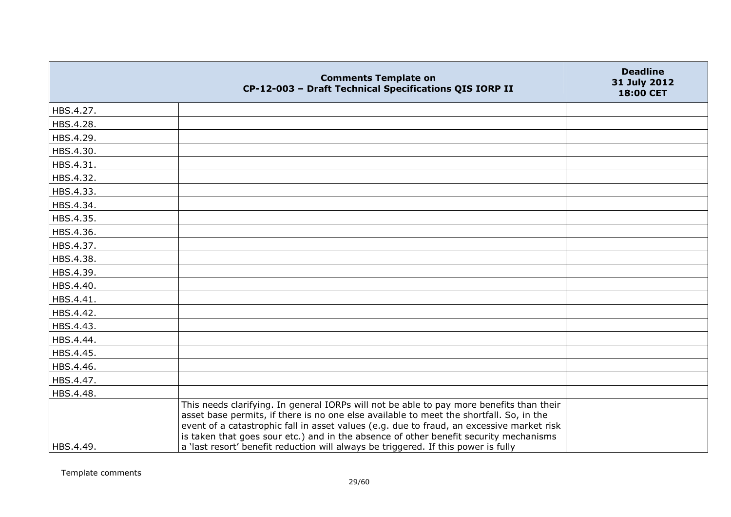| HBS.4.27.<br>HBS.4.28.<br>HBS.4.29.<br>HBS.4.30.<br>HBS.4.31.<br>HBS.4.32.<br>HBS.4.33.<br>HBS.4.34.<br>HBS.4.35.<br>HBS.4.36.<br>HBS.4.37.<br>HBS.4.38.<br>HBS.4.39.<br>HBS.4.40.<br>HBS.4.41.<br>HBS.4.42.<br>HBS.4.43.<br>HBS.4.44.<br>HBS.4.45.<br>HBS.4.46.<br>HBS.4.47.<br>HBS.4.48.<br>This needs clarifying. In general IORPs will not be able to pay more benefits than their | <b>Comments Template on</b><br>CP-12-003 - Draft Technical Specifications QIS IORP II   | <b>Deadline</b><br>31 July 2012<br>18:00 CET |
|----------------------------------------------------------------------------------------------------------------------------------------------------------------------------------------------------------------------------------------------------------------------------------------------------------------------------------------------------------------------------------------|-----------------------------------------------------------------------------------------|----------------------------------------------|
|                                                                                                                                                                                                                                                                                                                                                                                        |                                                                                         |                                              |
|                                                                                                                                                                                                                                                                                                                                                                                        |                                                                                         |                                              |
|                                                                                                                                                                                                                                                                                                                                                                                        |                                                                                         |                                              |
|                                                                                                                                                                                                                                                                                                                                                                                        |                                                                                         |                                              |
|                                                                                                                                                                                                                                                                                                                                                                                        |                                                                                         |                                              |
|                                                                                                                                                                                                                                                                                                                                                                                        |                                                                                         |                                              |
|                                                                                                                                                                                                                                                                                                                                                                                        |                                                                                         |                                              |
|                                                                                                                                                                                                                                                                                                                                                                                        |                                                                                         |                                              |
|                                                                                                                                                                                                                                                                                                                                                                                        |                                                                                         |                                              |
|                                                                                                                                                                                                                                                                                                                                                                                        |                                                                                         |                                              |
|                                                                                                                                                                                                                                                                                                                                                                                        |                                                                                         |                                              |
|                                                                                                                                                                                                                                                                                                                                                                                        |                                                                                         |                                              |
|                                                                                                                                                                                                                                                                                                                                                                                        |                                                                                         |                                              |
|                                                                                                                                                                                                                                                                                                                                                                                        |                                                                                         |                                              |
|                                                                                                                                                                                                                                                                                                                                                                                        |                                                                                         |                                              |
|                                                                                                                                                                                                                                                                                                                                                                                        |                                                                                         |                                              |
|                                                                                                                                                                                                                                                                                                                                                                                        |                                                                                         |                                              |
|                                                                                                                                                                                                                                                                                                                                                                                        |                                                                                         |                                              |
|                                                                                                                                                                                                                                                                                                                                                                                        |                                                                                         |                                              |
|                                                                                                                                                                                                                                                                                                                                                                                        |                                                                                         |                                              |
|                                                                                                                                                                                                                                                                                                                                                                                        |                                                                                         |                                              |
|                                                                                                                                                                                                                                                                                                                                                                                        |                                                                                         |                                              |
| event of a catastrophic fall in asset values (e.g. due to fraud, an excessive market risk<br>is taken that goes sour etc.) and in the absence of other benefit security mechanisms<br>a 'last resort' benefit reduction will always be triggered. If this power is fully<br>HBS.4.49.                                                                                                  | asset base permits, if there is no one else available to meet the shortfall. So, in the |                                              |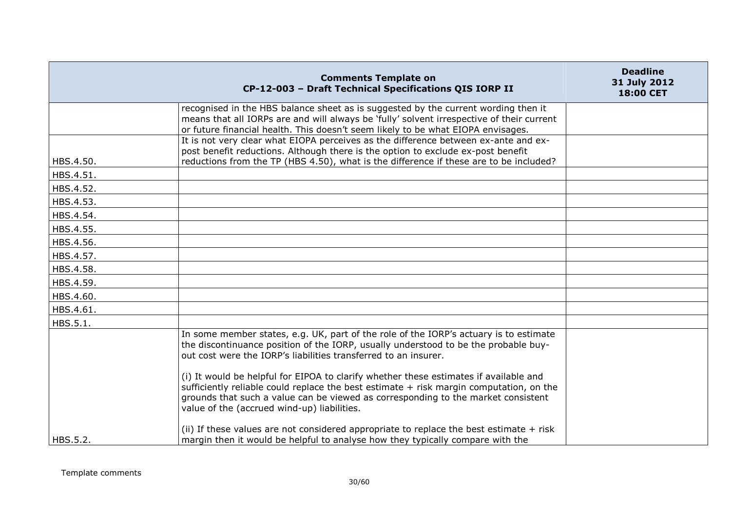|           | <b>Comments Template on</b><br>CP-12-003 - Draft Technical Specifications QIS IORP II                                                                                                                                                                                                                                                    | <b>Deadline</b><br>31 July 2012<br>18:00 CET |
|-----------|------------------------------------------------------------------------------------------------------------------------------------------------------------------------------------------------------------------------------------------------------------------------------------------------------------------------------------------|----------------------------------------------|
|           | recognised in the HBS balance sheet as is suggested by the current wording then it<br>means that all IORPs are and will always be 'fully' solvent irrespective of their current<br>or future financial health. This doesn't seem likely to be what EIOPA envisages.                                                                      |                                              |
| HBS.4.50. | It is not very clear what EIOPA perceives as the difference between ex-ante and ex-<br>post benefit reductions. Although there is the option to exclude ex-post benefit<br>reductions from the TP (HBS 4.50), what is the difference if these are to be included?                                                                        |                                              |
| HBS.4.51. |                                                                                                                                                                                                                                                                                                                                          |                                              |
| HBS.4.52. |                                                                                                                                                                                                                                                                                                                                          |                                              |
| HBS.4.53. |                                                                                                                                                                                                                                                                                                                                          |                                              |
| HBS.4.54. |                                                                                                                                                                                                                                                                                                                                          |                                              |
| HBS.4.55. |                                                                                                                                                                                                                                                                                                                                          |                                              |
| HBS.4.56. |                                                                                                                                                                                                                                                                                                                                          |                                              |
| HBS.4.57. |                                                                                                                                                                                                                                                                                                                                          |                                              |
| HBS.4.58. |                                                                                                                                                                                                                                                                                                                                          |                                              |
| HBS.4.59. |                                                                                                                                                                                                                                                                                                                                          |                                              |
| HBS.4.60. |                                                                                                                                                                                                                                                                                                                                          |                                              |
| HBS.4.61. |                                                                                                                                                                                                                                                                                                                                          |                                              |
| HBS.5.1.  |                                                                                                                                                                                                                                                                                                                                          |                                              |
|           | In some member states, e.g. UK, part of the role of the IORP's actuary is to estimate<br>the discontinuance position of the IORP, usually understood to be the probable buy-<br>out cost were the IORP's liabilities transferred to an insurer.<br>(i) It would be helpful for EIPOA to clarify whether these estimates if available and |                                              |
|           | sufficiently reliable could replace the best estimate + risk margin computation, on the<br>grounds that such a value can be viewed as corresponding to the market consistent<br>value of the (accrued wind-up) liabilities.                                                                                                              |                                              |
| HBS.5.2.  | (ii) If these values are not considered appropriate to replace the best estimate + risk<br>margin then it would be helpful to analyse how they typically compare with the                                                                                                                                                                |                                              |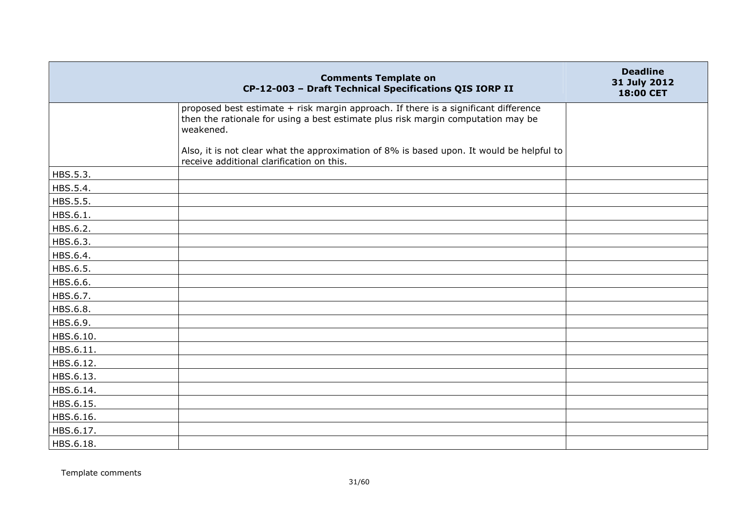|           | <b>Comments Template on</b><br>CP-12-003 - Draft Technical Specifications QIS IORP II                                                                                                | <b>Deadline</b><br>31 July 2012<br>18:00 CET |
|-----------|--------------------------------------------------------------------------------------------------------------------------------------------------------------------------------------|----------------------------------------------|
|           | proposed best estimate + risk margin approach. If there is a significant difference<br>then the rationale for using a best estimate plus risk margin computation may be<br>weakened. |                                              |
|           | Also, it is not clear what the approximation of 8% is based upon. It would be helpful to<br>receive additional clarification on this.                                                |                                              |
| HBS.5.3.  |                                                                                                                                                                                      |                                              |
| HBS.5.4.  |                                                                                                                                                                                      |                                              |
| HBS.5.5.  |                                                                                                                                                                                      |                                              |
| HBS.6.1.  |                                                                                                                                                                                      |                                              |
| HBS.6.2.  |                                                                                                                                                                                      |                                              |
| HBS.6.3.  |                                                                                                                                                                                      |                                              |
| HBS.6.4.  |                                                                                                                                                                                      |                                              |
| HBS.6.5.  |                                                                                                                                                                                      |                                              |
| HBS.6.6.  |                                                                                                                                                                                      |                                              |
| HBS.6.7.  |                                                                                                                                                                                      |                                              |
| HBS.6.8.  |                                                                                                                                                                                      |                                              |
| HBS.6.9.  |                                                                                                                                                                                      |                                              |
| HBS.6.10. |                                                                                                                                                                                      |                                              |
| HBS.6.11. |                                                                                                                                                                                      |                                              |
| HBS.6.12. |                                                                                                                                                                                      |                                              |
| HBS.6.13. |                                                                                                                                                                                      |                                              |
| HBS.6.14. |                                                                                                                                                                                      |                                              |
| HBS.6.15. |                                                                                                                                                                                      |                                              |
| HBS.6.16. |                                                                                                                                                                                      |                                              |
| HBS.6.17. |                                                                                                                                                                                      |                                              |
| HBS.6.18. |                                                                                                                                                                                      |                                              |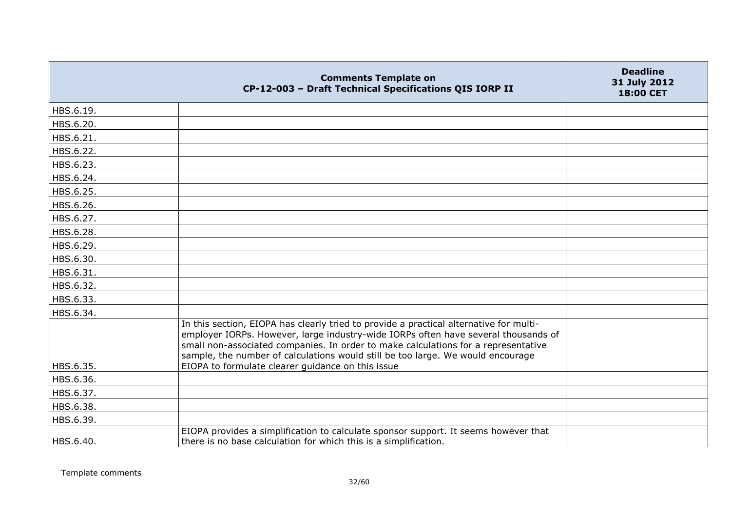|           | <b>Comments Template on</b><br>CP-12-003 - Draft Technical Specifications QIS IORP II                                                                                                                                                                                                                                                                 | <b>Deadline</b><br>31 July 2012<br>18:00 CET |
|-----------|-------------------------------------------------------------------------------------------------------------------------------------------------------------------------------------------------------------------------------------------------------------------------------------------------------------------------------------------------------|----------------------------------------------|
| HBS.6.19. |                                                                                                                                                                                                                                                                                                                                                       |                                              |
| HBS.6.20. |                                                                                                                                                                                                                                                                                                                                                       |                                              |
| HBS.6.21. |                                                                                                                                                                                                                                                                                                                                                       |                                              |
| HBS.6.22. |                                                                                                                                                                                                                                                                                                                                                       |                                              |
| HBS.6.23. |                                                                                                                                                                                                                                                                                                                                                       |                                              |
| HBS.6.24. |                                                                                                                                                                                                                                                                                                                                                       |                                              |
| HBS.6.25. |                                                                                                                                                                                                                                                                                                                                                       |                                              |
| HBS.6.26. |                                                                                                                                                                                                                                                                                                                                                       |                                              |
| HBS.6.27. |                                                                                                                                                                                                                                                                                                                                                       |                                              |
| HBS.6.28. |                                                                                                                                                                                                                                                                                                                                                       |                                              |
| HBS.6.29. |                                                                                                                                                                                                                                                                                                                                                       |                                              |
| HBS.6.30. |                                                                                                                                                                                                                                                                                                                                                       |                                              |
| HBS.6.31. |                                                                                                                                                                                                                                                                                                                                                       |                                              |
| HBS.6.32. |                                                                                                                                                                                                                                                                                                                                                       |                                              |
| HBS.6.33. |                                                                                                                                                                                                                                                                                                                                                       |                                              |
| HBS.6.34. |                                                                                                                                                                                                                                                                                                                                                       |                                              |
|           | In this section, EIOPA has clearly tried to provide a practical alternative for multi-<br>employer IORPs. However, large industry-wide IORPs often have several thousands of<br>small non-associated companies. In order to make calculations for a representative<br>sample, the number of calculations would still be too large. We would encourage |                                              |
| HBS.6.35. | EIOPA to formulate clearer guidance on this issue                                                                                                                                                                                                                                                                                                     |                                              |
| HBS.6.36. |                                                                                                                                                                                                                                                                                                                                                       |                                              |
| HBS.6.37. |                                                                                                                                                                                                                                                                                                                                                       |                                              |
| HBS.6.38. |                                                                                                                                                                                                                                                                                                                                                       |                                              |
| HBS.6.39. |                                                                                                                                                                                                                                                                                                                                                       |                                              |
| HBS.6.40. | EIOPA provides a simplification to calculate sponsor support. It seems however that<br>there is no base calculation for which this is a simplification.                                                                                                                                                                                               |                                              |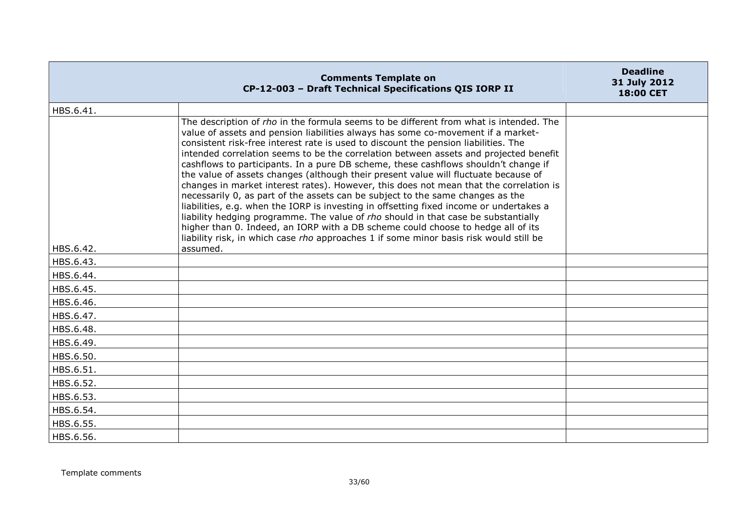|           | <b>Comments Template on</b><br>CP-12-003 - Draft Technical Specifications QIS IORP II                                                                                                                                                                                                                                                                                                                                                                                                                                                                                                                                                                                                                                                                                                                                                                                                                                                                                                                                                                                               | <b>Deadline</b><br>31 July 2012<br>18:00 CET |
|-----------|-------------------------------------------------------------------------------------------------------------------------------------------------------------------------------------------------------------------------------------------------------------------------------------------------------------------------------------------------------------------------------------------------------------------------------------------------------------------------------------------------------------------------------------------------------------------------------------------------------------------------------------------------------------------------------------------------------------------------------------------------------------------------------------------------------------------------------------------------------------------------------------------------------------------------------------------------------------------------------------------------------------------------------------------------------------------------------------|----------------------------------------------|
| HBS.6.41. |                                                                                                                                                                                                                                                                                                                                                                                                                                                                                                                                                                                                                                                                                                                                                                                                                                                                                                                                                                                                                                                                                     |                                              |
|           | The description of rho in the formula seems to be different from what is intended. The<br>value of assets and pension liabilities always has some co-movement if a market-<br>consistent risk-free interest rate is used to discount the pension liabilities. The<br>intended correlation seems to be the correlation between assets and projected benefit<br>cashflows to participants. In a pure DB scheme, these cashflows shouldn't change if<br>the value of assets changes (although their present value will fluctuate because of<br>changes in market interest rates). However, this does not mean that the correlation is<br>necessarily 0, as part of the assets can be subject to the same changes as the<br>liabilities, e.g. when the IORP is investing in offsetting fixed income or undertakes a<br>liability hedging programme. The value of rho should in that case be substantially<br>higher than 0. Indeed, an IORP with a DB scheme could choose to hedge all of its<br>liability risk, in which case rho approaches 1 if some minor basis risk would still be |                                              |
| HBS.6.42. | assumed.                                                                                                                                                                                                                                                                                                                                                                                                                                                                                                                                                                                                                                                                                                                                                                                                                                                                                                                                                                                                                                                                            |                                              |
| HBS.6.43. |                                                                                                                                                                                                                                                                                                                                                                                                                                                                                                                                                                                                                                                                                                                                                                                                                                                                                                                                                                                                                                                                                     |                                              |
| HBS.6.44. |                                                                                                                                                                                                                                                                                                                                                                                                                                                                                                                                                                                                                                                                                                                                                                                                                                                                                                                                                                                                                                                                                     |                                              |
| HBS.6.45. |                                                                                                                                                                                                                                                                                                                                                                                                                                                                                                                                                                                                                                                                                                                                                                                                                                                                                                                                                                                                                                                                                     |                                              |
| HBS.6.46. |                                                                                                                                                                                                                                                                                                                                                                                                                                                                                                                                                                                                                                                                                                                                                                                                                                                                                                                                                                                                                                                                                     |                                              |
| HBS.6.47. |                                                                                                                                                                                                                                                                                                                                                                                                                                                                                                                                                                                                                                                                                                                                                                                                                                                                                                                                                                                                                                                                                     |                                              |
| HBS.6.48. |                                                                                                                                                                                                                                                                                                                                                                                                                                                                                                                                                                                                                                                                                                                                                                                                                                                                                                                                                                                                                                                                                     |                                              |
| HBS.6.49. |                                                                                                                                                                                                                                                                                                                                                                                                                                                                                                                                                                                                                                                                                                                                                                                                                                                                                                                                                                                                                                                                                     |                                              |
| HBS.6.50. |                                                                                                                                                                                                                                                                                                                                                                                                                                                                                                                                                                                                                                                                                                                                                                                                                                                                                                                                                                                                                                                                                     |                                              |
| HBS.6.51. |                                                                                                                                                                                                                                                                                                                                                                                                                                                                                                                                                                                                                                                                                                                                                                                                                                                                                                                                                                                                                                                                                     |                                              |
| HBS.6.52. |                                                                                                                                                                                                                                                                                                                                                                                                                                                                                                                                                                                                                                                                                                                                                                                                                                                                                                                                                                                                                                                                                     |                                              |
| HBS.6.53. |                                                                                                                                                                                                                                                                                                                                                                                                                                                                                                                                                                                                                                                                                                                                                                                                                                                                                                                                                                                                                                                                                     |                                              |
| HBS.6.54. |                                                                                                                                                                                                                                                                                                                                                                                                                                                                                                                                                                                                                                                                                                                                                                                                                                                                                                                                                                                                                                                                                     |                                              |
| HBS.6.55. |                                                                                                                                                                                                                                                                                                                                                                                                                                                                                                                                                                                                                                                                                                                                                                                                                                                                                                                                                                                                                                                                                     |                                              |
| HBS.6.56. |                                                                                                                                                                                                                                                                                                                                                                                                                                                                                                                                                                                                                                                                                                                                                                                                                                                                                                                                                                                                                                                                                     |                                              |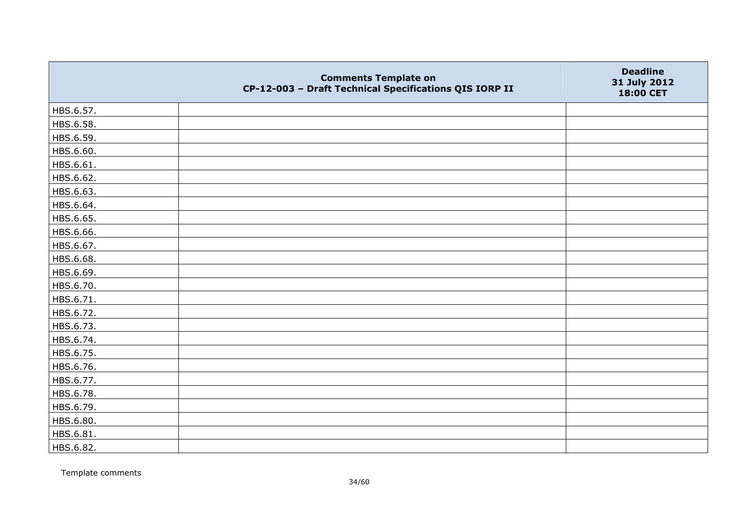|           | <b>Comments Template on</b><br>CP-12-003 - Draft Technical Specifications QIS IORP II | <b>Deadline</b><br>31 July 2012<br>18:00 CET |
|-----------|---------------------------------------------------------------------------------------|----------------------------------------------|
| HBS.6.57. |                                                                                       |                                              |
| HBS.6.58. |                                                                                       |                                              |
| HBS.6.59. |                                                                                       |                                              |
| HBS.6.60. |                                                                                       |                                              |
| HBS.6.61. |                                                                                       |                                              |
| HBS.6.62. |                                                                                       |                                              |
| HBS.6.63. |                                                                                       |                                              |
| HBS.6.64. |                                                                                       |                                              |
| HBS.6.65. |                                                                                       |                                              |
| HBS.6.66. |                                                                                       |                                              |
| HBS.6.67. |                                                                                       |                                              |
| HBS.6.68. |                                                                                       |                                              |
| HBS.6.69. |                                                                                       |                                              |
| HBS.6.70. |                                                                                       |                                              |
| HBS.6.71. |                                                                                       |                                              |
| HBS.6.72. |                                                                                       |                                              |
| HBS.6.73. |                                                                                       |                                              |
| HBS.6.74. |                                                                                       |                                              |
| HBS.6.75. |                                                                                       |                                              |
| HBS.6.76. |                                                                                       |                                              |
| HBS.6.77. |                                                                                       |                                              |
| HBS.6.78. |                                                                                       |                                              |
| HBS.6.79. |                                                                                       |                                              |
| HBS.6.80. |                                                                                       |                                              |
| HBS.6.81. |                                                                                       |                                              |
| HBS.6.82. |                                                                                       |                                              |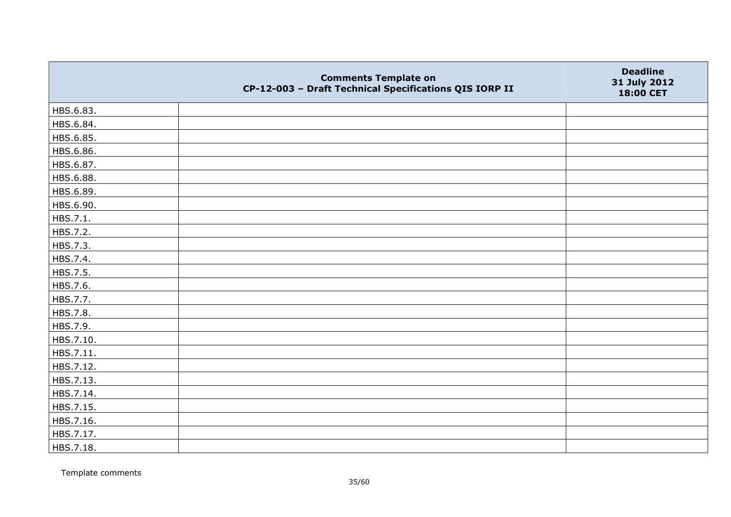|           | <b>Comments Template on</b><br>CP-12-003 - Draft Technical Specifications QIS IORP II | <b>Deadline</b><br>31 July 2012<br>18:00 CET |
|-----------|---------------------------------------------------------------------------------------|----------------------------------------------|
| HBS.6.83. |                                                                                       |                                              |
| HBS.6.84. |                                                                                       |                                              |
| HBS.6.85. |                                                                                       |                                              |
| HBS.6.86. |                                                                                       |                                              |
| HBS.6.87. |                                                                                       |                                              |
| HBS.6.88. |                                                                                       |                                              |
| HBS.6.89. |                                                                                       |                                              |
| HBS.6.90. |                                                                                       |                                              |
| HBS.7.1.  |                                                                                       |                                              |
| HBS.7.2.  |                                                                                       |                                              |
| HBS.7.3.  |                                                                                       |                                              |
| HBS.7.4.  |                                                                                       |                                              |
| HBS.7.5.  |                                                                                       |                                              |
| HBS.7.6.  |                                                                                       |                                              |
| HBS.7.7.  |                                                                                       |                                              |
| HBS.7.8.  |                                                                                       |                                              |
| HBS.7.9.  |                                                                                       |                                              |
| HBS.7.10. |                                                                                       |                                              |
| HBS.7.11. |                                                                                       |                                              |
| HBS.7.12. |                                                                                       |                                              |
| HBS.7.13. |                                                                                       |                                              |
| HBS.7.14. |                                                                                       |                                              |
| HBS.7.15. |                                                                                       |                                              |
| HBS.7.16. |                                                                                       |                                              |
| HBS.7.17. |                                                                                       |                                              |
| HBS.7.18. |                                                                                       |                                              |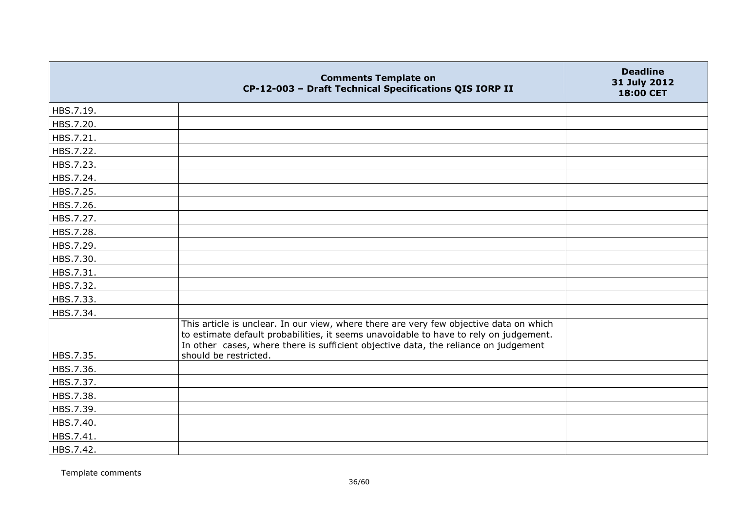|           | <b>Comments Template on</b><br>CP-12-003 - Draft Technical Specifications QIS IORP II                                                                                                                                                                                                           | <b>Deadline</b><br>31 July 2012<br>18:00 CET |
|-----------|-------------------------------------------------------------------------------------------------------------------------------------------------------------------------------------------------------------------------------------------------------------------------------------------------|----------------------------------------------|
| HBS.7.19. |                                                                                                                                                                                                                                                                                                 |                                              |
| HBS.7.20. |                                                                                                                                                                                                                                                                                                 |                                              |
| HBS.7.21. |                                                                                                                                                                                                                                                                                                 |                                              |
| HBS.7.22. |                                                                                                                                                                                                                                                                                                 |                                              |
| HBS.7.23. |                                                                                                                                                                                                                                                                                                 |                                              |
| HBS.7.24. |                                                                                                                                                                                                                                                                                                 |                                              |
| HBS.7.25. |                                                                                                                                                                                                                                                                                                 |                                              |
| HBS.7.26. |                                                                                                                                                                                                                                                                                                 |                                              |
| HBS.7.27. |                                                                                                                                                                                                                                                                                                 |                                              |
| HBS.7.28. |                                                                                                                                                                                                                                                                                                 |                                              |
| HBS.7.29. |                                                                                                                                                                                                                                                                                                 |                                              |
| HBS.7.30. |                                                                                                                                                                                                                                                                                                 |                                              |
| HBS.7.31. |                                                                                                                                                                                                                                                                                                 |                                              |
| HBS.7.32. |                                                                                                                                                                                                                                                                                                 |                                              |
| HBS.7.33. |                                                                                                                                                                                                                                                                                                 |                                              |
| HBS.7.34. |                                                                                                                                                                                                                                                                                                 |                                              |
| HBS.7.35. | This article is unclear. In our view, where there are very few objective data on which<br>to estimate default probabilities, it seems unavoidable to have to rely on judgement.<br>In other cases, where there is sufficient objective data, the reliance on judgement<br>should be restricted. |                                              |
| HBS.7.36. |                                                                                                                                                                                                                                                                                                 |                                              |
| HBS.7.37. |                                                                                                                                                                                                                                                                                                 |                                              |
| HBS.7.38. |                                                                                                                                                                                                                                                                                                 |                                              |
| HBS.7.39. |                                                                                                                                                                                                                                                                                                 |                                              |
| HBS.7.40. |                                                                                                                                                                                                                                                                                                 |                                              |
| HBS.7.41. |                                                                                                                                                                                                                                                                                                 |                                              |
| HBS.7.42. |                                                                                                                                                                                                                                                                                                 |                                              |
|           |                                                                                                                                                                                                                                                                                                 |                                              |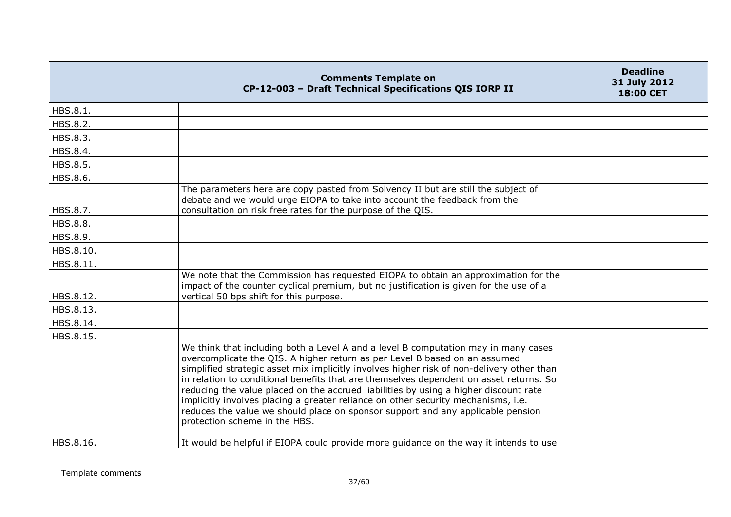|           | <b>Comments Template on</b><br>CP-12-003 - Draft Technical Specifications QIS IORP II                                                                                                                                                                                                                                                                                                                                                                                                                                                                                                                                                                    | <b>Deadline</b><br>31 July 2012<br><b>18:00 CET</b> |
|-----------|----------------------------------------------------------------------------------------------------------------------------------------------------------------------------------------------------------------------------------------------------------------------------------------------------------------------------------------------------------------------------------------------------------------------------------------------------------------------------------------------------------------------------------------------------------------------------------------------------------------------------------------------------------|-----------------------------------------------------|
| HBS.8.1.  |                                                                                                                                                                                                                                                                                                                                                                                                                                                                                                                                                                                                                                                          |                                                     |
| HBS.8.2.  |                                                                                                                                                                                                                                                                                                                                                                                                                                                                                                                                                                                                                                                          |                                                     |
| HBS.8.3.  |                                                                                                                                                                                                                                                                                                                                                                                                                                                                                                                                                                                                                                                          |                                                     |
| HBS.8.4.  |                                                                                                                                                                                                                                                                                                                                                                                                                                                                                                                                                                                                                                                          |                                                     |
| HBS.8.5.  |                                                                                                                                                                                                                                                                                                                                                                                                                                                                                                                                                                                                                                                          |                                                     |
| HBS.8.6.  |                                                                                                                                                                                                                                                                                                                                                                                                                                                                                                                                                                                                                                                          |                                                     |
| HBS.8.7.  | The parameters here are copy pasted from Solvency II but are still the subject of<br>debate and we would urge EIOPA to take into account the feedback from the<br>consultation on risk free rates for the purpose of the QIS.                                                                                                                                                                                                                                                                                                                                                                                                                            |                                                     |
| HBS.8.8.  |                                                                                                                                                                                                                                                                                                                                                                                                                                                                                                                                                                                                                                                          |                                                     |
| HBS.8.9.  |                                                                                                                                                                                                                                                                                                                                                                                                                                                                                                                                                                                                                                                          |                                                     |
| HBS.8.10. |                                                                                                                                                                                                                                                                                                                                                                                                                                                                                                                                                                                                                                                          |                                                     |
| HBS.8.11. |                                                                                                                                                                                                                                                                                                                                                                                                                                                                                                                                                                                                                                                          |                                                     |
| HBS.8.12. | We note that the Commission has requested EIOPA to obtain an approximation for the<br>impact of the counter cyclical premium, but no justification is given for the use of a<br>vertical 50 bps shift for this purpose.                                                                                                                                                                                                                                                                                                                                                                                                                                  |                                                     |
| HBS.8.13. |                                                                                                                                                                                                                                                                                                                                                                                                                                                                                                                                                                                                                                                          |                                                     |
| HBS.8.14. |                                                                                                                                                                                                                                                                                                                                                                                                                                                                                                                                                                                                                                                          |                                                     |
| HBS.8.15. |                                                                                                                                                                                                                                                                                                                                                                                                                                                                                                                                                                                                                                                          |                                                     |
|           | We think that including both a Level A and a level B computation may in many cases<br>overcomplicate the QIS. A higher return as per Level B based on an assumed<br>simplified strategic asset mix implicitly involves higher risk of non-delivery other than<br>in relation to conditional benefits that are themselves dependent on asset returns. So<br>reducing the value placed on the accrued liabilities by using a higher discount rate<br>implicitly involves placing a greater reliance on other security mechanisms, i.e.<br>reduces the value we should place on sponsor support and any applicable pension<br>protection scheme in the HBS. |                                                     |
| HBS.8.16. | It would be helpful if EIOPA could provide more guidance on the way it intends to use                                                                                                                                                                                                                                                                                                                                                                                                                                                                                                                                                                    |                                                     |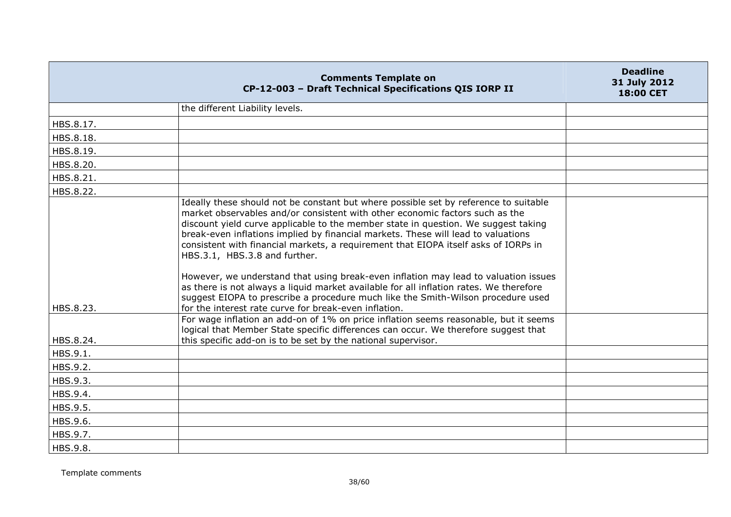|                        | <b>Comments Template on</b><br>CP-12-003 - Draft Technical Specifications QIS IORP II                                                                                                                                                                                                                                                                                                                                                                                                                                                                                                                                                                                                                                                                                                                                                                                                                                                                                                                                                                 | <b>Deadline</b><br>31 July 2012<br>18:00 CET |
|------------------------|-------------------------------------------------------------------------------------------------------------------------------------------------------------------------------------------------------------------------------------------------------------------------------------------------------------------------------------------------------------------------------------------------------------------------------------------------------------------------------------------------------------------------------------------------------------------------------------------------------------------------------------------------------------------------------------------------------------------------------------------------------------------------------------------------------------------------------------------------------------------------------------------------------------------------------------------------------------------------------------------------------------------------------------------------------|----------------------------------------------|
|                        | the different Liability levels.                                                                                                                                                                                                                                                                                                                                                                                                                                                                                                                                                                                                                                                                                                                                                                                                                                                                                                                                                                                                                       |                                              |
| HBS.8.17.              |                                                                                                                                                                                                                                                                                                                                                                                                                                                                                                                                                                                                                                                                                                                                                                                                                                                                                                                                                                                                                                                       |                                              |
| HBS.8.18.              |                                                                                                                                                                                                                                                                                                                                                                                                                                                                                                                                                                                                                                                                                                                                                                                                                                                                                                                                                                                                                                                       |                                              |
| HBS.8.19.              |                                                                                                                                                                                                                                                                                                                                                                                                                                                                                                                                                                                                                                                                                                                                                                                                                                                                                                                                                                                                                                                       |                                              |
| HBS.8.20.              |                                                                                                                                                                                                                                                                                                                                                                                                                                                                                                                                                                                                                                                                                                                                                                                                                                                                                                                                                                                                                                                       |                                              |
| HBS.8.21.              |                                                                                                                                                                                                                                                                                                                                                                                                                                                                                                                                                                                                                                                                                                                                                                                                                                                                                                                                                                                                                                                       |                                              |
| HBS.8.22.              |                                                                                                                                                                                                                                                                                                                                                                                                                                                                                                                                                                                                                                                                                                                                                                                                                                                                                                                                                                                                                                                       |                                              |
| HBS.8.23.<br>HBS.8.24. | Ideally these should not be constant but where possible set by reference to suitable<br>market observables and/or consistent with other economic factors such as the<br>discount yield curve applicable to the member state in question. We suggest taking<br>break-even inflations implied by financial markets. These will lead to valuations<br>consistent with financial markets, a requirement that EIOPA itself asks of IORPs in<br>HBS.3.1, HBS.3.8 and further.<br>However, we understand that using break-even inflation may lead to valuation issues<br>as there is not always a liquid market available for all inflation rates. We therefore<br>suggest EIOPA to prescribe a procedure much like the Smith-Wilson procedure used<br>for the interest rate curve for break-even inflation.<br>For wage inflation an add-on of 1% on price inflation seems reasonable, but it seems<br>logical that Member State specific differences can occur. We therefore suggest that<br>this specific add-on is to be set by the national supervisor. |                                              |
| HBS.9.1.               |                                                                                                                                                                                                                                                                                                                                                                                                                                                                                                                                                                                                                                                                                                                                                                                                                                                                                                                                                                                                                                                       |                                              |
| HBS.9.2.               |                                                                                                                                                                                                                                                                                                                                                                                                                                                                                                                                                                                                                                                                                                                                                                                                                                                                                                                                                                                                                                                       |                                              |
| HBS.9.3.               |                                                                                                                                                                                                                                                                                                                                                                                                                                                                                                                                                                                                                                                                                                                                                                                                                                                                                                                                                                                                                                                       |                                              |
| HBS.9.4.               |                                                                                                                                                                                                                                                                                                                                                                                                                                                                                                                                                                                                                                                                                                                                                                                                                                                                                                                                                                                                                                                       |                                              |
| HBS.9.5.               |                                                                                                                                                                                                                                                                                                                                                                                                                                                                                                                                                                                                                                                                                                                                                                                                                                                                                                                                                                                                                                                       |                                              |
| HBS.9.6.               |                                                                                                                                                                                                                                                                                                                                                                                                                                                                                                                                                                                                                                                                                                                                                                                                                                                                                                                                                                                                                                                       |                                              |
| HBS.9.7.               |                                                                                                                                                                                                                                                                                                                                                                                                                                                                                                                                                                                                                                                                                                                                                                                                                                                                                                                                                                                                                                                       |                                              |
| HBS.9.8.               |                                                                                                                                                                                                                                                                                                                                                                                                                                                                                                                                                                                                                                                                                                                                                                                                                                                                                                                                                                                                                                                       |                                              |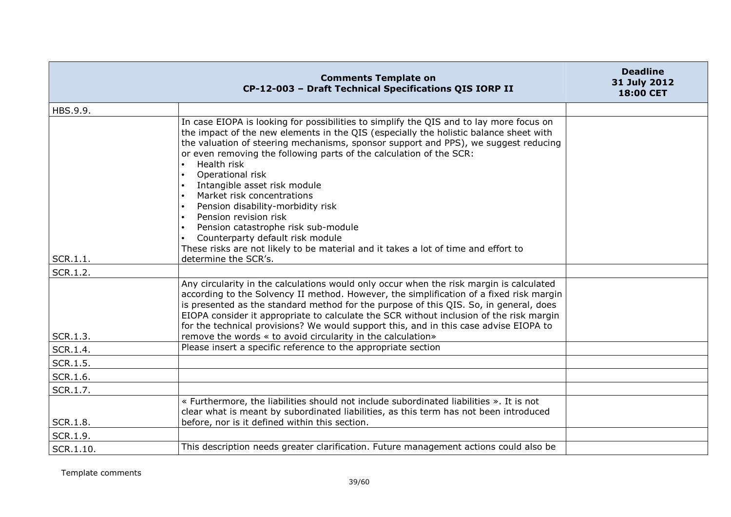|           | <b>Comments Template on</b><br>CP-12-003 - Draft Technical Specifications QIS IORP II                                                                                                                                                                                                                                                                                                                                                                                                                                                                                                                                                                                                                  | <b>Deadline</b><br>31 July 2012<br><b>18:00 CET</b> |
|-----------|--------------------------------------------------------------------------------------------------------------------------------------------------------------------------------------------------------------------------------------------------------------------------------------------------------------------------------------------------------------------------------------------------------------------------------------------------------------------------------------------------------------------------------------------------------------------------------------------------------------------------------------------------------------------------------------------------------|-----------------------------------------------------|
| HBS.9.9.  |                                                                                                                                                                                                                                                                                                                                                                                                                                                                                                                                                                                                                                                                                                        |                                                     |
| SCR.1.1.  | In case EIOPA is looking for possibilities to simplify the QIS and to lay more focus on<br>the impact of the new elements in the QIS (especially the holistic balance sheet with<br>the valuation of steering mechanisms, sponsor support and PPS), we suggest reducing<br>or even removing the following parts of the calculation of the SCR:<br>Health risk<br>Operational risk<br>Intangible asset risk module<br>Market risk concentrations<br>Pension disability-morbidity risk<br>Pension revision risk<br>Pension catastrophe risk sub-module<br>Counterparty default risk module<br>These risks are not likely to be material and it takes a lot of time and effort to<br>determine the SCR's. |                                                     |
| SCR.1.2.  |                                                                                                                                                                                                                                                                                                                                                                                                                                                                                                                                                                                                                                                                                                        |                                                     |
| SCR.1.3.  | Any circularity in the calculations would only occur when the risk margin is calculated<br>according to the Solvency II method. However, the simplification of a fixed risk margin<br>is presented as the standard method for the purpose of this QIS. So, in general, does<br>EIOPA consider it appropriate to calculate the SCR without inclusion of the risk margin<br>for the technical provisions? We would support this, and in this case advise EIOPA to<br>remove the words « to avoid circularity in the calculation»                                                                                                                                                                         |                                                     |
| SCR.1.4.  | Please insert a specific reference to the appropriate section                                                                                                                                                                                                                                                                                                                                                                                                                                                                                                                                                                                                                                          |                                                     |
| SCR.1.5.  |                                                                                                                                                                                                                                                                                                                                                                                                                                                                                                                                                                                                                                                                                                        |                                                     |
| SCR.1.6.  |                                                                                                                                                                                                                                                                                                                                                                                                                                                                                                                                                                                                                                                                                                        |                                                     |
| SCR.1.7.  |                                                                                                                                                                                                                                                                                                                                                                                                                                                                                                                                                                                                                                                                                                        |                                                     |
| SCR.1.8.  | « Furthermore, the liabilities should not include subordinated liabilities ». It is not<br>clear what is meant by subordinated liabilities, as this term has not been introduced<br>before, nor is it defined within this section.                                                                                                                                                                                                                                                                                                                                                                                                                                                                     |                                                     |
| SCR.1.9.  |                                                                                                                                                                                                                                                                                                                                                                                                                                                                                                                                                                                                                                                                                                        |                                                     |
| SCR.1.10. | This description needs greater clarification. Future management actions could also be                                                                                                                                                                                                                                                                                                                                                                                                                                                                                                                                                                                                                  |                                                     |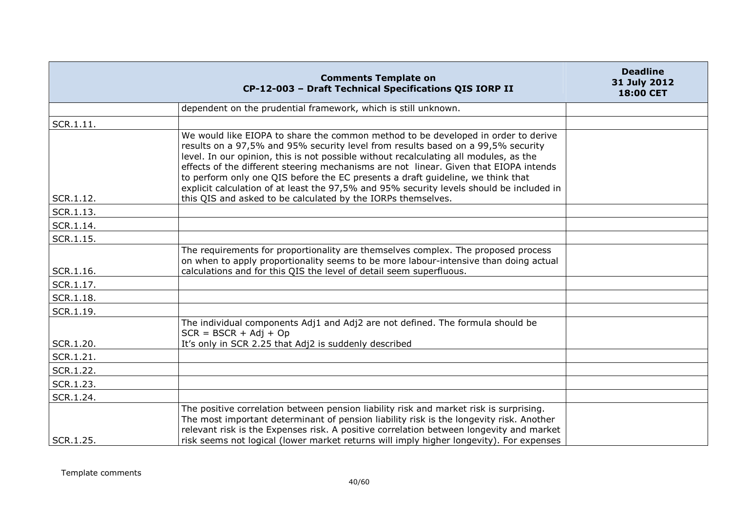|           | <b>Comments Template on</b><br>CP-12-003 - Draft Technical Specifications QIS IORP II                                                                                                                                                                                                                                                                                                                                                                                                                                                  | <b>Deadline</b><br>31 July 2012<br>18:00 CET |
|-----------|----------------------------------------------------------------------------------------------------------------------------------------------------------------------------------------------------------------------------------------------------------------------------------------------------------------------------------------------------------------------------------------------------------------------------------------------------------------------------------------------------------------------------------------|----------------------------------------------|
|           | dependent on the prudential framework, which is still unknown.                                                                                                                                                                                                                                                                                                                                                                                                                                                                         |                                              |
| SCR.1.11. |                                                                                                                                                                                                                                                                                                                                                                                                                                                                                                                                        |                                              |
|           | We would like EIOPA to share the common method to be developed in order to derive<br>results on a 97,5% and 95% security level from results based on a 99,5% security<br>level. In our opinion, this is not possible without recalculating all modules, as the<br>effects of the different steering mechanisms are not linear. Given that EIOPA intends<br>to perform only one QIS before the EC presents a draft guideline, we think that<br>explicit calculation of at least the 97,5% and 95% security levels should be included in |                                              |
| SCR.1.12. | this QIS and asked to be calculated by the IORPs themselves.                                                                                                                                                                                                                                                                                                                                                                                                                                                                           |                                              |
| SCR.1.13. |                                                                                                                                                                                                                                                                                                                                                                                                                                                                                                                                        |                                              |
| SCR.1.14. |                                                                                                                                                                                                                                                                                                                                                                                                                                                                                                                                        |                                              |
| SCR.1.15. |                                                                                                                                                                                                                                                                                                                                                                                                                                                                                                                                        |                                              |
| SCR.1.16. | The requirements for proportionality are themselves complex. The proposed process<br>on when to apply proportionality seems to be more labour-intensive than doing actual<br>calculations and for this QIS the level of detail seem superfluous.                                                                                                                                                                                                                                                                                       |                                              |
| SCR.1.17. |                                                                                                                                                                                                                                                                                                                                                                                                                                                                                                                                        |                                              |
| SCR.1.18. |                                                                                                                                                                                                                                                                                                                                                                                                                                                                                                                                        |                                              |
| SCR.1.19. |                                                                                                                                                                                                                                                                                                                                                                                                                                                                                                                                        |                                              |
|           | The individual components Adj1 and Adj2 are not defined. The formula should be<br>$SCR = BSCR + Adj + Op$                                                                                                                                                                                                                                                                                                                                                                                                                              |                                              |
| SCR.1.20. | It's only in SCR 2.25 that Adj2 is suddenly described                                                                                                                                                                                                                                                                                                                                                                                                                                                                                  |                                              |
| SCR.1.21. |                                                                                                                                                                                                                                                                                                                                                                                                                                                                                                                                        |                                              |
| SCR.1.22. |                                                                                                                                                                                                                                                                                                                                                                                                                                                                                                                                        |                                              |
| SCR.1.23. |                                                                                                                                                                                                                                                                                                                                                                                                                                                                                                                                        |                                              |
| SCR.1.24. |                                                                                                                                                                                                                                                                                                                                                                                                                                                                                                                                        |                                              |
| SCR.1.25. | The positive correlation between pension liability risk and market risk is surprising.<br>The most important determinant of pension liability risk is the longevity risk. Another<br>relevant risk is the Expenses risk. A positive correlation between longevity and market<br>risk seems not logical (lower market returns will imply higher longevity). For expenses                                                                                                                                                                |                                              |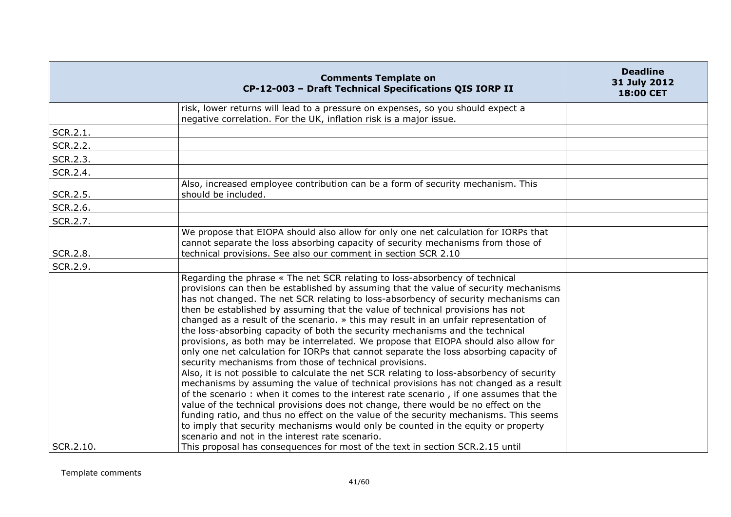|           | <b>Comments Template on</b><br>CP-12-003 - Draft Technical Specifications QIS IORP II                                                                                                                                                                                                                                                                                                                                                                                                                                                                                                                                                                                                                                                                                                                                                                                                                                                                                                                                                                                                                                                                                                                                                                                                                                                                                    | <b>Deadline</b><br>31 July 2012<br>18:00 CET |
|-----------|--------------------------------------------------------------------------------------------------------------------------------------------------------------------------------------------------------------------------------------------------------------------------------------------------------------------------------------------------------------------------------------------------------------------------------------------------------------------------------------------------------------------------------------------------------------------------------------------------------------------------------------------------------------------------------------------------------------------------------------------------------------------------------------------------------------------------------------------------------------------------------------------------------------------------------------------------------------------------------------------------------------------------------------------------------------------------------------------------------------------------------------------------------------------------------------------------------------------------------------------------------------------------------------------------------------------------------------------------------------------------|----------------------------------------------|
|           | risk, lower returns will lead to a pressure on expenses, so you should expect a<br>negative correlation. For the UK, inflation risk is a major issue.                                                                                                                                                                                                                                                                                                                                                                                                                                                                                                                                                                                                                                                                                                                                                                                                                                                                                                                                                                                                                                                                                                                                                                                                                    |                                              |
| SCR.2.1.  |                                                                                                                                                                                                                                                                                                                                                                                                                                                                                                                                                                                                                                                                                                                                                                                                                                                                                                                                                                                                                                                                                                                                                                                                                                                                                                                                                                          |                                              |
| SCR.2.2.  |                                                                                                                                                                                                                                                                                                                                                                                                                                                                                                                                                                                                                                                                                                                                                                                                                                                                                                                                                                                                                                                                                                                                                                                                                                                                                                                                                                          |                                              |
| SCR.2.3.  |                                                                                                                                                                                                                                                                                                                                                                                                                                                                                                                                                                                                                                                                                                                                                                                                                                                                                                                                                                                                                                                                                                                                                                                                                                                                                                                                                                          |                                              |
| SCR.2.4.  |                                                                                                                                                                                                                                                                                                                                                                                                                                                                                                                                                                                                                                                                                                                                                                                                                                                                                                                                                                                                                                                                                                                                                                                                                                                                                                                                                                          |                                              |
| SCR.2.5.  | Also, increased employee contribution can be a form of security mechanism. This<br>should be included.                                                                                                                                                                                                                                                                                                                                                                                                                                                                                                                                                                                                                                                                                                                                                                                                                                                                                                                                                                                                                                                                                                                                                                                                                                                                   |                                              |
| SCR.2.6.  |                                                                                                                                                                                                                                                                                                                                                                                                                                                                                                                                                                                                                                                                                                                                                                                                                                                                                                                                                                                                                                                                                                                                                                                                                                                                                                                                                                          |                                              |
| SCR.2.7.  |                                                                                                                                                                                                                                                                                                                                                                                                                                                                                                                                                                                                                                                                                                                                                                                                                                                                                                                                                                                                                                                                                                                                                                                                                                                                                                                                                                          |                                              |
| SCR.2.8.  | We propose that EIOPA should also allow for only one net calculation for IORPs that<br>cannot separate the loss absorbing capacity of security mechanisms from those of<br>technical provisions. See also our comment in section SCR 2.10                                                                                                                                                                                                                                                                                                                                                                                                                                                                                                                                                                                                                                                                                                                                                                                                                                                                                                                                                                                                                                                                                                                                |                                              |
| SCR.2.9.  |                                                                                                                                                                                                                                                                                                                                                                                                                                                                                                                                                                                                                                                                                                                                                                                                                                                                                                                                                                                                                                                                                                                                                                                                                                                                                                                                                                          |                                              |
|           | Regarding the phrase « The net SCR relating to loss-absorbency of technical<br>provisions can then be established by assuming that the value of security mechanisms<br>has not changed. The net SCR relating to loss-absorbency of security mechanisms can<br>then be established by assuming that the value of technical provisions has not<br>changed as a result of the scenario. » this may result in an unfair representation of<br>the loss-absorbing capacity of both the security mechanisms and the technical<br>provisions, as both may be interrelated. We propose that EIOPA should also allow for<br>only one net calculation for IORPs that cannot separate the loss absorbing capacity of<br>security mechanisms from those of technical provisions.<br>Also, it is not possible to calculate the net SCR relating to loss-absorbency of security<br>mechanisms by assuming the value of technical provisions has not changed as a result<br>of the scenario: when it comes to the interest rate scenario, if one assumes that the<br>value of the technical provisions does not change, there would be no effect on the<br>funding ratio, and thus no effect on the value of the security mechanisms. This seems<br>to imply that security mechanisms would only be counted in the equity or property<br>scenario and not in the interest rate scenario. |                                              |
| SCR.2.10. | This proposal has consequences for most of the text in section SCR.2.15 until                                                                                                                                                                                                                                                                                                                                                                                                                                                                                                                                                                                                                                                                                                                                                                                                                                                                                                                                                                                                                                                                                                                                                                                                                                                                                            |                                              |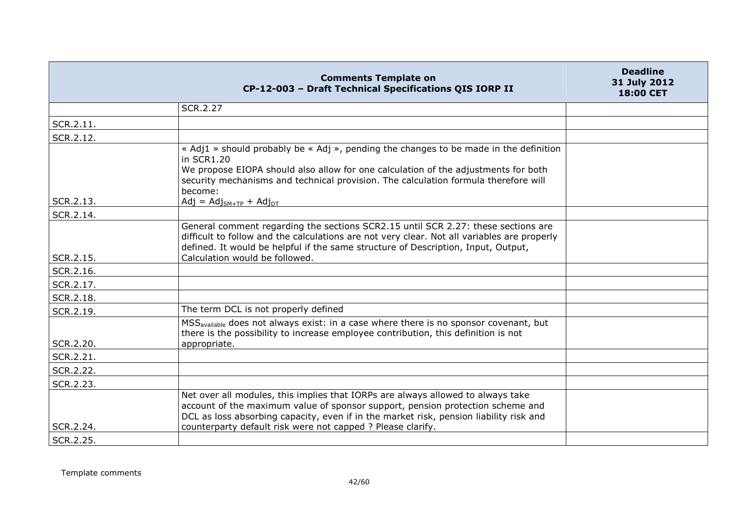|           | <b>Comments Template on</b><br>CP-12-003 - Draft Technical Specifications QIS IORP II                                                                                                                                                                                                                                      | <b>Deadline</b><br>31 July 2012<br><b>18:00 CET</b> |
|-----------|----------------------------------------------------------------------------------------------------------------------------------------------------------------------------------------------------------------------------------------------------------------------------------------------------------------------------|-----------------------------------------------------|
|           | <b>SCR.2.27</b>                                                                                                                                                                                                                                                                                                            |                                                     |
| SCR.2.11. |                                                                                                                                                                                                                                                                                                                            |                                                     |
| SCR.2.12. |                                                                                                                                                                                                                                                                                                                            |                                                     |
|           | « Adj1 » should probably be « Adj », pending the changes to be made in the definition<br>in SCR1.20<br>We propose EIOPA should also allow for one calculation of the adjustments for both<br>security mechanisms and technical provision. The calculation formula therefore will<br>hecome:                                |                                                     |
| SCR.2.13. | $Adj = Adj_{SM+TP} + Adj_{DT}$                                                                                                                                                                                                                                                                                             |                                                     |
| SCR.2.14. |                                                                                                                                                                                                                                                                                                                            |                                                     |
| SCR.2.15. | General comment regarding the sections SCR2.15 until SCR 2.27: these sections are<br>difficult to follow and the calculations are not very clear. Not all variables are properly<br>defined. It would be helpful if the same structure of Description, Input, Output,<br>Calculation would be followed.                    |                                                     |
| SCR.2.16. |                                                                                                                                                                                                                                                                                                                            |                                                     |
| SCR.2.17. |                                                                                                                                                                                                                                                                                                                            |                                                     |
| SCR.2.18. |                                                                                                                                                                                                                                                                                                                            |                                                     |
| SCR.2.19. | The term DCL is not properly defined                                                                                                                                                                                                                                                                                       |                                                     |
| SCR.2.20. | MSS <sub>available</sub> does not always exist: in a case where there is no sponsor covenant, but<br>there is the possibility to increase employee contribution, this definition is not<br>appropriate.                                                                                                                    |                                                     |
| SCR.2.21. |                                                                                                                                                                                                                                                                                                                            |                                                     |
| SCR.2.22. |                                                                                                                                                                                                                                                                                                                            |                                                     |
| SCR.2.23. |                                                                                                                                                                                                                                                                                                                            |                                                     |
| SCR.2.24. | Net over all modules, this implies that IORPs are always allowed to always take<br>account of the maximum value of sponsor support, pension protection scheme and<br>DCL as loss absorbing capacity, even if in the market risk, pension liability risk and<br>counterparty default risk were not capped ? Please clarify. |                                                     |
| SCR.2.25. |                                                                                                                                                                                                                                                                                                                            |                                                     |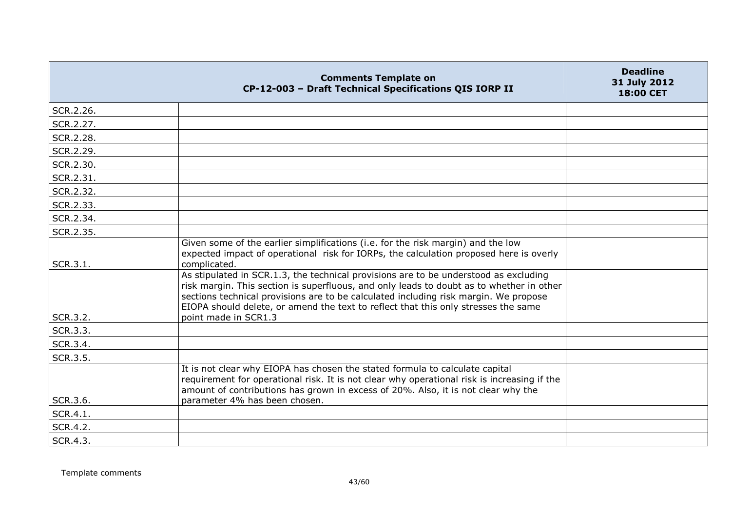|           | <b>Comments Template on</b><br>CP-12-003 - Draft Technical Specifications QIS IORP II                                                                                                                                                                                                                                                                                                  | <b>Deadline</b><br>31 July 2012<br>18:00 CET |
|-----------|----------------------------------------------------------------------------------------------------------------------------------------------------------------------------------------------------------------------------------------------------------------------------------------------------------------------------------------------------------------------------------------|----------------------------------------------|
| SCR.2.26. |                                                                                                                                                                                                                                                                                                                                                                                        |                                              |
| SCR.2.27. |                                                                                                                                                                                                                                                                                                                                                                                        |                                              |
| SCR.2.28. |                                                                                                                                                                                                                                                                                                                                                                                        |                                              |
| SCR.2.29. |                                                                                                                                                                                                                                                                                                                                                                                        |                                              |
| SCR.2.30. |                                                                                                                                                                                                                                                                                                                                                                                        |                                              |
| SCR.2.31. |                                                                                                                                                                                                                                                                                                                                                                                        |                                              |
| SCR.2.32. |                                                                                                                                                                                                                                                                                                                                                                                        |                                              |
| SCR.2.33. |                                                                                                                                                                                                                                                                                                                                                                                        |                                              |
| SCR.2.34. |                                                                                                                                                                                                                                                                                                                                                                                        |                                              |
| SCR.2.35. |                                                                                                                                                                                                                                                                                                                                                                                        |                                              |
| SCR.3.1.  | Given some of the earlier simplifications (i.e. for the risk margin) and the low<br>expected impact of operational risk for IORPs, the calculation proposed here is overly<br>complicated.                                                                                                                                                                                             |                                              |
| SCR.3.2.  | As stipulated in SCR.1.3, the technical provisions are to be understood as excluding<br>risk margin. This section is superfluous, and only leads to doubt as to whether in other<br>sections technical provisions are to be calculated including risk margin. We propose<br>EIOPA should delete, or amend the text to reflect that this only stresses the same<br>point made in SCR1.3 |                                              |
| SCR.3.3.  |                                                                                                                                                                                                                                                                                                                                                                                        |                                              |
| SCR.3.4.  |                                                                                                                                                                                                                                                                                                                                                                                        |                                              |
| SCR.3.5.  |                                                                                                                                                                                                                                                                                                                                                                                        |                                              |
| SCR.3.6.  | It is not clear why EIOPA has chosen the stated formula to calculate capital<br>requirement for operational risk. It is not clear why operational risk is increasing if the<br>amount of contributions has grown in excess of 20%. Also, it is not clear why the<br>parameter 4% has been chosen.                                                                                      |                                              |
| SCR.4.1.  |                                                                                                                                                                                                                                                                                                                                                                                        |                                              |
| SCR.4.2.  |                                                                                                                                                                                                                                                                                                                                                                                        |                                              |
| SCR.4.3.  |                                                                                                                                                                                                                                                                                                                                                                                        |                                              |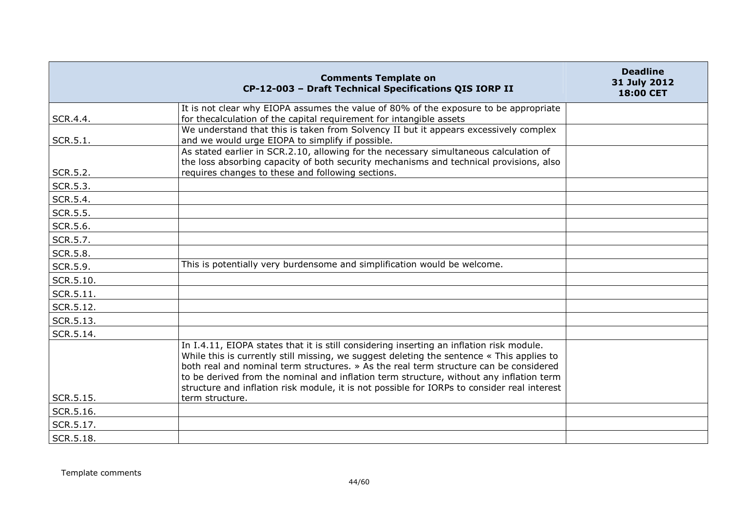|                 | <b>Comments Template on</b><br>CP-12-003 - Draft Technical Specifications QIS IORP II                                                                                                                                                                                                                                                                                                                                                                                                       | <b>Deadline</b><br>31 July 2012<br><b>18:00 CET</b> |
|-----------------|---------------------------------------------------------------------------------------------------------------------------------------------------------------------------------------------------------------------------------------------------------------------------------------------------------------------------------------------------------------------------------------------------------------------------------------------------------------------------------------------|-----------------------------------------------------|
| SCR.4.4.        | It is not clear why EIOPA assumes the value of 80% of the exposure to be appropriate<br>for thecalculation of the capital requirement for intangible assets                                                                                                                                                                                                                                                                                                                                 |                                                     |
| SCR.5.1.        | We understand that this is taken from Solvency II but it appears excessively complex<br>and we would urge EIOPA to simplify if possible.                                                                                                                                                                                                                                                                                                                                                    |                                                     |
| SCR.5.2.        | As stated earlier in SCR.2.10, allowing for the necessary simultaneous calculation of<br>the loss absorbing capacity of both security mechanisms and technical provisions, also<br>requires changes to these and following sections.                                                                                                                                                                                                                                                        |                                                     |
| SCR.5.3.        |                                                                                                                                                                                                                                                                                                                                                                                                                                                                                             |                                                     |
| SCR.5.4.        |                                                                                                                                                                                                                                                                                                                                                                                                                                                                                             |                                                     |
| <b>SCR.5.5.</b> |                                                                                                                                                                                                                                                                                                                                                                                                                                                                                             |                                                     |
| SCR.5.6.        |                                                                                                                                                                                                                                                                                                                                                                                                                                                                                             |                                                     |
| SCR.5.7.        |                                                                                                                                                                                                                                                                                                                                                                                                                                                                                             |                                                     |
| SCR.5.8.        |                                                                                                                                                                                                                                                                                                                                                                                                                                                                                             |                                                     |
| SCR.5.9.        | This is potentially very burdensome and simplification would be welcome.                                                                                                                                                                                                                                                                                                                                                                                                                    |                                                     |
| SCR.5.10.       |                                                                                                                                                                                                                                                                                                                                                                                                                                                                                             |                                                     |
| SCR.5.11.       |                                                                                                                                                                                                                                                                                                                                                                                                                                                                                             |                                                     |
| SCR.5.12.       |                                                                                                                                                                                                                                                                                                                                                                                                                                                                                             |                                                     |
| SCR.5.13.       |                                                                                                                                                                                                                                                                                                                                                                                                                                                                                             |                                                     |
| SCR.5.14.       |                                                                                                                                                                                                                                                                                                                                                                                                                                                                                             |                                                     |
| SCR.5.15.       | In I.4.11, EIOPA states that it is still considering inserting an inflation risk module.<br>While this is currently still missing, we suggest deleting the sentence « This applies to<br>both real and nominal term structures, » As the real term structure can be considered<br>to be derived from the nominal and inflation term structure, without any inflation term<br>structure and inflation risk module, it is not possible for IORPs to consider real interest<br>term structure. |                                                     |
| SCR.5.16.       |                                                                                                                                                                                                                                                                                                                                                                                                                                                                                             |                                                     |
| SCR.5.17.       |                                                                                                                                                                                                                                                                                                                                                                                                                                                                                             |                                                     |
| SCR.5.18.       |                                                                                                                                                                                                                                                                                                                                                                                                                                                                                             |                                                     |
|                 |                                                                                                                                                                                                                                                                                                                                                                                                                                                                                             |                                                     |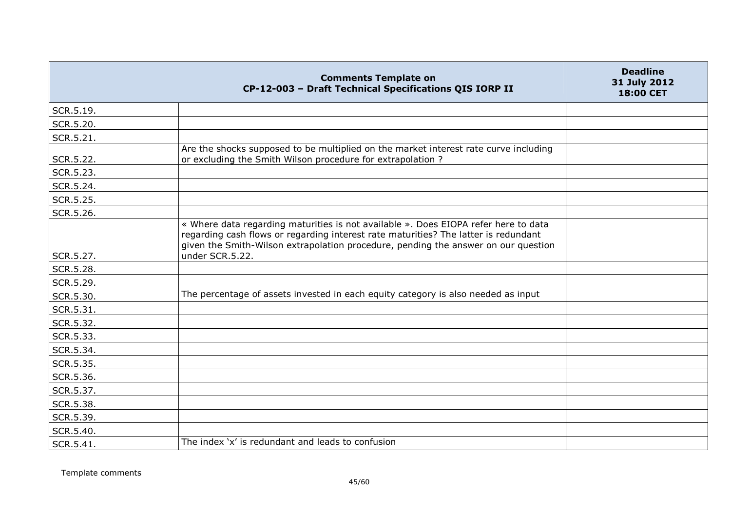|           | <b>Comments Template on</b><br>CP-12-003 - Draft Technical Specifications QIS IORP II                                                                                                                                                                                               | <b>Deadline</b><br>31 July 2012<br>18:00 CET |
|-----------|-------------------------------------------------------------------------------------------------------------------------------------------------------------------------------------------------------------------------------------------------------------------------------------|----------------------------------------------|
| SCR.5.19. |                                                                                                                                                                                                                                                                                     |                                              |
| SCR.5.20. |                                                                                                                                                                                                                                                                                     |                                              |
| SCR.5.21. |                                                                                                                                                                                                                                                                                     |                                              |
| SCR.5.22. | Are the shocks supposed to be multiplied on the market interest rate curve including<br>or excluding the Smith Wilson procedure for extrapolation ?                                                                                                                                 |                                              |
| SCR.5.23. |                                                                                                                                                                                                                                                                                     |                                              |
| SCR.5.24. |                                                                                                                                                                                                                                                                                     |                                              |
| SCR.5.25. |                                                                                                                                                                                                                                                                                     |                                              |
| SCR.5.26. |                                                                                                                                                                                                                                                                                     |                                              |
| SCR.5.27. | « Where data regarding maturities is not available ». Does EIOPA refer here to data<br>regarding cash flows or regarding interest rate maturities? The latter is redundant<br>given the Smith-Wilson extrapolation procedure, pending the answer on our question<br>under SCR.5.22. |                                              |
| SCR.5.28. |                                                                                                                                                                                                                                                                                     |                                              |
| SCR.5.29. |                                                                                                                                                                                                                                                                                     |                                              |
| SCR.5.30. | The percentage of assets invested in each equity category is also needed as input                                                                                                                                                                                                   |                                              |
| SCR.5.31. |                                                                                                                                                                                                                                                                                     |                                              |
| SCR.5.32. |                                                                                                                                                                                                                                                                                     |                                              |
| SCR.5.33. |                                                                                                                                                                                                                                                                                     |                                              |
| SCR.5.34. |                                                                                                                                                                                                                                                                                     |                                              |
| SCR.5.35. |                                                                                                                                                                                                                                                                                     |                                              |
| SCR.5.36. |                                                                                                                                                                                                                                                                                     |                                              |
| SCR.5.37. |                                                                                                                                                                                                                                                                                     |                                              |
| SCR.5.38. |                                                                                                                                                                                                                                                                                     |                                              |
| SCR.5.39. |                                                                                                                                                                                                                                                                                     |                                              |
| SCR.5.40. |                                                                                                                                                                                                                                                                                     |                                              |
| SCR.5.41. | The index 'x' is redundant and leads to confusion                                                                                                                                                                                                                                   |                                              |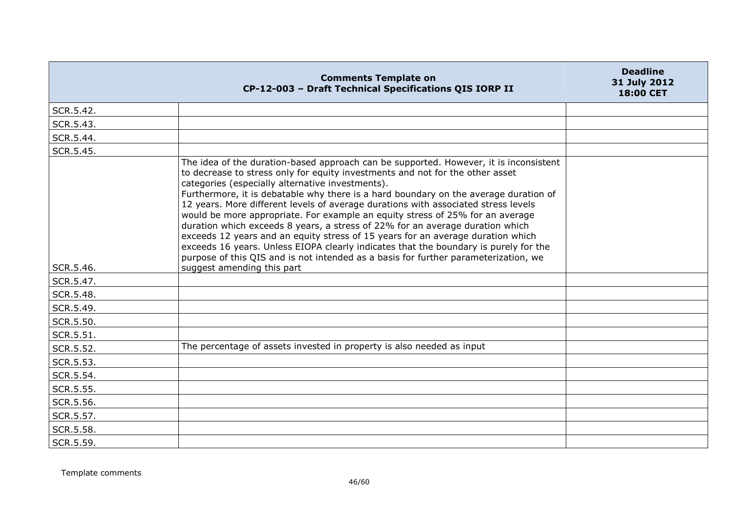|           | <b>Comments Template on</b><br>CP-12-003 - Draft Technical Specifications QIS IORP II                                                                                                                                                                                                                                                                                                                                                                                                                                                                                                                                                                                                                                                                                                                                                                                      | <b>Deadline</b><br>31 July 2012<br>18:00 CET |
|-----------|----------------------------------------------------------------------------------------------------------------------------------------------------------------------------------------------------------------------------------------------------------------------------------------------------------------------------------------------------------------------------------------------------------------------------------------------------------------------------------------------------------------------------------------------------------------------------------------------------------------------------------------------------------------------------------------------------------------------------------------------------------------------------------------------------------------------------------------------------------------------------|----------------------------------------------|
| SCR.5.42. |                                                                                                                                                                                                                                                                                                                                                                                                                                                                                                                                                                                                                                                                                                                                                                                                                                                                            |                                              |
| SCR.5.43. |                                                                                                                                                                                                                                                                                                                                                                                                                                                                                                                                                                                                                                                                                                                                                                                                                                                                            |                                              |
| SCR.5.44. |                                                                                                                                                                                                                                                                                                                                                                                                                                                                                                                                                                                                                                                                                                                                                                                                                                                                            |                                              |
| SCR.5.45. |                                                                                                                                                                                                                                                                                                                                                                                                                                                                                                                                                                                                                                                                                                                                                                                                                                                                            |                                              |
| SCR.5.46. | The idea of the duration-based approach can be supported. However, it is inconsistent<br>to decrease to stress only for equity investments and not for the other asset<br>categories (especially alternative investments).<br>Furthermore, it is debatable why there is a hard boundary on the average duration of<br>12 years. More different levels of average durations with associated stress levels<br>would be more appropriate. For example an equity stress of 25% for an average<br>duration which exceeds 8 years, a stress of 22% for an average duration which<br>exceeds 12 years and an equity stress of 15 years for an average duration which<br>exceeds 16 years. Unless EIOPA clearly indicates that the boundary is purely for the<br>purpose of this QIS and is not intended as a basis for further parameterization, we<br>suggest amending this part |                                              |
| SCR.5.47. |                                                                                                                                                                                                                                                                                                                                                                                                                                                                                                                                                                                                                                                                                                                                                                                                                                                                            |                                              |
| SCR.5.48. |                                                                                                                                                                                                                                                                                                                                                                                                                                                                                                                                                                                                                                                                                                                                                                                                                                                                            |                                              |
| SCR.5.49. |                                                                                                                                                                                                                                                                                                                                                                                                                                                                                                                                                                                                                                                                                                                                                                                                                                                                            |                                              |
| SCR.5.50. |                                                                                                                                                                                                                                                                                                                                                                                                                                                                                                                                                                                                                                                                                                                                                                                                                                                                            |                                              |
| SCR.5.51. |                                                                                                                                                                                                                                                                                                                                                                                                                                                                                                                                                                                                                                                                                                                                                                                                                                                                            |                                              |
| SCR.5.52. | The percentage of assets invested in property is also needed as input                                                                                                                                                                                                                                                                                                                                                                                                                                                                                                                                                                                                                                                                                                                                                                                                      |                                              |
| SCR.5.53. |                                                                                                                                                                                                                                                                                                                                                                                                                                                                                                                                                                                                                                                                                                                                                                                                                                                                            |                                              |
| SCR.5.54. |                                                                                                                                                                                                                                                                                                                                                                                                                                                                                                                                                                                                                                                                                                                                                                                                                                                                            |                                              |
| SCR.5.55. |                                                                                                                                                                                                                                                                                                                                                                                                                                                                                                                                                                                                                                                                                                                                                                                                                                                                            |                                              |
| SCR.5.56. |                                                                                                                                                                                                                                                                                                                                                                                                                                                                                                                                                                                                                                                                                                                                                                                                                                                                            |                                              |
| SCR.5.57. |                                                                                                                                                                                                                                                                                                                                                                                                                                                                                                                                                                                                                                                                                                                                                                                                                                                                            |                                              |
| SCR.5.58. |                                                                                                                                                                                                                                                                                                                                                                                                                                                                                                                                                                                                                                                                                                                                                                                                                                                                            |                                              |
| SCR.5.59. |                                                                                                                                                                                                                                                                                                                                                                                                                                                                                                                                                                                                                                                                                                                                                                                                                                                                            |                                              |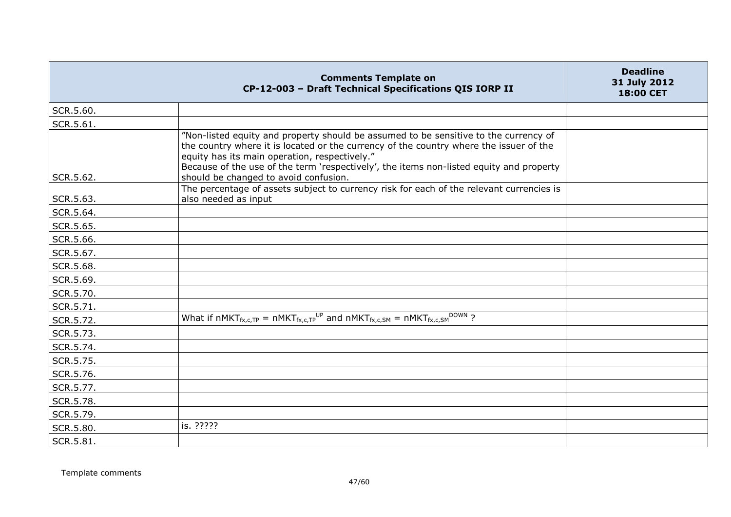|           | <b>Comments Template on</b><br>CP-12-003 - Draft Technical Specifications QIS IORP II                                                                                                                                                                                                                                                                               | <b>Deadline</b><br>31 July 2012<br>18:00 CET |
|-----------|---------------------------------------------------------------------------------------------------------------------------------------------------------------------------------------------------------------------------------------------------------------------------------------------------------------------------------------------------------------------|----------------------------------------------|
| SCR.5.60. |                                                                                                                                                                                                                                                                                                                                                                     |                                              |
| SCR.5.61. |                                                                                                                                                                                                                                                                                                                                                                     |                                              |
| SCR.5.62. | "Non-listed equity and property should be assumed to be sensitive to the currency of<br>the country where it is located or the currency of the country where the issuer of the<br>equity has its main operation, respectively."<br>Because of the use of the term 'respectively', the items non-listed equity and property<br>should be changed to avoid confusion. |                                              |
| SCR.5.63. | The percentage of assets subject to currency risk for each of the relevant currencies is<br>also needed as input                                                                                                                                                                                                                                                    |                                              |
| SCR.5.64. |                                                                                                                                                                                                                                                                                                                                                                     |                                              |
| SCR.5.65. |                                                                                                                                                                                                                                                                                                                                                                     |                                              |
| SCR.5.66. |                                                                                                                                                                                                                                                                                                                                                                     |                                              |
| SCR.5.67. |                                                                                                                                                                                                                                                                                                                                                                     |                                              |
| SCR.5.68. |                                                                                                                                                                                                                                                                                                                                                                     |                                              |
| SCR.5.69. |                                                                                                                                                                                                                                                                                                                                                                     |                                              |
| SCR.5.70. |                                                                                                                                                                                                                                                                                                                                                                     |                                              |
| SCR.5.71. |                                                                                                                                                                                                                                                                                                                                                                     |                                              |
| SCR.5.72. | What if nMKT <sub>fx,c,TP</sub> = nMKT <sub>fx,c,TP</sub> <sup>UP</sup> and nMKT <sub>fx,c,SM</sub> = nMKT <sub>fx,c,SM</sub> <sup>DOWN</sup> ?                                                                                                                                                                                                                     |                                              |
| SCR.5.73. |                                                                                                                                                                                                                                                                                                                                                                     |                                              |
| SCR.5.74. |                                                                                                                                                                                                                                                                                                                                                                     |                                              |
| SCR.5.75. |                                                                                                                                                                                                                                                                                                                                                                     |                                              |
| SCR.5.76. |                                                                                                                                                                                                                                                                                                                                                                     |                                              |
| SCR.5.77. |                                                                                                                                                                                                                                                                                                                                                                     |                                              |
| SCR.5.78. |                                                                                                                                                                                                                                                                                                                                                                     |                                              |
| SCR.5.79. |                                                                                                                                                                                                                                                                                                                                                                     |                                              |
| SCR.5.80. | is. ?????                                                                                                                                                                                                                                                                                                                                                           |                                              |
| SCR.5.81. |                                                                                                                                                                                                                                                                                                                                                                     |                                              |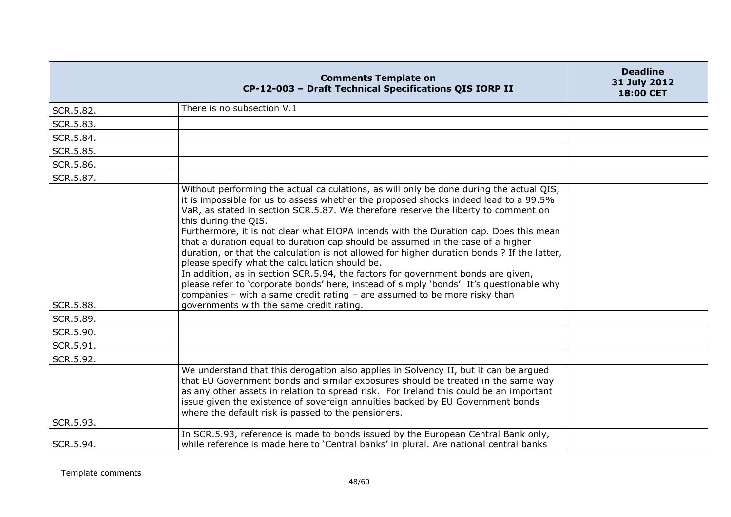|           | <b>Comments Template on</b><br>CP-12-003 - Draft Technical Specifications QIS IORP II                                                                                                                                                                                                                                                                                                                                                                                                                                                                                                                                                                                                                                                                                                                                                                                                                                               | <b>Deadline</b><br>31 July 2012<br>18:00 CET |
|-----------|-------------------------------------------------------------------------------------------------------------------------------------------------------------------------------------------------------------------------------------------------------------------------------------------------------------------------------------------------------------------------------------------------------------------------------------------------------------------------------------------------------------------------------------------------------------------------------------------------------------------------------------------------------------------------------------------------------------------------------------------------------------------------------------------------------------------------------------------------------------------------------------------------------------------------------------|----------------------------------------------|
| SCR.5.82. | There is no subsection V.1                                                                                                                                                                                                                                                                                                                                                                                                                                                                                                                                                                                                                                                                                                                                                                                                                                                                                                          |                                              |
| SCR.5.83. |                                                                                                                                                                                                                                                                                                                                                                                                                                                                                                                                                                                                                                                                                                                                                                                                                                                                                                                                     |                                              |
| SCR.5.84. |                                                                                                                                                                                                                                                                                                                                                                                                                                                                                                                                                                                                                                                                                                                                                                                                                                                                                                                                     |                                              |
| SCR.5.85. |                                                                                                                                                                                                                                                                                                                                                                                                                                                                                                                                                                                                                                                                                                                                                                                                                                                                                                                                     |                                              |
| SCR.5.86. |                                                                                                                                                                                                                                                                                                                                                                                                                                                                                                                                                                                                                                                                                                                                                                                                                                                                                                                                     |                                              |
| SCR.5.87. |                                                                                                                                                                                                                                                                                                                                                                                                                                                                                                                                                                                                                                                                                                                                                                                                                                                                                                                                     |                                              |
| SCR.5.88. | Without performing the actual calculations, as will only be done during the actual QIS,<br>it is impossible for us to assess whether the proposed shocks indeed lead to a 99.5%<br>VaR, as stated in section SCR.5.87. We therefore reserve the liberty to comment on<br>this during the QIS.<br>Furthermore, it is not clear what EIOPA intends with the Duration cap. Does this mean<br>that a duration equal to duration cap should be assumed in the case of a higher<br>duration, or that the calculation is not allowed for higher duration bonds ? If the latter,<br>please specify what the calculation should be.<br>In addition, as in section SCR.5.94, the factors for government bonds are given,<br>please refer to 'corporate bonds' here, instead of simply 'bonds'. It's questionable why<br>companies - with a same credit rating - are assumed to be more risky than<br>governments with the same credit rating. |                                              |
| SCR.5.89. |                                                                                                                                                                                                                                                                                                                                                                                                                                                                                                                                                                                                                                                                                                                                                                                                                                                                                                                                     |                                              |
| SCR.5.90. |                                                                                                                                                                                                                                                                                                                                                                                                                                                                                                                                                                                                                                                                                                                                                                                                                                                                                                                                     |                                              |
| SCR.5.91. |                                                                                                                                                                                                                                                                                                                                                                                                                                                                                                                                                                                                                                                                                                                                                                                                                                                                                                                                     |                                              |
| SCR.5.92. |                                                                                                                                                                                                                                                                                                                                                                                                                                                                                                                                                                                                                                                                                                                                                                                                                                                                                                                                     |                                              |
| SCR.5.93. | We understand that this derogation also applies in Solvency II, but it can be argued<br>that EU Government bonds and similar exposures should be treated in the same way<br>as any other assets in relation to spread risk. For Ireland this could be an important<br>issue given the existence of sovereign annuities backed by EU Government bonds<br>where the default risk is passed to the pensioners.                                                                                                                                                                                                                                                                                                                                                                                                                                                                                                                         |                                              |
|           | In SCR.5.93, reference is made to bonds issued by the European Central Bank only,                                                                                                                                                                                                                                                                                                                                                                                                                                                                                                                                                                                                                                                                                                                                                                                                                                                   |                                              |
| SCR.5.94. | while reference is made here to 'Central banks' in plural. Are national central banks                                                                                                                                                                                                                                                                                                                                                                                                                                                                                                                                                                                                                                                                                                                                                                                                                                               |                                              |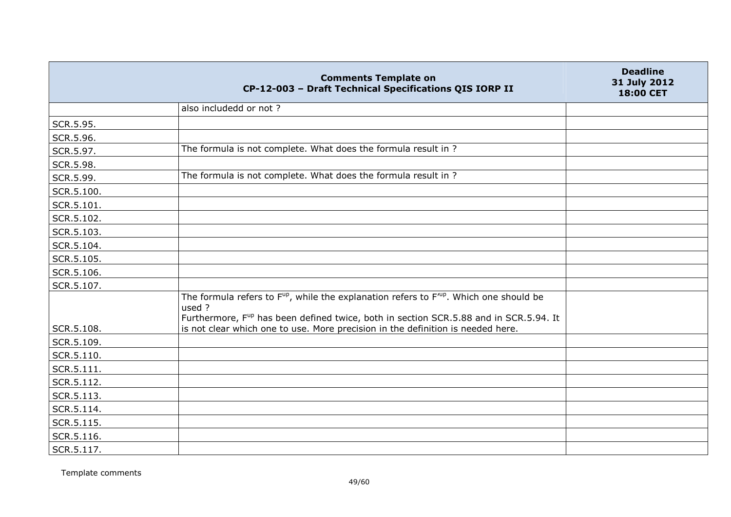|            | <b>Comments Template on</b><br>CP-12-003 - Draft Technical Specifications QIS IORP II                                                                                                                                                                                                             | <b>Deadline</b><br>31 July 2012<br>18:00 CET |
|------------|---------------------------------------------------------------------------------------------------------------------------------------------------------------------------------------------------------------------------------------------------------------------------------------------------|----------------------------------------------|
|            | also includedd or not?                                                                                                                                                                                                                                                                            |                                              |
| SCR.5.95.  |                                                                                                                                                                                                                                                                                                   |                                              |
| SCR.5.96.  |                                                                                                                                                                                                                                                                                                   |                                              |
| SCR.5.97.  | The formula is not complete. What does the formula result in ?                                                                                                                                                                                                                                    |                                              |
| SCR.5.98.  |                                                                                                                                                                                                                                                                                                   |                                              |
| SCR.5.99.  | The formula is not complete. What does the formula result in ?                                                                                                                                                                                                                                    |                                              |
| SCR.5.100. |                                                                                                                                                                                                                                                                                                   |                                              |
| SCR.5.101. |                                                                                                                                                                                                                                                                                                   |                                              |
| SCR.5.102. |                                                                                                                                                                                                                                                                                                   |                                              |
| SCR.5.103. |                                                                                                                                                                                                                                                                                                   |                                              |
| SCR.5.104. |                                                                                                                                                                                                                                                                                                   |                                              |
| SCR.5.105. |                                                                                                                                                                                                                                                                                                   |                                              |
| SCR.5.106. |                                                                                                                                                                                                                                                                                                   |                                              |
| SCR.5.107. |                                                                                                                                                                                                                                                                                                   |                                              |
| SCR.5.108. | The formula refers to $F^{up}$ , while the explanation refers to $F^{up}$ . Which one should be<br>used ?<br>Furthermore, F <sup>up</sup> has been defined twice, both in section SCR.5.88 and in SCR.5.94. It<br>is not clear which one to use. More precision in the definition is needed here. |                                              |
| SCR.5.109. |                                                                                                                                                                                                                                                                                                   |                                              |
| SCR.5.110. |                                                                                                                                                                                                                                                                                                   |                                              |
| SCR.5.111. |                                                                                                                                                                                                                                                                                                   |                                              |
| SCR.5.112. |                                                                                                                                                                                                                                                                                                   |                                              |
| SCR.5.113. |                                                                                                                                                                                                                                                                                                   |                                              |
| SCR.5.114. |                                                                                                                                                                                                                                                                                                   |                                              |
| SCR.5.115. |                                                                                                                                                                                                                                                                                                   |                                              |
| SCR.5.116. |                                                                                                                                                                                                                                                                                                   |                                              |
| SCR.5.117. |                                                                                                                                                                                                                                                                                                   |                                              |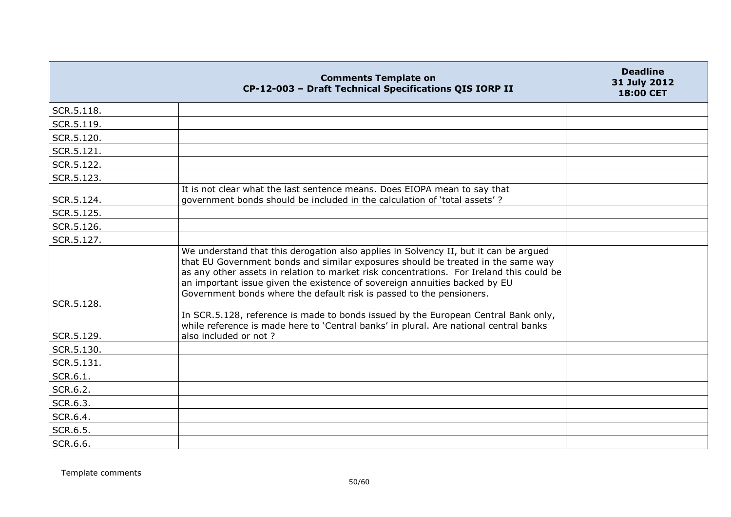|            | <b>Comments Template on</b><br>CP-12-003 - Draft Technical Specifications QIS IORP II                                                                                                                                                                                                                                                                                                                                      | <b>Deadline</b><br>31 July 2012<br><b>18:00 CET</b> |
|------------|----------------------------------------------------------------------------------------------------------------------------------------------------------------------------------------------------------------------------------------------------------------------------------------------------------------------------------------------------------------------------------------------------------------------------|-----------------------------------------------------|
| SCR.5.118. |                                                                                                                                                                                                                                                                                                                                                                                                                            |                                                     |
| SCR.5.119. |                                                                                                                                                                                                                                                                                                                                                                                                                            |                                                     |
| SCR.5.120. |                                                                                                                                                                                                                                                                                                                                                                                                                            |                                                     |
| SCR.5.121. |                                                                                                                                                                                                                                                                                                                                                                                                                            |                                                     |
| SCR.5.122. |                                                                                                                                                                                                                                                                                                                                                                                                                            |                                                     |
| SCR.5.123. |                                                                                                                                                                                                                                                                                                                                                                                                                            |                                                     |
| SCR.5.124. | It is not clear what the last sentence means. Does EIOPA mean to say that<br>government bonds should be included in the calculation of 'total assets'?                                                                                                                                                                                                                                                                     |                                                     |
| SCR.5.125. |                                                                                                                                                                                                                                                                                                                                                                                                                            |                                                     |
| SCR.5.126. |                                                                                                                                                                                                                                                                                                                                                                                                                            |                                                     |
| SCR.5.127. |                                                                                                                                                                                                                                                                                                                                                                                                                            |                                                     |
| SCR.5.128. | We understand that this derogation also applies in Solvency II, but it can be argued<br>that EU Government bonds and similar exposures should be treated in the same way<br>as any other assets in relation to market risk concentrations. For Ireland this could be<br>an important issue given the existence of sovereign annuities backed by EU<br>Government bonds where the default risk is passed to the pensioners. |                                                     |
| SCR.5.129. | In SCR.5.128, reference is made to bonds issued by the European Central Bank only,<br>while reference is made here to 'Central banks' in plural. Are national central banks<br>also included or not ?                                                                                                                                                                                                                      |                                                     |
| SCR.5.130. |                                                                                                                                                                                                                                                                                                                                                                                                                            |                                                     |
| SCR.5.131. |                                                                                                                                                                                                                                                                                                                                                                                                                            |                                                     |
| SCR.6.1.   |                                                                                                                                                                                                                                                                                                                                                                                                                            |                                                     |
| SCR.6.2.   |                                                                                                                                                                                                                                                                                                                                                                                                                            |                                                     |
| SCR.6.3.   |                                                                                                                                                                                                                                                                                                                                                                                                                            |                                                     |
| SCR.6.4.   |                                                                                                                                                                                                                                                                                                                                                                                                                            |                                                     |
| SCR.6.5.   |                                                                                                                                                                                                                                                                                                                                                                                                                            |                                                     |
| SCR.6.6.   |                                                                                                                                                                                                                                                                                                                                                                                                                            |                                                     |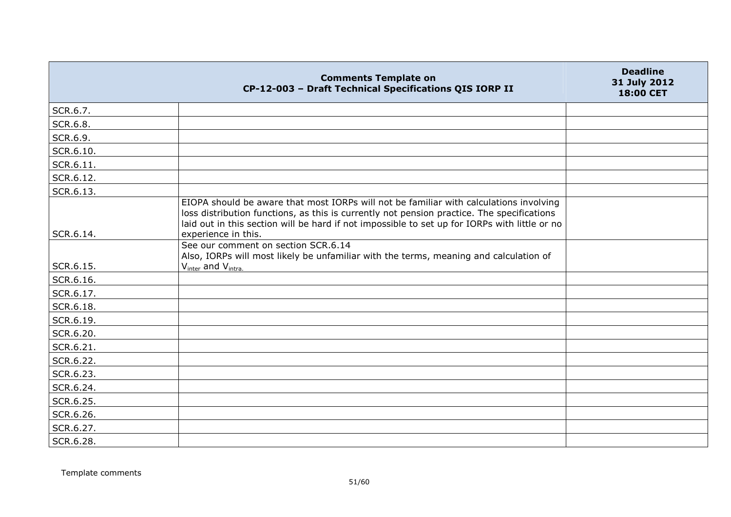|                        | <b>Comments Template on</b><br>CP-12-003 - Draft Technical Specifications QIS IORP II                                                                                                                                                                                                                        | <b>Deadline</b><br>31 July 2012<br>18:00 CET |
|------------------------|--------------------------------------------------------------------------------------------------------------------------------------------------------------------------------------------------------------------------------------------------------------------------------------------------------------|----------------------------------------------|
| SCR.6.7.               |                                                                                                                                                                                                                                                                                                              |                                              |
| SCR.6.8.               |                                                                                                                                                                                                                                                                                                              |                                              |
| SCR.6.9.               |                                                                                                                                                                                                                                                                                                              |                                              |
| SCR.6.10.              |                                                                                                                                                                                                                                                                                                              |                                              |
| SCR.6.11.              |                                                                                                                                                                                                                                                                                                              |                                              |
| SCR.6.12.              |                                                                                                                                                                                                                                                                                                              |                                              |
| SCR.6.13.              |                                                                                                                                                                                                                                                                                                              |                                              |
| SCR.6.14.              | EIOPA should be aware that most IORPs will not be familiar with calculations involving<br>loss distribution functions, as this is currently not pension practice. The specifications<br>laid out in this section will be hard if not impossible to set up for IORPs with little or no<br>experience in this. |                                              |
|                        | See our comment on section SCR.6.14<br>Also, IORPs will most likely be unfamiliar with the terms, meaning and calculation of                                                                                                                                                                                 |                                              |
| SCR.6.15.              | V <sub>inter</sub> and V <sub>intra.</sub>                                                                                                                                                                                                                                                                   |                                              |
| SCR.6.16.              |                                                                                                                                                                                                                                                                                                              |                                              |
| SCR.6.17.<br>SCR.6.18. |                                                                                                                                                                                                                                                                                                              |                                              |
| SCR.6.19.              |                                                                                                                                                                                                                                                                                                              |                                              |
| SCR.6.20.              |                                                                                                                                                                                                                                                                                                              |                                              |
| SCR.6.21.              |                                                                                                                                                                                                                                                                                                              |                                              |
| SCR.6.22.              |                                                                                                                                                                                                                                                                                                              |                                              |
| SCR.6.23.              |                                                                                                                                                                                                                                                                                                              |                                              |
| SCR.6.24.              |                                                                                                                                                                                                                                                                                                              |                                              |
| SCR.6.25.              |                                                                                                                                                                                                                                                                                                              |                                              |
| SCR.6.26.              |                                                                                                                                                                                                                                                                                                              |                                              |
| SCR.6.27.              |                                                                                                                                                                                                                                                                                                              |                                              |
| SCR.6.28.              |                                                                                                                                                                                                                                                                                                              |                                              |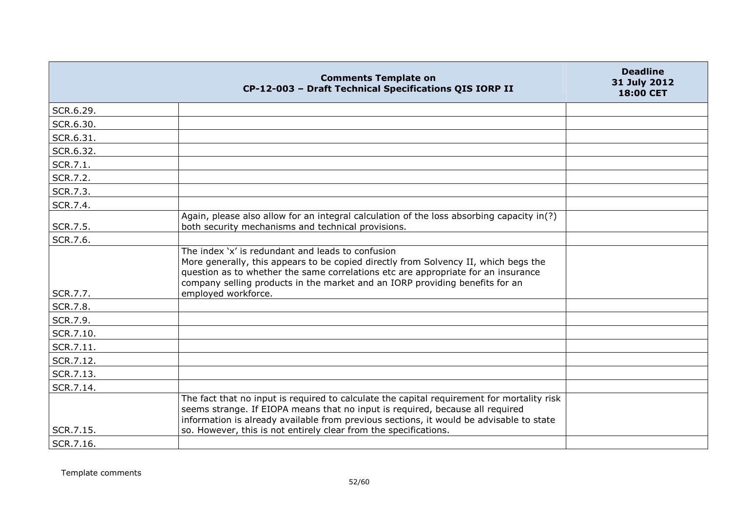|           | <b>Comments Template on</b><br>CP-12-003 - Draft Technical Specifications QIS IORP II                                                                                                                                                                                                                                                      | <b>Deadline</b><br>31 July 2012<br><b>18:00 CET</b> |
|-----------|--------------------------------------------------------------------------------------------------------------------------------------------------------------------------------------------------------------------------------------------------------------------------------------------------------------------------------------------|-----------------------------------------------------|
| SCR.6.29. |                                                                                                                                                                                                                                                                                                                                            |                                                     |
| SCR.6.30. |                                                                                                                                                                                                                                                                                                                                            |                                                     |
| SCR.6.31. |                                                                                                                                                                                                                                                                                                                                            |                                                     |
| SCR.6.32. |                                                                                                                                                                                                                                                                                                                                            |                                                     |
| SCR.7.1.  |                                                                                                                                                                                                                                                                                                                                            |                                                     |
| SCR.7.2.  |                                                                                                                                                                                                                                                                                                                                            |                                                     |
| SCR.7.3.  |                                                                                                                                                                                                                                                                                                                                            |                                                     |
| SCR.7.4.  |                                                                                                                                                                                                                                                                                                                                            |                                                     |
| SCR.7.5.  | Again, please also allow for an integral calculation of the loss absorbing capacity in(?)<br>both security mechanisms and technical provisions.                                                                                                                                                                                            |                                                     |
| SCR.7.6.  |                                                                                                                                                                                                                                                                                                                                            |                                                     |
| SCR.7.7.  | The index 'x' is redundant and leads to confusion<br>More generally, this appears to be copied directly from Solvency II, which begs the<br>question as to whether the same correlations etc are appropriate for an insurance<br>company selling products in the market and an IORP providing benefits for an<br>employed workforce.       |                                                     |
| SCR.7.8.  |                                                                                                                                                                                                                                                                                                                                            |                                                     |
| SCR.7.9.  |                                                                                                                                                                                                                                                                                                                                            |                                                     |
| SCR.7.10. |                                                                                                                                                                                                                                                                                                                                            |                                                     |
| SCR.7.11. |                                                                                                                                                                                                                                                                                                                                            |                                                     |
| SCR.7.12. |                                                                                                                                                                                                                                                                                                                                            |                                                     |
| SCR.7.13. |                                                                                                                                                                                                                                                                                                                                            |                                                     |
| SCR.7.14. |                                                                                                                                                                                                                                                                                                                                            |                                                     |
| SCR.7.15. | The fact that no input is required to calculate the capital requirement for mortality risk<br>seems strange. If EIOPA means that no input is required, because all required<br>information is already available from previous sections, it would be advisable to state<br>so. However, this is not entirely clear from the specifications. |                                                     |
| SCR.7.16. |                                                                                                                                                                                                                                                                                                                                            |                                                     |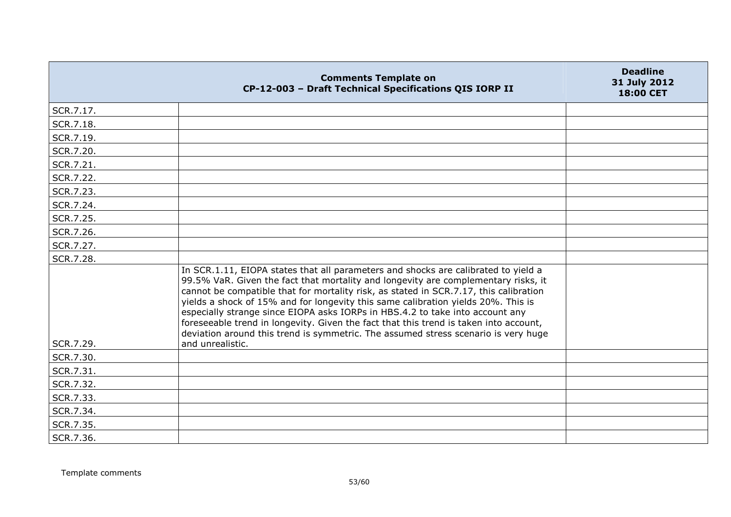|                        | <b>Comments Template on</b><br>CP-12-003 - Draft Technical Specifications QIS IORP II                                                                                                                                                                                                                                                                                                                                                                                                                                                                                                                                                      | <b>Deadline</b><br>31 July 2012<br>18:00 CET |
|------------------------|--------------------------------------------------------------------------------------------------------------------------------------------------------------------------------------------------------------------------------------------------------------------------------------------------------------------------------------------------------------------------------------------------------------------------------------------------------------------------------------------------------------------------------------------------------------------------------------------------------------------------------------------|----------------------------------------------|
| SCR.7.17.              |                                                                                                                                                                                                                                                                                                                                                                                                                                                                                                                                                                                                                                            |                                              |
| SCR.7.18.              |                                                                                                                                                                                                                                                                                                                                                                                                                                                                                                                                                                                                                                            |                                              |
| SCR.7.19.              |                                                                                                                                                                                                                                                                                                                                                                                                                                                                                                                                                                                                                                            |                                              |
| SCR.7.20.              |                                                                                                                                                                                                                                                                                                                                                                                                                                                                                                                                                                                                                                            |                                              |
| SCR.7.21.              |                                                                                                                                                                                                                                                                                                                                                                                                                                                                                                                                                                                                                                            |                                              |
| SCR.7.22.              |                                                                                                                                                                                                                                                                                                                                                                                                                                                                                                                                                                                                                                            |                                              |
| SCR.7.23.              |                                                                                                                                                                                                                                                                                                                                                                                                                                                                                                                                                                                                                                            |                                              |
| SCR.7.24.              |                                                                                                                                                                                                                                                                                                                                                                                                                                                                                                                                                                                                                                            |                                              |
| SCR.7.25.              |                                                                                                                                                                                                                                                                                                                                                                                                                                                                                                                                                                                                                                            |                                              |
| SCR.7.26.              |                                                                                                                                                                                                                                                                                                                                                                                                                                                                                                                                                                                                                                            |                                              |
| SCR.7.27.              |                                                                                                                                                                                                                                                                                                                                                                                                                                                                                                                                                                                                                                            |                                              |
| SCR.7.28.              |                                                                                                                                                                                                                                                                                                                                                                                                                                                                                                                                                                                                                                            |                                              |
|                        | In SCR.1.11, EIOPA states that all parameters and shocks are calibrated to yield a<br>99.5% VaR. Given the fact that mortality and longevity are complementary risks, it<br>cannot be compatible that for mortality risk, as stated in SCR.7.17, this calibration<br>yields a shock of 15% and for longevity this same calibration yields 20%. This is<br>especially strange since EIOPA asks IORPs in HBS.4.2 to take into account any<br>foreseeable trend in longevity. Given the fact that this trend is taken into account,<br>deviation around this trend is symmetric. The assumed stress scenario is very huge<br>and unrealistic. |                                              |
| SCR.7.29.              |                                                                                                                                                                                                                                                                                                                                                                                                                                                                                                                                                                                                                                            |                                              |
| SCR.7.30.<br>SCR.7.31. |                                                                                                                                                                                                                                                                                                                                                                                                                                                                                                                                                                                                                                            |                                              |
|                        |                                                                                                                                                                                                                                                                                                                                                                                                                                                                                                                                                                                                                                            |                                              |
| SCR.7.32.              |                                                                                                                                                                                                                                                                                                                                                                                                                                                                                                                                                                                                                                            |                                              |
| SCR.7.33.              |                                                                                                                                                                                                                                                                                                                                                                                                                                                                                                                                                                                                                                            |                                              |
| SCR.7.34.              |                                                                                                                                                                                                                                                                                                                                                                                                                                                                                                                                                                                                                                            |                                              |
| SCR.7.35.              |                                                                                                                                                                                                                                                                                                                                                                                                                                                                                                                                                                                                                                            |                                              |
| SCR.7.36.              |                                                                                                                                                                                                                                                                                                                                                                                                                                                                                                                                                                                                                                            |                                              |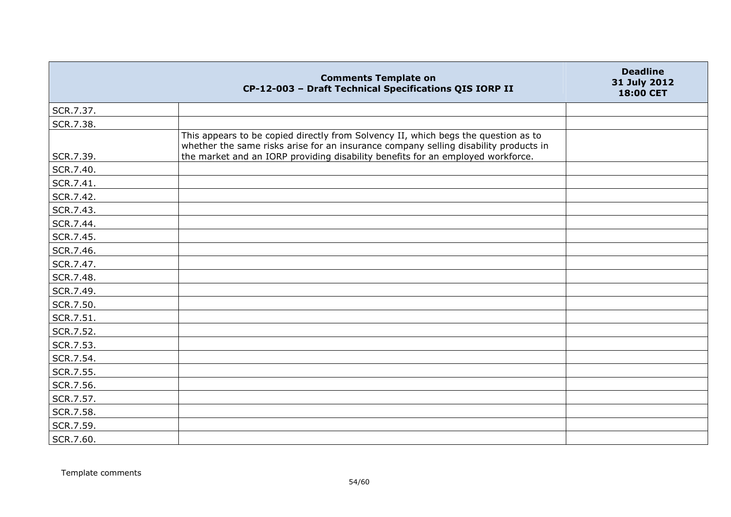|           | <b>Comments Template on</b><br>CP-12-003 - Draft Technical Specifications QIS IORP II                                                                                                                                                                         | <b>Deadline</b><br>31 July 2012<br>18:00 CET |
|-----------|---------------------------------------------------------------------------------------------------------------------------------------------------------------------------------------------------------------------------------------------------------------|----------------------------------------------|
| SCR.7.37. |                                                                                                                                                                                                                                                               |                                              |
| SCR.7.38. |                                                                                                                                                                                                                                                               |                                              |
| SCR.7.39. | This appears to be copied directly from Solvency II, which begs the question as to<br>whether the same risks arise for an insurance company selling disability products in<br>the market and an IORP providing disability benefits for an employed workforce. |                                              |
| SCR.7.40. |                                                                                                                                                                                                                                                               |                                              |
| SCR.7.41. |                                                                                                                                                                                                                                                               |                                              |
| SCR.7.42. |                                                                                                                                                                                                                                                               |                                              |
| SCR.7.43. |                                                                                                                                                                                                                                                               |                                              |
| SCR.7.44. |                                                                                                                                                                                                                                                               |                                              |
| SCR.7.45. |                                                                                                                                                                                                                                                               |                                              |
| SCR.7.46. |                                                                                                                                                                                                                                                               |                                              |
| SCR.7.47. |                                                                                                                                                                                                                                                               |                                              |
| SCR.7.48. |                                                                                                                                                                                                                                                               |                                              |
| SCR.7.49. |                                                                                                                                                                                                                                                               |                                              |
| SCR.7.50. |                                                                                                                                                                                                                                                               |                                              |
| SCR.7.51. |                                                                                                                                                                                                                                                               |                                              |
| SCR.7.52. |                                                                                                                                                                                                                                                               |                                              |
| SCR.7.53. |                                                                                                                                                                                                                                                               |                                              |
| SCR.7.54. |                                                                                                                                                                                                                                                               |                                              |
| SCR.7.55. |                                                                                                                                                                                                                                                               |                                              |
| SCR.7.56. |                                                                                                                                                                                                                                                               |                                              |
| SCR.7.57. |                                                                                                                                                                                                                                                               |                                              |
| SCR.7.58. |                                                                                                                                                                                                                                                               |                                              |
| SCR.7.59. |                                                                                                                                                                                                                                                               |                                              |
| SCR.7.60. |                                                                                                                                                                                                                                                               |                                              |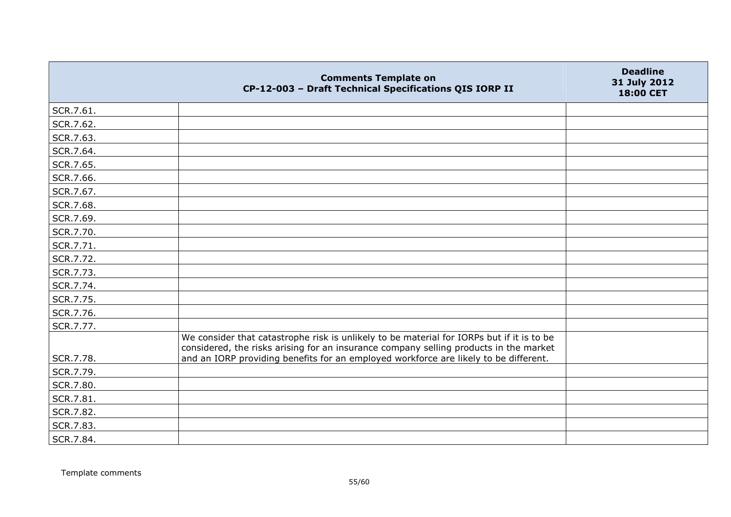|           | <b>Comments Template on</b><br>CP-12-003 - Draft Technical Specifications QIS IORP II                                                                                              | <b>Deadline</b><br>31 July 2012<br>18:00 CET |
|-----------|------------------------------------------------------------------------------------------------------------------------------------------------------------------------------------|----------------------------------------------|
| SCR.7.61. |                                                                                                                                                                                    |                                              |
| SCR.7.62. |                                                                                                                                                                                    |                                              |
| SCR.7.63. |                                                                                                                                                                                    |                                              |
| SCR.7.64. |                                                                                                                                                                                    |                                              |
| SCR.7.65. |                                                                                                                                                                                    |                                              |
| SCR.7.66. |                                                                                                                                                                                    |                                              |
| SCR.7.67. |                                                                                                                                                                                    |                                              |
| SCR.7.68. |                                                                                                                                                                                    |                                              |
| SCR.7.69. |                                                                                                                                                                                    |                                              |
| SCR.7.70. |                                                                                                                                                                                    |                                              |
| SCR.7.71. |                                                                                                                                                                                    |                                              |
| SCR.7.72. |                                                                                                                                                                                    |                                              |
| SCR.7.73. |                                                                                                                                                                                    |                                              |
| SCR.7.74. |                                                                                                                                                                                    |                                              |
| SCR.7.75. |                                                                                                                                                                                    |                                              |
| SCR.7.76. |                                                                                                                                                                                    |                                              |
| SCR.7.77. |                                                                                                                                                                                    |                                              |
|           | We consider that catastrophe risk is unlikely to be material for IORPs but if it is to be<br>considered, the risks arising for an insurance company selling products in the market |                                              |
| SCR.7.78. | and an IORP providing benefits for an employed workforce are likely to be different.                                                                                               |                                              |
| SCR.7.79. |                                                                                                                                                                                    |                                              |
| SCR.7.80. |                                                                                                                                                                                    |                                              |
| SCR.7.81. |                                                                                                                                                                                    |                                              |
| SCR.7.82. |                                                                                                                                                                                    |                                              |
| SCR.7.83. |                                                                                                                                                                                    |                                              |
| SCR.7.84. |                                                                                                                                                                                    |                                              |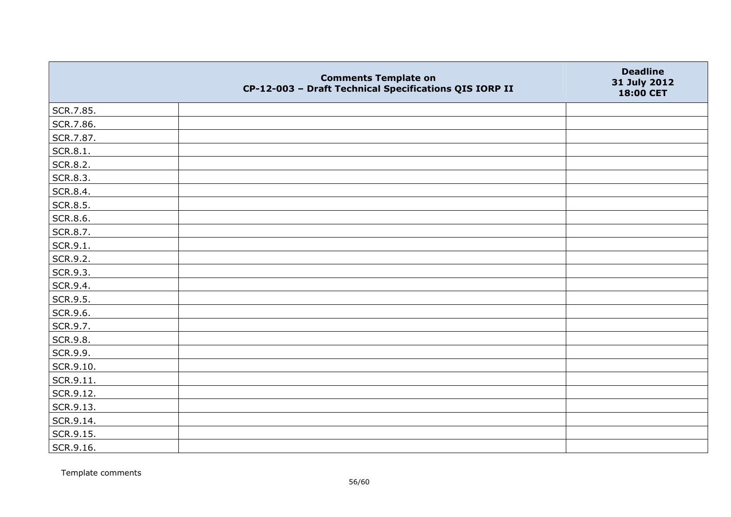|           | <b>Comments Template on</b><br>CP-12-003 - Draft Technical Specifications QIS IORP II | <b>Deadline</b><br>31 July 2012<br>18:00 CET |
|-----------|---------------------------------------------------------------------------------------|----------------------------------------------|
| SCR.7.85. |                                                                                       |                                              |
| SCR.7.86. |                                                                                       |                                              |
| SCR.7.87. |                                                                                       |                                              |
| SCR.8.1.  |                                                                                       |                                              |
| SCR.8.2.  |                                                                                       |                                              |
| SCR.8.3.  |                                                                                       |                                              |
| SCR.8.4.  |                                                                                       |                                              |
| SCR.8.5.  |                                                                                       |                                              |
| SCR.8.6.  |                                                                                       |                                              |
| SCR.8.7.  |                                                                                       |                                              |
| SCR.9.1.  |                                                                                       |                                              |
| SCR.9.2.  |                                                                                       |                                              |
| SCR.9.3.  |                                                                                       |                                              |
| SCR.9.4.  |                                                                                       |                                              |
| SCR.9.5.  |                                                                                       |                                              |
| SCR.9.6.  |                                                                                       |                                              |
| SCR.9.7.  |                                                                                       |                                              |
| SCR.9.8.  |                                                                                       |                                              |
| SCR.9.9.  |                                                                                       |                                              |
| SCR.9.10. |                                                                                       |                                              |
| SCR.9.11. |                                                                                       |                                              |
| SCR.9.12. |                                                                                       |                                              |
| SCR.9.13. |                                                                                       |                                              |
| SCR.9.14. |                                                                                       |                                              |
| SCR.9.15. |                                                                                       |                                              |
| SCR.9.16. |                                                                                       |                                              |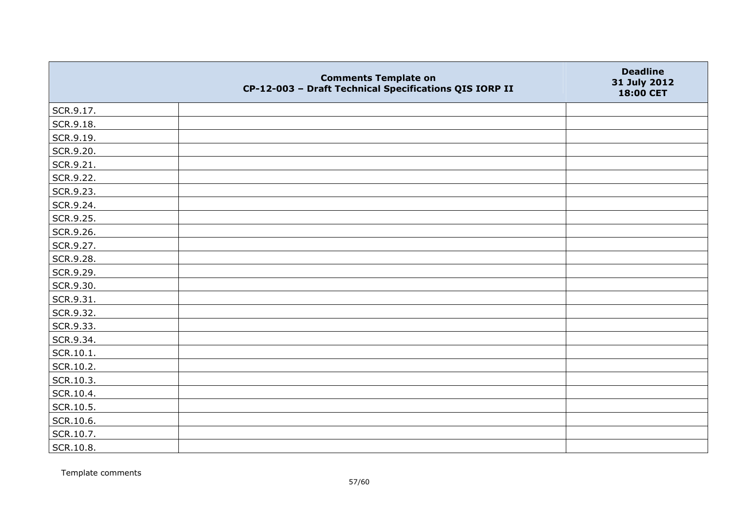|           | <b>Comments Template on</b><br>CP-12-003 - Draft Technical Specifications QIS IORP II | <b>Deadline</b><br>31 July 2012<br>18:00 CET |
|-----------|---------------------------------------------------------------------------------------|----------------------------------------------|
| SCR.9.17. |                                                                                       |                                              |
| SCR.9.18. |                                                                                       |                                              |
| SCR.9.19. |                                                                                       |                                              |
| SCR.9.20. |                                                                                       |                                              |
| SCR.9.21. |                                                                                       |                                              |
| SCR.9.22. |                                                                                       |                                              |
| SCR.9.23. |                                                                                       |                                              |
| SCR.9.24. |                                                                                       |                                              |
| SCR.9.25. |                                                                                       |                                              |
| SCR.9.26. |                                                                                       |                                              |
| SCR.9.27. |                                                                                       |                                              |
| SCR.9.28. |                                                                                       |                                              |
| SCR.9.29. |                                                                                       |                                              |
| SCR.9.30. |                                                                                       |                                              |
| SCR.9.31. |                                                                                       |                                              |
| SCR.9.32. |                                                                                       |                                              |
| SCR.9.33. |                                                                                       |                                              |
| SCR.9.34. |                                                                                       |                                              |
| SCR.10.1. |                                                                                       |                                              |
| SCR.10.2. |                                                                                       |                                              |
| SCR.10.3. |                                                                                       |                                              |
| SCR.10.4. |                                                                                       |                                              |
| SCR.10.5. |                                                                                       |                                              |
| SCR.10.6. |                                                                                       |                                              |
| SCR.10.7. |                                                                                       |                                              |
| SCR.10.8. |                                                                                       |                                              |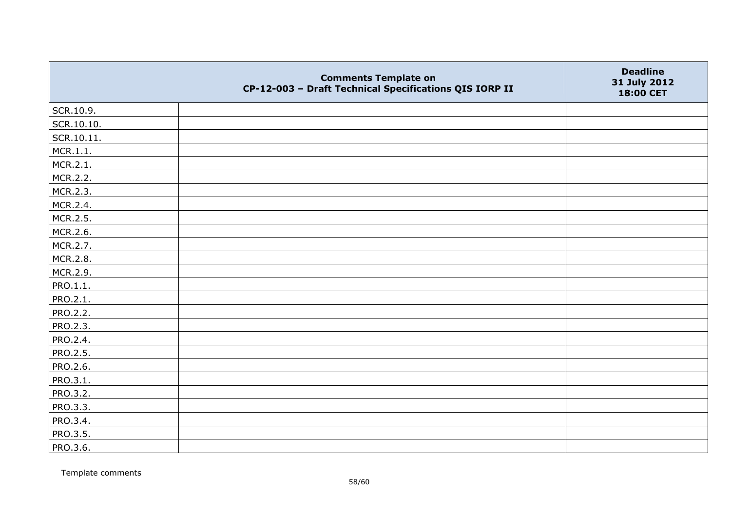|                 | <b>Comments Template on</b><br>CP-12-003 - Draft Technical Specifications QIS IORP II | <b>Deadline</b><br>31 July 2012<br>18:00 CET |
|-----------------|---------------------------------------------------------------------------------------|----------------------------------------------|
| SCR.10.9.       |                                                                                       |                                              |
| SCR.10.10.      |                                                                                       |                                              |
| SCR.10.11.      |                                                                                       |                                              |
| MCR.1.1.        |                                                                                       |                                              |
| MCR.2.1.        |                                                                                       |                                              |
| MCR.2.2.        |                                                                                       |                                              |
| MCR.2.3.        |                                                                                       |                                              |
| MCR.2.4.        |                                                                                       |                                              |
| MCR.2.5.        |                                                                                       |                                              |
| MCR.2.6.        |                                                                                       |                                              |
| MCR.2.7.        |                                                                                       |                                              |
| MCR.2.8.        |                                                                                       |                                              |
| MCR.2.9.        |                                                                                       |                                              |
| PRO.1.1.        |                                                                                       |                                              |
| PRO.2.1.        |                                                                                       |                                              |
| PRO.2.2.        |                                                                                       |                                              |
| PRO.2.3.        |                                                                                       |                                              |
| PRO.2.4.        |                                                                                       |                                              |
| PRO.2.5.        |                                                                                       |                                              |
| PRO.2.6.        |                                                                                       |                                              |
| PRO.3.1.        |                                                                                       |                                              |
| <b>PRO.3.2.</b> |                                                                                       |                                              |
| PRO.3.3.        |                                                                                       |                                              |
| PRO.3.4.        |                                                                                       |                                              |
| PRO.3.5.        |                                                                                       |                                              |
| PRO.3.6.        |                                                                                       |                                              |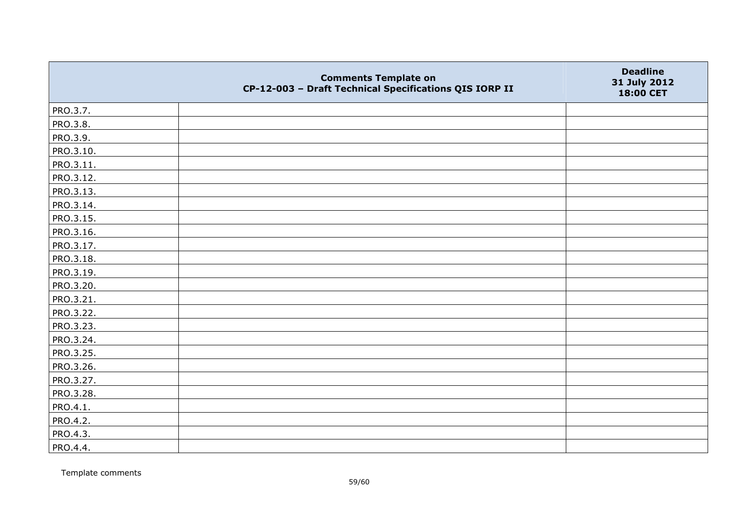|           | <b>Comments Template on</b><br>CP-12-003 - Draft Technical Specifications QIS IORP II | <b>Deadline</b><br>31 July 2012<br>18:00 CET |
|-----------|---------------------------------------------------------------------------------------|----------------------------------------------|
| PRO.3.7.  |                                                                                       |                                              |
| PRO.3.8.  |                                                                                       |                                              |
| PRO.3.9.  |                                                                                       |                                              |
| PRO.3.10. |                                                                                       |                                              |
| PRO.3.11. |                                                                                       |                                              |
| PRO.3.12. |                                                                                       |                                              |
| PRO.3.13. |                                                                                       |                                              |
| PRO.3.14. |                                                                                       |                                              |
| PRO.3.15. |                                                                                       |                                              |
| PRO.3.16. |                                                                                       |                                              |
| PRO.3.17. |                                                                                       |                                              |
| PRO.3.18. |                                                                                       |                                              |
| PRO.3.19. |                                                                                       |                                              |
| PRO.3.20. |                                                                                       |                                              |
| PRO.3.21. |                                                                                       |                                              |
| PRO.3.22. |                                                                                       |                                              |
| PRO.3.23. |                                                                                       |                                              |
| PRO.3.24. |                                                                                       |                                              |
| PRO.3.25. |                                                                                       |                                              |
| PRO.3.26. |                                                                                       |                                              |
| PRO.3.27. |                                                                                       |                                              |
| PRO.3.28. |                                                                                       |                                              |
| PRO.4.1.  |                                                                                       |                                              |
| PRO.4.2.  |                                                                                       |                                              |
| PRO.4.3.  |                                                                                       |                                              |
| PRO.4.4.  |                                                                                       |                                              |